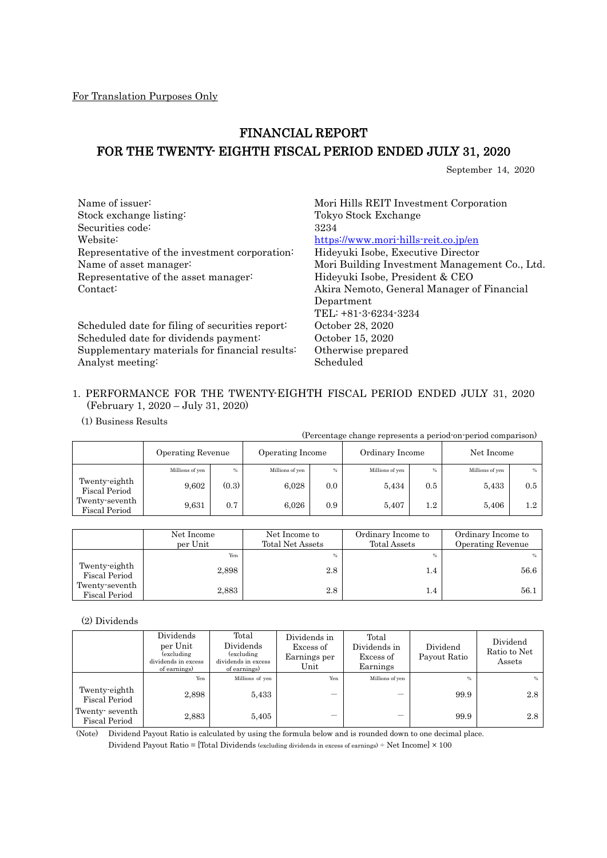# FINANCIAL REPORT FOR THE TWENTY- EIGHTH FISCAL PERIOD ENDED JULY 31, 2020

September 14, 2020

| Name of issuer:                                 | Mori Hills REIT Investment Corporation        |
|-------------------------------------------------|-----------------------------------------------|
| Stock exchange listing:                         | Tokyo Stock Exchange                          |
| Securities code:                                | 3234                                          |
| Website:                                        | https://www.mori-hills-reit.co.jp/en          |
| Representative of the investment corporation:   | Hideyuki Isobe, Executive Director            |
| Name of asset manager:                          | Mori Building Investment Management Co., Ltd. |
| Representative of the asset manager:            | Hideyuki Isobe, President & CEO               |
| Contact:                                        | Akira Nemoto, General Manager of Financial    |
|                                                 | Department                                    |
|                                                 | $TEL: +81-3-6234-3234$                        |
| Scheduled date for filing of securities report: | October 28, 2020                              |
| Scheduled date for dividends payment:           | October 15, 2020                              |
| Supplementary materials for financial results:  | Otherwise prepared                            |
| Analyst meeting:                                | Scheduled                                     |
|                                                 |                                               |

## 1. PERFORMANCE FOR THE TWENTY-EIGHTH FISCAL PERIOD ENDED JULY 31, 2020 (February 1, 2020 – July 31, 2020)

(1) Business Results

|                                        |                   |       |                  |                  |                 |     | (Percentage change represents a period on period comparison) |     |
|----------------------------------------|-------------------|-------|------------------|------------------|-----------------|-----|--------------------------------------------------------------|-----|
|                                        | Operating Revenue |       | Operating Income |                  | Ordinary Income |     | Net Income                                                   |     |
|                                        | Millions of yen   | %     | Millions of yen  | $\%$             | Millions of yen | %   | Millions of yen                                              | %   |
| Twenty-eighth<br>Fiscal Period         | 9,602             | (0.3) | 6.028            | 0.0              | 5.434           | 0.5 | 5,433                                                        | 0.5 |
| Twenty-seventh<br><b>Fiscal Period</b> | 9.631             | 0.7   | 6.026            | 0.9 <sup>°</sup> | 5.407           | 1.2 | 5,406                                                        | 1.2 |

|                                 | Net Income<br>per Unit | Net Income to<br><b>Total Net Assets</b> | Ordinary Income to<br>Total Assets | Ordinary Income to<br><b>Operating Revenue</b> |
|---------------------------------|------------------------|------------------------------------------|------------------------------------|------------------------------------------------|
|                                 | Yen                    | %                                        | $\%$                               | %                                              |
| Twenty-eighth<br>Fiscal Period  | 2,898                  | 2.8                                      | 1.4                                | 56.6                                           |
| Twenty-seventh<br>Fiscal Period | 2,883                  | 2.8                                      | 1.4                                | 56.1                                           |

(2) Dividends

|                                        | Dividends<br>per Unit<br>(excluding<br>dividends in excess<br>of earnings) | Total<br>Dividends<br>(excluding)<br>dividends in excess<br>of earnings) | Dividends in<br>Excess of<br>Earnings per<br>Unit | Total<br>Dividends in<br>Excess of<br>Earnings | Dividend<br>Payout Ratio | Dividend<br>Ratio to Net<br>Assets |
|----------------------------------------|----------------------------------------------------------------------------|--------------------------------------------------------------------------|---------------------------------------------------|------------------------------------------------|--------------------------|------------------------------------|
|                                        | Yen                                                                        | Millions of yen                                                          | Yen                                               | Millions of yen                                | $\%$                     | $\%$                               |
| Twenty-eighth<br><b>Fiscal Period</b>  | 2,898                                                                      | 5.433                                                                    |                                                   | –                                              | 99.9                     | 2.8                                |
| Twenty seventh<br><b>Fiscal Period</b> | 2,883                                                                      | 5.405                                                                    |                                                   |                                                | 99.9                     | 2.8                                |

(Note) Dividend Payout Ratio is calculated by using the formula below and is rounded down to one decimal place.  $Dividend \; Payout \; Ratio = [Total \; Dividends \; (excluding \; dividends \; in \; excess \; of \; earnings) \div Net \; Income] \times 100$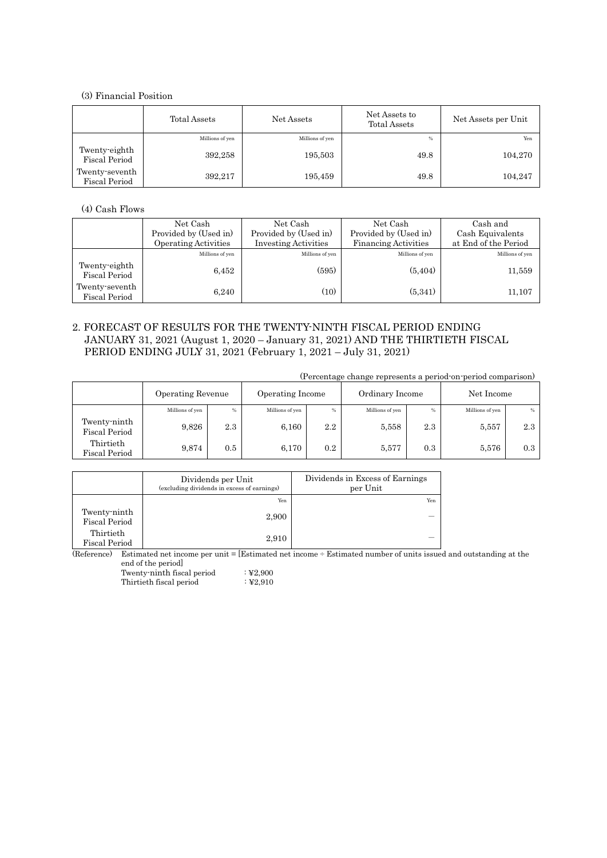## (3) Financial Position

|                                        | Total Assets    | Net Assets      | Net Assets to<br>Total Assets | Net Assets per Unit |
|----------------------------------------|-----------------|-----------------|-------------------------------|---------------------|
|                                        | Millions of yen | Millions of yen | %                             | Yen                 |
| Twenty eighth<br><b>Fiscal Period</b>  | 392,258         | 195,503         | 49.8                          | 104,270             |
| Twenty-seventh<br><b>Fiscal Period</b> | 392,217         | 195,459         | 49.8                          | 104,247             |

(4) Cash Flows

|                                       | Net Cash<br>Provided by (Used in)<br><b>Operating Activities</b> | Net Cash<br>Provided by (Used in)<br><b>Investing Activities</b> | Net Cash<br>Provided by (Used in)<br><b>Financing Activities</b> | Cash and<br>Cash Equivalents<br>at End of the Period |
|---------------------------------------|------------------------------------------------------------------|------------------------------------------------------------------|------------------------------------------------------------------|------------------------------------------------------|
|                                       | Millions of yen                                                  | Millions of yen                                                  | Millions of yen                                                  | Millions of yen                                      |
| Twenty-eighth<br><b>Fiscal Period</b> | 6,452                                                            | (595)                                                            | (5, 404)                                                         | 11,559                                               |
| Twenty-seventh<br>Fiscal Period       | 6,240                                                            | (10)                                                             | (5,341)                                                          | 11,107                                               |

### 2. FORECAST OF RESULTS FOR THE TWENTY-NINTH FISCAL PERIOD ENDING JANUARY 31, 2021 (August 1, 2020 – January 31, 2021) AND THE THIRTIETH FISCAL PERIOD ENDING JULY 31, 2021 (February 1, 2021 – July 31, 2021)

|                                      |                   |     |                  |     |                 |     | (Percentage change represents a period-on-period comparison) |      |
|--------------------------------------|-------------------|-----|------------------|-----|-----------------|-----|--------------------------------------------------------------|------|
|                                      | Operating Revenue |     | Operating Income |     | Ordinary Income |     | Net Income                                                   |      |
|                                      | Millions of yen   | %   | Millions of yen  | %   | Millions of yen | %   | Millions of yen                                              | $\%$ |
| Twenty-ninth<br><b>Fiscal Period</b> | 9,826             | 2.3 | 6,160            | 2.2 | 5,558           | 2.3 | 5,557                                                        | 2.3  |
| Thirtieth<br><b>Fiscal Period</b>    | 9,874             | 0.5 | 6,170            | 0.2 | 5,577           | 0.3 | 5,576                                                        | 0.3  |

|                                      | Dividends per Unit<br>(excluding dividends in excess of earnings) | Dividends in Excess of Earnings<br>per Unit |
|--------------------------------------|-------------------------------------------------------------------|---------------------------------------------|
|                                      | Yen                                                               | Yen                                         |
| Twenty-ninth<br><b>Fiscal Period</b> | 2,900                                                             |                                             |
| Thirtieth<br>Fiscal Period           | 2,910                                                             |                                             |

(Reference) Estimated net income per unit = [Estimated net income ÷ Estimated number of units issued and outstanding at the end of the period]

Twenty-ninth fiscal period : \tipsys{2,900}{2}}  ${\bf Thirtieth\,fiscal\,\, period} \qquad \qquad : \mathbf{\mathbf{\mathbf{\mathbf{\mathbf{Y}}2,910}}}$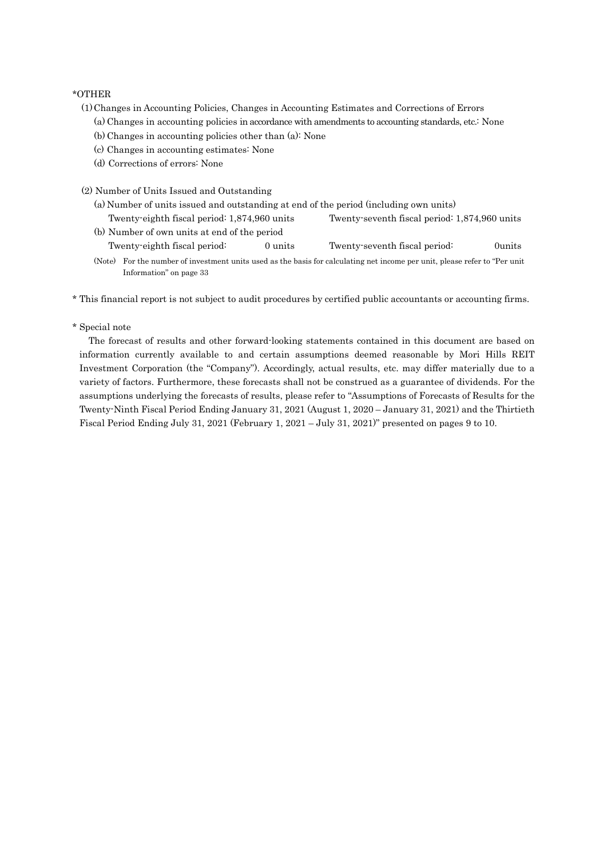#### \*OTHER

- (1)Changes in Accounting Policies, Changes in Accounting Estimates and Corrections of Errors
	- (a) Changes in accounting policies in accordance with amendments to accounting standards, etc.: None
	- (b) Changes in accounting policies other than (a): None
	- (c) Changes in accounting estimates: None
	- (d) Corrections of errors: None
- (2) Number of Units Issued and Outstanding
	- (a) Number of units issued and outstanding at end of the period (including own units) Twenty-eighth fiscal period: 1,874,960 units Twenty-seventh fiscal period: 1,874,960 units
	- (b) Number of own units at end of the period Twenty-eighth fiscal period: 0 units Twenty-seventh fiscal period: 0units
	- (Note) For the number of investment units used as the basis for calculating net income per unit, please refer to "Per unit Information" on page 33
- \* This financial report is not subject to audit procedures by certified public accountants or accounting firms.
- \* Special note

The forecast of results and other forward-looking statements contained in this document are based on information currently available to and certain assumptions deemed reasonable by Mori Hills REIT Investment Corporation (the "Company"). Accordingly, actual results, etc. may differ materially due to a variety of factors. Furthermore, these forecasts shall not be construed as a guarantee of dividends. For the assumptions underlying the forecasts of results, please refer to "Assumptions of Forecasts of Results for the Twenty-Ninth Fiscal Period Ending January 31, 2021 (August 1, 2020 – January 31, 2021) and the Thirtieth Fiscal Period Ending July 31, 2021 (February 1, 2021 – July 31, 2021)" presented on pages 9 to 10.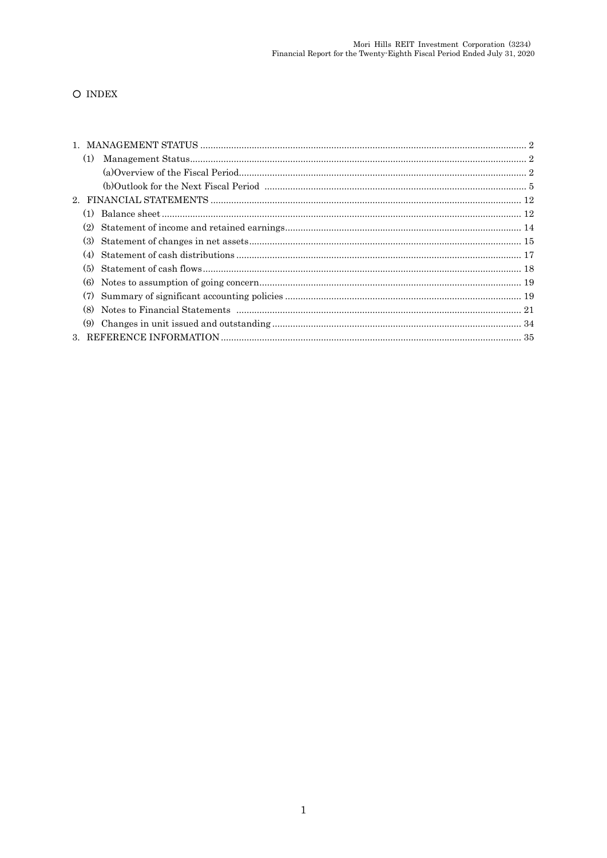## O INDEX

| (1) |  |
|-----|--|
|     |  |
|     |  |
|     |  |
| (1) |  |
| (2) |  |
| (3) |  |
| (4) |  |
| (5) |  |
| (6) |  |
| (7) |  |
| (8) |  |
| (9) |  |
|     |  |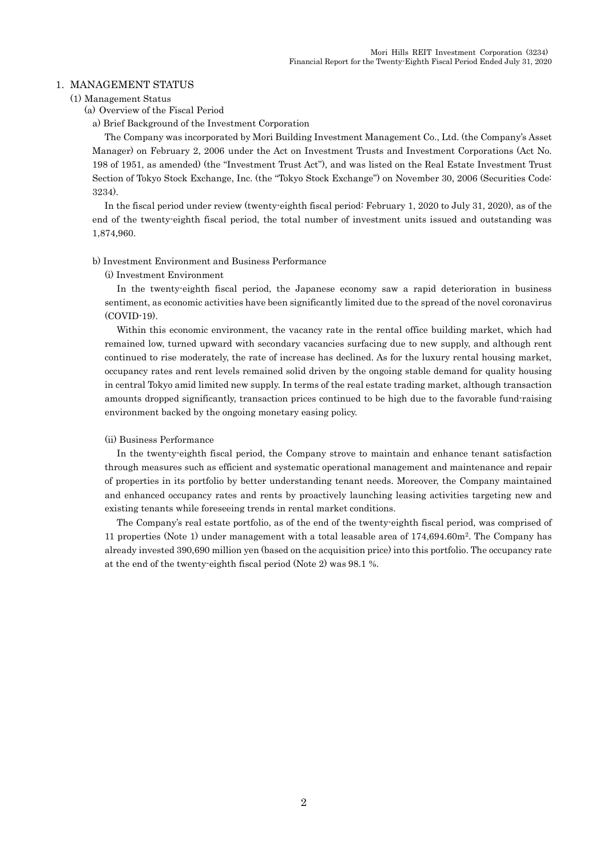### 1. MANAGEMENT STATUS

#### (1) Management Status

(a) Overview of the Fiscal Period

a) Brief Background of the Investment Corporation

The Company was incorporated by Mori Building Investment Management Co., Ltd. (the Company's Asset Manager) on February 2, 2006 under the Act on Investment Trusts and Investment Corporations (Act No. 198 of 1951, as amended) (the "Investment Trust Act"), and was listed on the Real Estate Investment Trust Section of Tokyo Stock Exchange, Inc. (the "Tokyo Stock Exchange") on November 30, 2006 (Securities Code: 3234).

In the fiscal period under review (twenty-eighth fiscal period: February 1, 2020 to July 31, 2020), as of the end of the twenty-eighth fiscal period, the total number of investment units issued and outstanding was 1,874,960.

#### b) Investment Environment and Business Performance

#### (i) Investment Environment

In the twenty-eighth fiscal period, the Japanese economy saw a rapid deterioration in business sentiment, as economic activities have been significantly limited due to the spread of the novel coronavirus (COVID-19).

Within this economic environment, the vacancy rate in the rental office building market, which had remained low, turned upward with secondary vacancies surfacing due to new supply, and although rent continued to rise moderately, the rate of increase has declined. As for the luxury rental housing market, occupancy rates and rent levels remained solid driven by the ongoing stable demand for quality housing in central Tokyo amid limited new supply. In terms of the real estate trading market, although transaction amounts dropped significantly, transaction prices continued to be high due to the favorable fund-raising environment backed by the ongoing monetary easing policy.

#### (ii) Business Performance

In the twenty-eighth fiscal period, the Company strove to maintain and enhance tenant satisfaction through measures such as efficient and systematic operational management and maintenance and repair of properties in its portfolio by better understanding tenant needs. Moreover, the Company maintained and enhanced occupancy rates and rents by proactively launching leasing activities targeting new and existing tenants while foreseeing trends in rental market conditions.

The Company's real estate portfolio, as of the end of the twenty-eighth fiscal period, was comprised of 11 properties (Note 1) under management with a total leasable area of 174,694.60m<sup>2</sup> . The Company has already invested 390,690 million yen (based on the acquisition price) into this portfolio. The occupancy rate at the end of the twenty-eighth fiscal period (Note 2) was 98.1 %.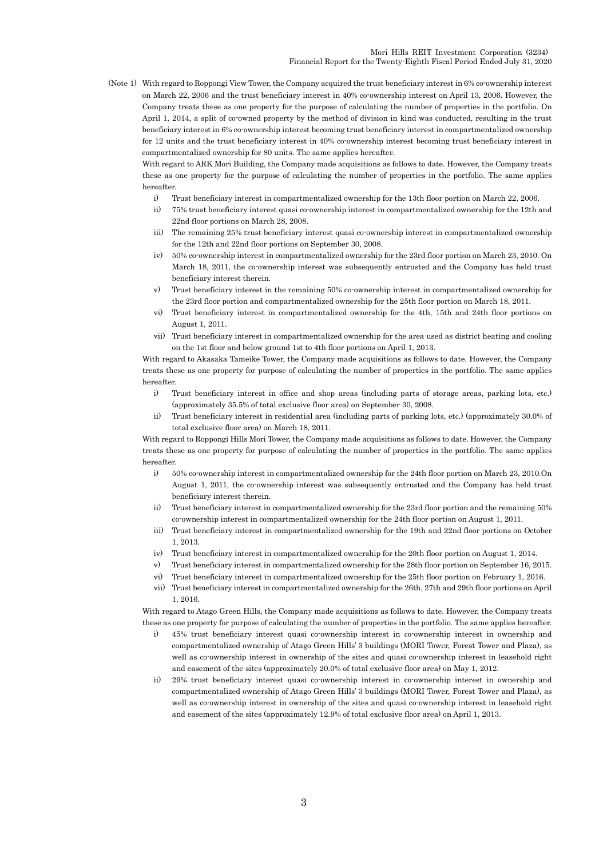(Note 1) With regard to Roppongi View Tower, the Company acquired the trust beneficiary interest in 6% co-ownership interest on March 22, 2006 and the trust beneficiary interest in 40% co-ownership interest on April 13, 2006. However, the Company treats these as one property for the purpose of calculating the number of properties in the portfolio. On April 1, 2014, a split of co-owned property by the method of division in kind was conducted, resulting in the trust beneficiary interest in 6% co-ownership interest becoming trust beneficiary interest in compartmentalized ownership for 12 units and the trust beneficiary interest in 40% co-ownership interest becoming trust beneficiary interest in compartmentalized ownership for 80 units. The same applies hereafter.

With regard to ARK Mori Building, the Company made acquisitions as follows to date. However, the Company treats these as one property for the purpose of calculating the number of properties in the portfolio. The same applies hereafter.

- i) Trust beneficiary interest in compartmentalized ownership for the 13th floor portion on March 22, 2006.
- ii) 75% trust beneficiary interest quasi co-ownership interest in compartmentalized ownership for the 12th and 22nd floor portions on March 28, 2008.
- iii) The remaining 25% trust beneficiary interest quasi co-ownership interest in compartmentalized ownership for the 12th and 22nd floor portions on September 30, 2008.
- iv) 50% co-ownership interest in compartmentalized ownership for the 23rd floor portion on March 23, 2010. On March 18, 2011, the co-ownership interest was subsequently entrusted and the Company has held trust beneficiary interest therein.
- v) Trust beneficiary interest in the remaining 50% co-ownership interest in compartmentalized ownership for the 23rd floor portion and compartmentalized ownership for the 25th floor portion on March 18, 2011.
- vi) Trust beneficiary interest in compartmentalized ownership for the 4th, 15th and 24th floor portions on August 1, 2011.
- vii) Trust beneficiary interest in compartmentalized ownership for the area used as district heating and cooling on the 1st floor and below ground 1st to 4th floor portions on April 1, 2013.

With regard to Akasaka Tameike Tower, the Company made acquisitions as follows to date. However, the Company treats these as one property for purpose of calculating the number of properties in the portfolio. The same applies hereafter.

- i) Trust beneficiary interest in office and shop areas (including parts of storage areas, parking lots, etc.) (approximately 35.5% of total exclusive floor area) on September 30, 2008.
- ii) Trust beneficiary interest in residential area (including parts of parking lots, etc.) (approximately 30.0% of total exclusive floor area) on March 18, 2011.

With regard to Roppongi Hills Mori Tower, the Company made acquisitions as follows to date. However, the Company treats these as one property for purpose of calculating the number of properties in the portfolio. The same applies hereafter.

- i) 50% co-ownership interest in compartmentalized ownership for the 24th floor portion on March 23, 2010.On August 1, 2011, the co-ownership interest was subsequently entrusted and the Company has held trust beneficiary interest therein.
- ii) Trust beneficiary interest in compartmentalized ownership for the 23rd floor portion and the remaining 50% co-ownership interest in compartmentalized ownership for the 24th floor portion on August 1, 2011.
- iii) Trust beneficiary interest in compartmentalized ownership for the 19th and 22nd floor portions on October 1, 2013.
- iv) Trust beneficiary interest in compartmentalized ownership for the 20th floor portion on August 1, 2014.
- v) Trust beneficiary interest in compartmentalized ownership for the 28th floor portion on September 16, 2015.
- vi) Trust beneficiary interest in compartmentalized ownership for the 25th floor portion on February 1, 2016.
- vii) Trust beneficiary interest in compartmentalized ownership for the 26th, 27th and 29th floor portions on April 1, 2016.

With regard to Atago Green Hills, the Company made acquisitions as follows to date. However, the Company treats these as one property for purpose of calculating the number of properties in the portfolio. The same applies hereafter.

- i) 45% trust beneficiary interest quasi co-ownership interest in co-ownership interest in ownership and compartmentalized ownership of Atago Green Hills' 3 buildings (MORI Tower, Forest Tower and Plaza), as well as co-ownership interest in ownership of the sites and quasi co-ownership interest in leasehold right and easement of the sites (approximately 20.0% of total exclusive floor area) on May 1, 2012.
- ii) 29% trust beneficiary interest quasi co-ownership interest in co-ownership interest in ownership and compartmentalized ownership of Atago Green Hills' 3 buildings (MORI Tower, Forest Tower and Plaza), as well as co-ownership interest in ownership of the sites and quasi co-ownership interest in leasehold right and easement of the sites (approximately 12.9% of total exclusive floor area) on April 1, 2013.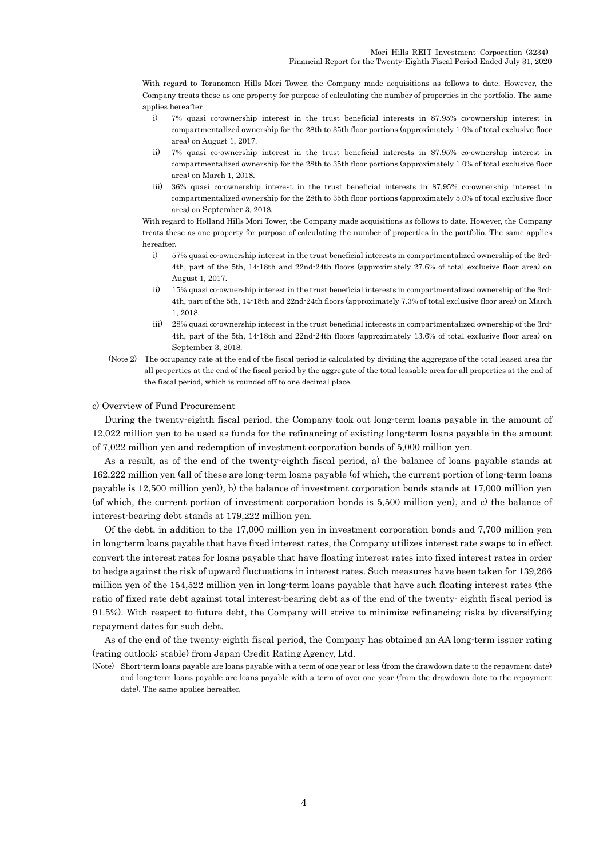With regard to Toranomon Hills Mori Tower, the Company made acquisitions as follows to date. However, the Company treats these as one property for purpose of calculating the number of properties in the portfolio. The same applies hereafter.

- i) 7% quasi co-ownership interest in the trust beneficial interests in 87.95% co-ownership interest in compartmentalized ownership for the 28th to 35th floor portions (approximately 1.0% of total exclusive floor area) on August 1, 2017.
- ii) 7% quasi co-ownership interest in the trust beneficial interests in 87.95% co-ownership interest in compartmentalized ownership for the 28th to 35th floor portions (approximately 1.0% of total exclusive floor area) on March 1, 2018.
- iii) 36% quasi co-ownership interest in the trust beneficial interests in 87.95% co-ownership interest in compartmentalized ownership for the 28th to 35th floor portions (approximately 5.0% of total exclusive floor area) on September 3, 2018.

With regard to Holland Hills Mori Tower, the Company made acquisitions as follows to date. However, the Company treats these as one property for purpose of calculating the number of properties in the portfolio. The same applies hereafter.

- i) 57% quasi co-ownership interest in the trust beneficial interests in compartmentalized ownership of the 3rd-4th, part of the 5th, 14-18th and 22nd-24th floors (approximately 27.6% of total exclusive floor area) on August 1, 2017.
- ii) 15% quasi co-ownership interest in the trust beneficial interests in compartmentalized ownership of the 3rd-4th, part of the 5th, 14-18th and 22nd-24th floors (approximately 7.3% of total exclusive floor area) on March 1, 2018.
- iii) 28% quasi co-ownership interest in the trust beneficial interests in compartmentalized ownership of the 3rd-4th, part of the 5th, 14-18th and 22nd-24th floors (approximately 13.6% of total exclusive floor area) on September 3, 2018.
- (Note 2) The occupancy rate at the end of the fiscal period is calculated by dividing the aggregate of the total leased area for all properties at the end of the fiscal period by the aggregate of the total leasable area for all properties at the end of the fiscal period, which is rounded off to one decimal place.

#### c) Overview of Fund Procurement

During the twenty-eighth fiscal period, the Company took out long-term loans payable in the amount of 12,022 million yen to be used as funds for the refinancing of existing long-term loans payable in the amount of 7,022 million yen and redemption of investment corporation bonds of 5,000 million yen.

As a result, as of the end of the twenty-eighth fiscal period, a) the balance of loans payable stands at 162,222 million yen (all of these are long-term loans payable (of which, the current portion of long-term loans payable is 12,500 million yen)), b) the balance of investment corporation bonds stands at 17,000 million yen (of which, the current portion of investment corporation bonds is 5,500 million yen), and c) the balance of interest-bearing debt stands at 179,222 million yen.

Of the debt, in addition to the 17,000 million yen in investment corporation bonds and 7,700 million yen in long-term loans payable that have fixed interest rates, the Company utilizes interest rate swaps to in effect convert the interest rates for loans payable that have floating interest rates into fixed interest rates in order to hedge against the risk of upward fluctuations in interest rates. Such measures have been taken for 139,266 million yen of the 154,522 million yen in long-term loans payable that have such floating interest rates (the ratio of fixed rate debt against total interest-bearing debt as of the end of the twenty- eighth fiscal period is 91.5%). With respect to future debt, the Company will strive to minimize refinancing risks by diversifying repayment dates for such debt.

As of the end of the twenty-eighth fiscal period, the Company has obtained an AA long-term issuer rating (rating outlook: stable) from Japan Credit Rating Agency, Ltd.

(Note) Short-term loans payable are loans payable with a term of one year or less (from the drawdown date to the repayment date) and long-term loans payable are loans payable with a term of over one year (from the drawdown date to the repayment date). The same applies hereafter.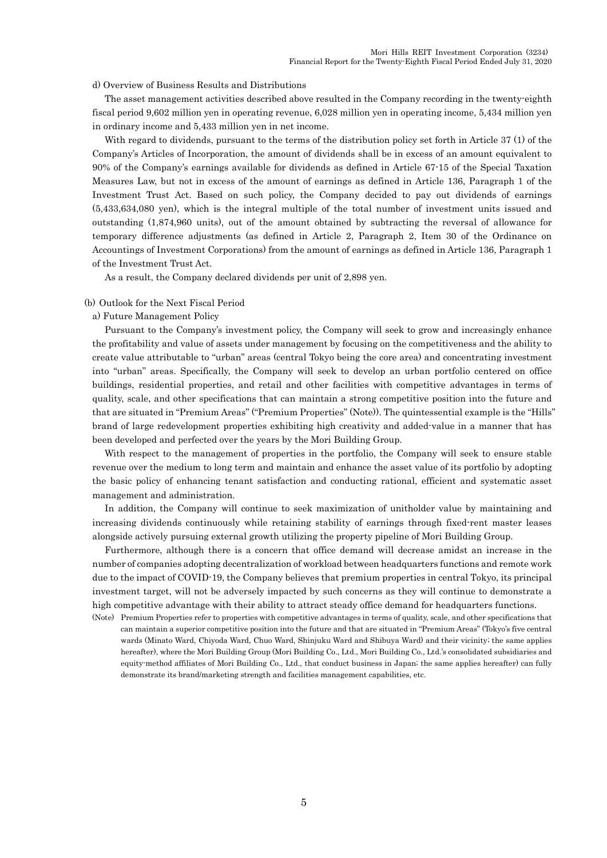d) Overview of Business Results and Distributions

The asset management activities described above resulted in the Company recording in the twenty-eighth fiscal period 9,602 million yen in operating revenue, 6,028 million yen in operating income, 5,434 million yen in ordinary income and 5,433 million yen in net income.

With regard to dividends, pursuant to the terms of the distribution policy set forth in Article 37 (1) of the Company's Articles of Incorporation, the amount of dividends shall be in excess of an amount equivalent to 90% of the Company's earnings available for dividends as defined in Article 67-15 of the Special Taxation Measures Law, but not in excess of the amount of earnings as defined in Article 136, Paragraph 1 of the Investment Trust Act. Based on such policy, the Company decided to pay out dividends of earnings (5,433,634,080 yen), which is the integral multiple of the total number of investment units issued and outstanding (1,874,960 units), out of the amount obtained by subtracting the reversal of allowance for temporary difference adjustments (as defined in Article 2, Paragraph 2, Item 30 of the Ordinance on Accountings of Investment Corporations) from the amount of earnings as defined in Article 136, Paragraph 1 of the Investment Trust Act.

As a result, the Company declared dividends per unit of 2,898 yen.

#### (b) Outlook for the Next Fiscal Period

a) Future Management Policy

Pursuant to the Company's investment policy, the Company will seek to grow and increasingly enhance the profitability and value of assets under management by focusing on the competitiveness and the ability to create value attributable to "urban" areas (central Tokyo being the core area) and concentrating investment into "urban" areas. Specifically, the Company will seek to develop an urban portfolio centered on office buildings, residential properties, and retail and other facilities with competitive advantages in terms of quality, scale, and other specifications that can maintain a strong competitive position into the future and that are situated in "Premium Areas" ("Premium Properties" (Note)). The quintessential example is the "Hills" brand of large redevelopment properties exhibiting high creativity and added-value in a manner that has been developed and perfected over the years by the Mori Building Group.

With respect to the management of properties in the portfolio, the Company will seek to ensure stable revenue over the medium to long term and maintain and enhance the asset value of its portfolio by adopting the basic policy of enhancing tenant satisfaction and conducting rational, efficient and systematic asset management and administration.

In addition, the Company will continue to seek maximization of unitholder value by maintaining and increasing dividends continuously while retaining stability of earnings through fixed-rent master leases alongside actively pursuing external growth utilizing the property pipeline of Mori Building Group.

Furthermore, although there is a concern that office demand will decrease amidst an increase in the number of companies adopting decentralization of workload between headquarters functions and remote work due to the impact of COVID-19, the Company believes that premium properties in central Tokyo, its principal investment target, will not be adversely impacted by such concerns as they will continue to demonstrate a high competitive advantage with their ability to attract steady office demand for headquarters functions.

(Note) Premium Properties refer to properties with competitive advantages in terms of quality, scale, and other specifications that can maintain a superior competitive position into the future and that are situated in "Premium Areas" (Tokyo's five central wards (Minato Ward, Chiyoda Ward, Chuo Ward, Shinjuku Ward and Shibuya Ward) and their vicinity; the same applies hereafter), where the Mori Building Group (Mori Building Co., Ltd., Mori Building Co., Ltd.'s consolidated subsidiaries and equity-method affiliates of Mori Building Co., Ltd., that conduct business in Japan; the same applies hereafter) can fully demonstrate its brand/marketing strength and facilities management capabilities, etc.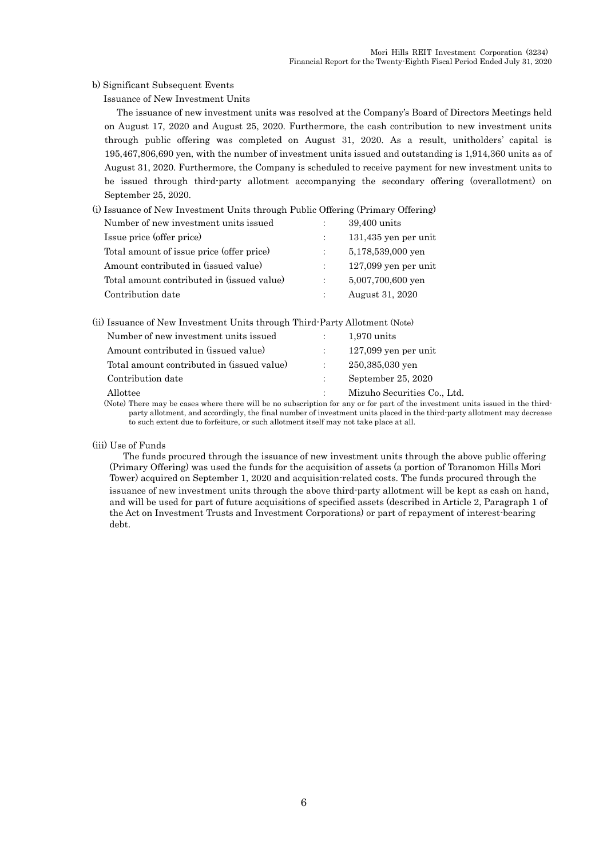b) Significant Subsequent Events

Issuance of New Investment Units

The issuance of new investment units was resolved at the Company's Board of Directors Meetings held on August 17, 2020 and August 25, 2020. Furthermore, the cash contribution to new investment units through public offering was completed on August 31, 2020. As a result, unitholders' capital is 195,467,806,690 yen, with the number of investment units issued and outstanding is 1,914,360 units as of August 31, 2020. Furthermore, the Company is scheduled to receive payment for new investment units to be issued through third-party allotment accompanying the secondary offering (overallotment) on September 25, 2020.

| (i) Issuance of New Investment Units through Public Offering (Primary Offering) |                        |
|---------------------------------------------------------------------------------|------------------------|
| Number of new investment units issued                                           | 39,400 units           |
| Issue price (offer price)                                                       | $131,435$ yen per unit |
| Total amount of issue price (offer price)                                       | 5,178,539,000 yen      |
| Amount contributed in (issued value)                                            | $127,099$ yen per unit |
| Total amount contributed in (issued value)                                      | 5,007,700,600 yen      |
| Contribution date                                                               | August 31, 2020        |

| (ii) Issuance of New Investment Units through Third-Party Allotment (Note) |                        |  |
|----------------------------------------------------------------------------|------------------------|--|
| Number of new investment units issued                                      | 1.970 units            |  |
| Amount contributed in (issued value)                                       | $127,099$ yen per unit |  |
| Total amount contributed in (issued value)                                 | 250,385,030 ven        |  |

| Contribution date | September 25, 2020 |
|-------------------|--------------------|

#### Allottee : Mizuho Securities Co., Ltd.

(Note) There may be cases where there will be no subscription for any or for part of the investment units issued in the thirdparty allotment, and accordingly, the final number of investment units placed in the third-party allotment may decrease to such extent due to forfeiture, or such allotment itself may not take place at all.

#### (iii) Use of Funds

The funds procured through the issuance of new investment units through the above public offering (Primary Offering) was used the funds for the acquisition of assets (a portion of Toranomon Hills Mori Tower) acquired on September 1, 2020 and acquisition-related costs. The funds procured through the issuance of new investment units through the above third-party allotment will be kept as cash on hand, and will be used for part of future acquisitions of specified assets (described in Article 2, Paragraph 1 of the Act on Investment Trusts and Investment Corporations) or part of repayment of interest-bearing debt.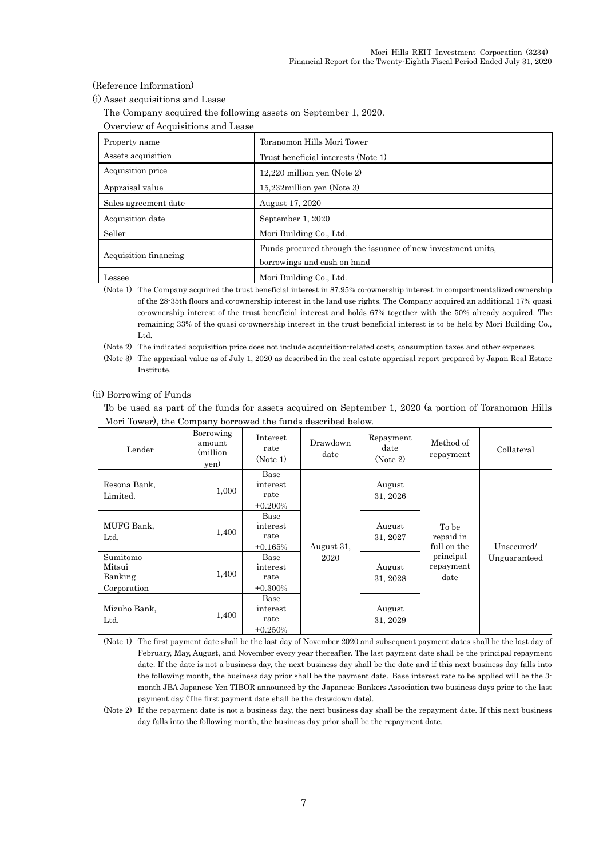(Reference Information)

(i) Asset acquisitions and Lease

The Company acquired the following assets on September 1, 2020.

|  |  | Overview of Acquisitions and Lease |  |  |
|--|--|------------------------------------|--|--|
|--|--|------------------------------------|--|--|

| Property name         | Toranomon Hills Mori Tower                                                                  |
|-----------------------|---------------------------------------------------------------------------------------------|
| Assets acquisition    | Trust beneficial interests (Note 1)                                                         |
| Acquisition price     | $12,220$ million yen (Note 2)                                                               |
| Appraisal value       | 15,232 million yen (Note 3)                                                                 |
| Sales agreement date  | August 17, 2020                                                                             |
| Acquisition date      | September 1, 2020                                                                           |
| Seller                | Mori Building Co., Ltd.                                                                     |
| Acquisition financing | Funds procured through the issuance of new investment units.<br>borrowings and cash on hand |
| Lessee                | Mori Building Co., Ltd.                                                                     |

(Note 1) The Company acquired the trust beneficial interest in 87.95% co-ownership interest in compartmentalized ownership of the 28-35th floors and co-ownership interest in the land use rights. The Company acquired an additional 17% quasi co-ownership interest of the trust beneficial interest and holds 67% together with the 50% already acquired. The remaining 33% of the quasi co-ownership interest in the trust beneficial interest is to be held by Mori Building Co., Ltd.

(Note 2) The indicated acquisition price does not include acquisition-related costs, consumption taxes and other expenses.

(Note 3) The appraisal value as of July 1, 2020 as described in the real estate appraisal report prepared by Japan Real Estate Institute.

#### (ii) Borrowing of Funds

To be used as part of the funds for assets acquired on September 1, 2020 (a portion of Toranomon Hills Mori Tower), the Company borrowed the funds described below.

| Lender                                       | Borrowing<br>amount<br>(million)<br>yen) | Interest<br>rate<br>(Note 1)           | Drawdown<br>date | Repayment<br>date<br>(Note 2) | Method of<br>repayment            | Collateral   |
|----------------------------------------------|------------------------------------------|----------------------------------------|------------------|-------------------------------|-----------------------------------|--------------|
| Resona Bank,<br>Limited.                     | 1,000                                    | Base<br>interest<br>rate<br>$+0.200\%$ |                  | August<br>31, 2026            |                                   |              |
| MUFG Bank,<br>Ltd.                           | 1,400                                    | Base<br>interest<br>rate<br>$+0.165%$  | August 31,       | August<br>31, 2027            | To be<br>repaid in<br>full on the | Unsecured/   |
| Sumitomo<br>Mitsui<br>Banking<br>Corporation | 1,400                                    | Base<br>interest<br>rate<br>$+0.300\%$ | 2020             | August<br>31, 2028            | principal<br>repayment<br>date    | Unguaranteed |
| Mizuho Bank,<br>Ltd.                         | 1,400                                    | Base<br>interest<br>rate<br>$+0.250%$  |                  | August<br>31, 2029            |                                   |              |

(Note 1) The first payment date shall be the last day of November 2020 and subsequent payment dates shall be the last day of February, May, August, and November every year thereafter. The last payment date shall be the principal repayment date. If the date is not a business day, the next business day shall be the date and if this next business day falls into the following month, the business day prior shall be the payment date. Base interest rate to be applied will be the 3 month JBA Japanese Yen TIBOR announced by the Japanese Bankers Association two business days prior to the last payment day (The first payment date shall be the drawdown date).

(Note 2) If the repayment date is not a business day, the next business day shall be the repayment date. If this next business day falls into the following month, the business day prior shall be the repayment date.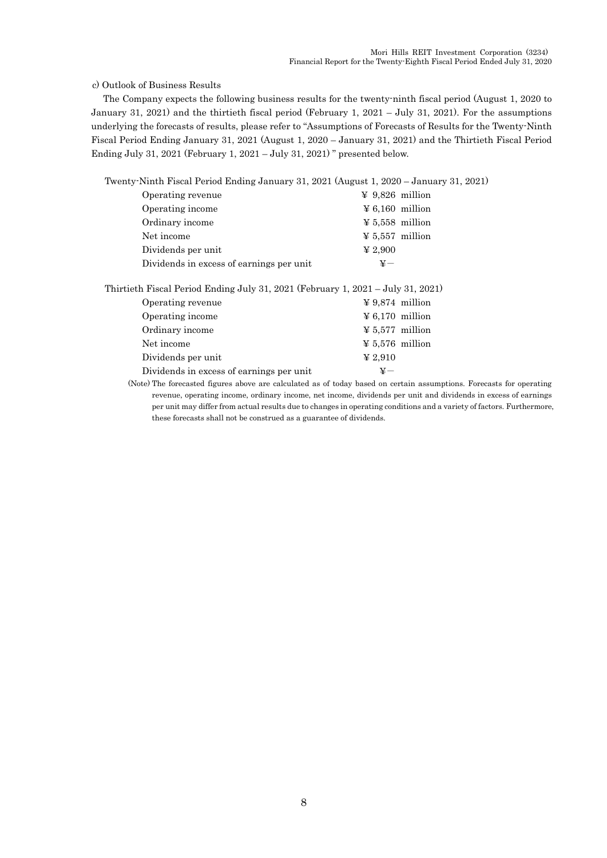#### c) Outlook of Business Results

The Company expects the following business results for the twenty-ninth fiscal period (August 1, 2020 to January 31, 2021) and the thirtieth fiscal period (February 1, 2021 – July 31, 2021). For the assumptions underlying the forecasts of results, please refer to "Assumptions of Forecasts of Results for the Twenty-Ninth Fiscal Period Ending January 31, 2021 (August 1, 2020 – January 31, 2021) and the Thirtieth Fiscal Period Ending July 31, 2021 (February 1, 2021 – July 31, 2021) " presented below.

Twenty-Ninth Fiscal Period Ending January 31, 2021 (August 1, 2020 – January 31, 2021)

| Operating revenue                        | $\textnormal{\textbf{4}}$ 9,826 million |
|------------------------------------------|-----------------------------------------|
| Operating income                         | $\textnormal{\textbf{4}} 6,160$ million |
| Ordinary income                          | $\textnormal{\textbf{4}} 5,558$ million |
| Net income                               | $\frac{1}{2}$ 5.557 million             |
| Dividends per unit                       | $\boldsymbol{\Psi}$ 2,900               |
| Dividends in excess of earnings per unit | $\mathtt{v}-$                           |
|                                          |                                         |

Thirtieth Fiscal Period Ending July 31, 2021 (February 1, 2021 – July 31, 2021)

| Operating revenue                        |  | $\textnormal{\textbf{4}}$ 9.874 million  |  |
|------------------------------------------|--|------------------------------------------|--|
| Operating income                         |  | $\textnormal{\textbf{4}}\,6.170$ million |  |
| Ordinary income                          |  | $\frac{1}{2}$ 5.577 million              |  |
| Net income                               |  | $\frac{1}{2}$ 5.576 million              |  |
| Dividends per unit                       |  | $\yen 2.910$                             |  |
| Dividends in excess of earnings per unit |  | $\mathtt{Y}-$                            |  |
|                                          |  |                                          |  |

(Note) The forecasted figures above are calculated as of today based on certain assumptions. Forecasts for operating revenue, operating income, ordinary income, net income, dividends per unit and dividends in excess of earnings per unit may differ from actual results due to changes in operating conditions and a variety of factors. Furthermore, these forecasts shall not be construed as a guarantee of dividends.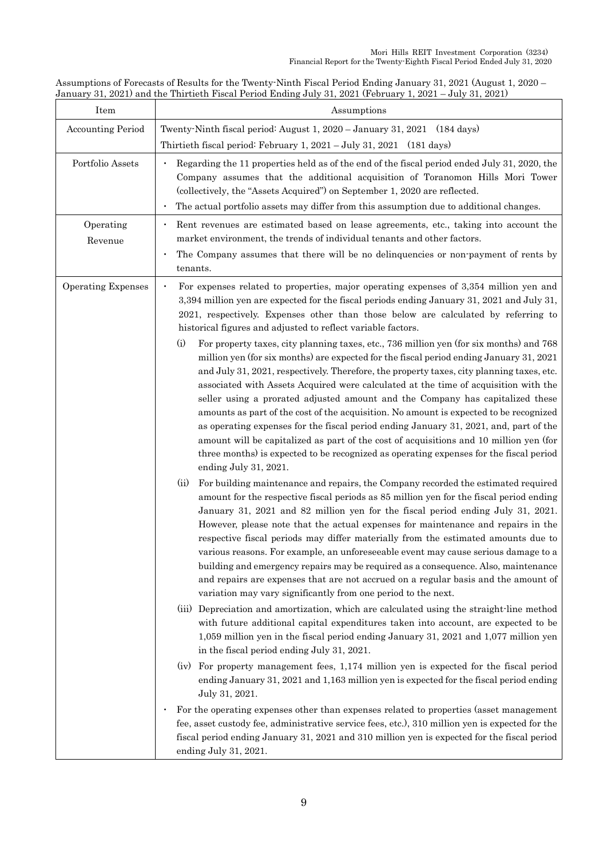Assumptions of Forecasts of Results for the Twenty-Ninth Fiscal Period Ending January 31, 2021 (August 1, 2020 – January 31, 2021) and the Thirtieth Fiscal Period Ending July 31, 2021 (February 1, 2021 – July 31, 2021)

| Assumptions                                                                                                                                                                                                                                                                                                                                                                                                                                                                                                                                                                                                                                                                                                                                                                                                                                                                                                                                                                                                                                                                                                                                                                                                                                                                                                                                                                                                                                                                                                                                                                                                                                                                                                                                                                                                                                                                                                                                                                                                                                                                                                                                                                                                                                                                                                                                                                                                                                                                                                                                                                                                                                                                                                                                |
|--------------------------------------------------------------------------------------------------------------------------------------------------------------------------------------------------------------------------------------------------------------------------------------------------------------------------------------------------------------------------------------------------------------------------------------------------------------------------------------------------------------------------------------------------------------------------------------------------------------------------------------------------------------------------------------------------------------------------------------------------------------------------------------------------------------------------------------------------------------------------------------------------------------------------------------------------------------------------------------------------------------------------------------------------------------------------------------------------------------------------------------------------------------------------------------------------------------------------------------------------------------------------------------------------------------------------------------------------------------------------------------------------------------------------------------------------------------------------------------------------------------------------------------------------------------------------------------------------------------------------------------------------------------------------------------------------------------------------------------------------------------------------------------------------------------------------------------------------------------------------------------------------------------------------------------------------------------------------------------------------------------------------------------------------------------------------------------------------------------------------------------------------------------------------------------------------------------------------------------------------------------------------------------------------------------------------------------------------------------------------------------------------------------------------------------------------------------------------------------------------------------------------------------------------------------------------------------------------------------------------------------------------------------------------------------------------------------------------------------------|
| Twenty Ninth fiscal period: August 1, 2020 - January 31, 2021 (184 days)<br>Thirtieth fiscal period: February 1, 2021 – July 31, 2021 (181 days)                                                                                                                                                                                                                                                                                                                                                                                                                                                                                                                                                                                                                                                                                                                                                                                                                                                                                                                                                                                                                                                                                                                                                                                                                                                                                                                                                                                                                                                                                                                                                                                                                                                                                                                                                                                                                                                                                                                                                                                                                                                                                                                                                                                                                                                                                                                                                                                                                                                                                                                                                                                           |
| Regarding the 11 properties held as of the end of the fiscal period ended July 31, 2020, the<br>Company assumes that the additional acquisition of Toranomon Hills Mori Tower<br>(collectively, the "Assets Acquired") on September 1, 2020 are reflected.<br>The actual portfolio assets may differ from this assumption due to additional changes.                                                                                                                                                                                                                                                                                                                                                                                                                                                                                                                                                                                                                                                                                                                                                                                                                                                                                                                                                                                                                                                                                                                                                                                                                                                                                                                                                                                                                                                                                                                                                                                                                                                                                                                                                                                                                                                                                                                                                                                                                                                                                                                                                                                                                                                                                                                                                                                       |
| Rent revenues are estimated based on lease agreements, etc., taking into account the<br>market environment, the trends of individual tenants and other factors.<br>The Company assumes that there will be no delinquencies or non-payment of rents by<br>tenants.                                                                                                                                                                                                                                                                                                                                                                                                                                                                                                                                                                                                                                                                                                                                                                                                                                                                                                                                                                                                                                                                                                                                                                                                                                                                                                                                                                                                                                                                                                                                                                                                                                                                                                                                                                                                                                                                                                                                                                                                                                                                                                                                                                                                                                                                                                                                                                                                                                                                          |
| For expenses related to properties, major operating expenses of 3,354 million yen and<br>$\bullet$<br>3,394 million yen are expected for the fiscal periods ending January 31, 2021 and July 31,<br>2021, respectively. Expenses other than those below are calculated by referring to<br>historical figures and adjusted to reflect variable factors.<br>(i)<br>For property taxes, city planning taxes, etc., 736 million yen (for six months) and 768<br>million yen (for six months) are expected for the fiscal period ending January 31, 2021<br>and July 31, 2021, respectively. Therefore, the property taxes, city planning taxes, etc.<br>associated with Assets Acquired were calculated at the time of acquisition with the<br>seller using a prorated adjusted amount and the Company has capitalized these<br>amounts as part of the cost of the acquisition. No amount is expected to be recognized<br>as operating expenses for the fiscal period ending January 31, 2021, and, part of the<br>amount will be capitalized as part of the cost of acquisitions and 10 million yen (for<br>three months) is expected to be recognized as operating expenses for the fiscal period<br>ending July 31, 2021.<br>(ii)<br>For building maintenance and repairs, the Company recorded the estimated required<br>amount for the respective fiscal periods as 85 million yen for the fiscal period ending<br>January 31, 2021 and 82 million yen for the fiscal period ending July 31, 2021.<br>However, please note that the actual expenses for maintenance and repairs in the<br>respective fiscal periods may differ materially from the estimated amounts due to<br>various reasons. For example, an unforeseeable event may cause serious damage to a<br>building and emergency repairs may be required as a consequence. Also, maintenance<br>and repairs are expenses that are not accrued on a regular basis and the amount of<br>variation may vary significantly from one period to the next.<br>(iii) Depreciation and amortization, which are calculated using the straight-line method<br>with future additional capital expenditures taken into account, are expected to be<br>1,059 million yen in the fiscal period ending January 31, 2021 and 1,077 million yen<br>in the fiscal period ending July 31, 2021.<br>(iv) For property management fees, 1,174 million yen is expected for the fiscal period<br>ending January 31, 2021 and 1,163 million yen is expected for the fiscal period ending<br>July 31, 2021.<br>For the operating expenses other than expenses related to properties (asset management<br>fee, asset custody fee, administrative service fees, etc.), 310 million yen is expected for the |
| fiscal period ending January 31, 2021 and 310 million yen is expected for the fiscal period<br>ending July 31, 2021.                                                                                                                                                                                                                                                                                                                                                                                                                                                                                                                                                                                                                                                                                                                                                                                                                                                                                                                                                                                                                                                                                                                                                                                                                                                                                                                                                                                                                                                                                                                                                                                                                                                                                                                                                                                                                                                                                                                                                                                                                                                                                                                                                                                                                                                                                                                                                                                                                                                                                                                                                                                                                       |
|                                                                                                                                                                                                                                                                                                                                                                                                                                                                                                                                                                                                                                                                                                                                                                                                                                                                                                                                                                                                                                                                                                                                                                                                                                                                                                                                                                                                                                                                                                                                                                                                                                                                                                                                                                                                                                                                                                                                                                                                                                                                                                                                                                                                                                                                                                                                                                                                                                                                                                                                                                                                                                                                                                                                            |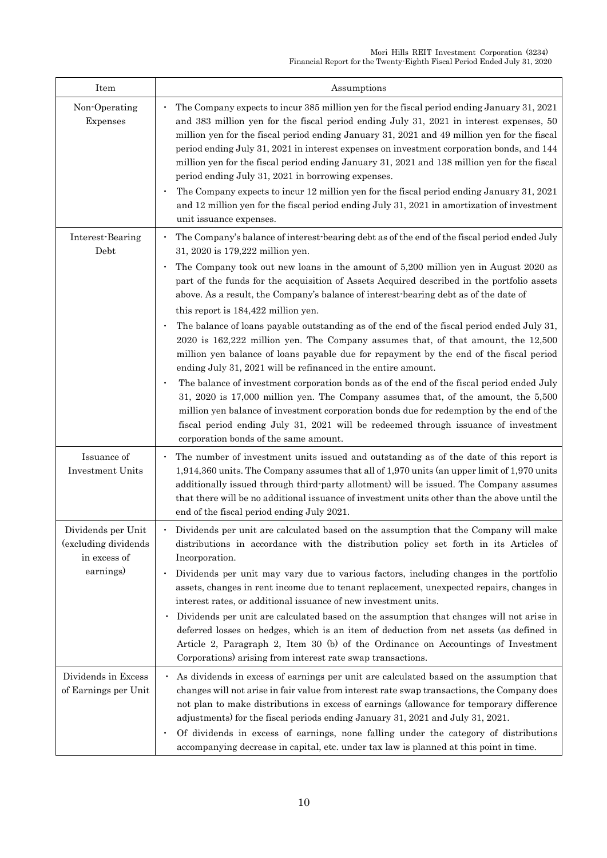| Item                                                        | Assumptions                                                                                                                                                                                                                                                                                                                                                                                                                                                                                                                             |
|-------------------------------------------------------------|-----------------------------------------------------------------------------------------------------------------------------------------------------------------------------------------------------------------------------------------------------------------------------------------------------------------------------------------------------------------------------------------------------------------------------------------------------------------------------------------------------------------------------------------|
| Non-Operating<br>Expenses                                   | The Company expects to incur 385 million yen for the fiscal period ending January 31, 2021<br>and 383 million yen for the fiscal period ending July 31, 2021 in interest expenses, 50<br>million yen for the fiscal period ending January 31, 2021 and 49 million yen for the fiscal<br>period ending July 31, 2021 in interest expenses on investment corporation bonds, and 144<br>million yen for the fiscal period ending January 31, 2021 and 138 million yen for the fiscal<br>period ending July 31, 2021 in borrowing expenses. |
|                                                             | The Company expects to incur 12 million yen for the fiscal period ending January 31, 2021<br>$\bullet$<br>and 12 million yen for the fiscal period ending July 31, 2021 in amortization of investment<br>unit issuance expenses.                                                                                                                                                                                                                                                                                                        |
| Interest-Bearing<br>Debt                                    | The Company's balance of interest bearing debt as of the end of the fiscal period ended July<br>31, 2020 is 179,222 million yen.                                                                                                                                                                                                                                                                                                                                                                                                        |
|                                                             | The Company took out new loans in the amount of 5,200 million yen in August 2020 as<br>$\bullet$<br>part of the funds for the acquisition of Assets Acquired described in the portfolio assets<br>above. As a result, the Company's balance of interest bearing debt as of the date of<br>this report is 184,422 million yen.                                                                                                                                                                                                           |
|                                                             | The balance of loans payable outstanding as of the end of the fiscal period ended July 31,<br>$\bullet$<br>$2020$ is $162,222$ million yen. The Company assumes that, of that amount, the $12,500$<br>million yen balance of loans payable due for repayment by the end of the fiscal period<br>ending July 31, 2021 will be refinanced in the entire amount.                                                                                                                                                                           |
|                                                             | The balance of investment corporation bonds as of the end of the fiscal period ended July<br>31, 2020 is 17,000 million yen. The Company assumes that, of the amount, the 5,500<br>million yen balance of investment corporation bonds due for redemption by the end of the<br>fiscal period ending July 31, 2021 will be redeemed through issuance of investment<br>corporation bonds of the same amount.                                                                                                                              |
| Issuance of<br>Investment Units                             | The number of investment units issued and outstanding as of the date of this report is<br>1,914,360 units. The Company assumes that all of 1,970 units (an upper limit of 1,970 units<br>additionally issued through third party allotment) will be issued. The Company assumes<br>that there will be no additional issuance of investment units other than the above until the<br>end of the fiscal period ending July 2021.                                                                                                           |
| Dividends per Unit<br>(excluding dividends)<br>in excess of | Dividends per unit are calculated based on the assumption that the Company will make<br>distributions in accordance with the distribution policy set forth in its Articles of<br>Incorporation.                                                                                                                                                                                                                                                                                                                                         |
| earnings)                                                   | Dividends per unit may vary due to various factors, including changes in the portfolio<br>$\bullet$<br>assets, changes in rent income due to tenant replacement, unexpected repairs, changes in<br>interest rates, or additional issuance of new investment units.                                                                                                                                                                                                                                                                      |
|                                                             | Dividends per unit are calculated based on the assumption that changes will not arise in<br>$\bullet$<br>deferred losses on hedges, which is an item of deduction from net assets (as defined in<br>Article 2, Paragraph 2, Item 30 (b) of the Ordinance on Accountings of Investment<br>Corporations) arising from interest rate swap transactions.                                                                                                                                                                                    |
| Dividends in Excess<br>of Earnings per Unit                 | As dividends in excess of earnings per unit are calculated based on the assumption that<br>$\bullet$<br>changes will not arise in fair value from interest rate swap transactions, the Company does<br>not plan to make distributions in excess of earnings (allowance for temporary difference<br>adjustments) for the fiscal periods ending January 31, 2021 and July 31, 2021.                                                                                                                                                       |
|                                                             | Of dividends in excess of earnings, none falling under the category of distributions<br>$\bullet$<br>accompanying decrease in capital, etc. under tax law is planned at this point in time.                                                                                                                                                                                                                                                                                                                                             |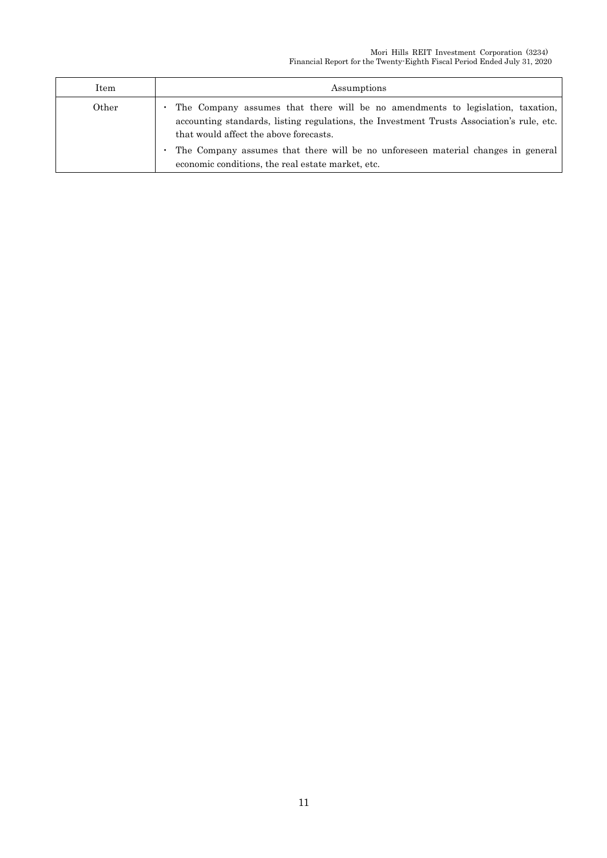| Item  | Assumptions                                                                                                                                                                                                                                                                                                                                                    |
|-------|----------------------------------------------------------------------------------------------------------------------------------------------------------------------------------------------------------------------------------------------------------------------------------------------------------------------------------------------------------------|
| Other | The Company assumes that there will be no amendments to legislation, taxation,<br>accounting standards, listing regulations, the Investment Trusts Association's rule, etc.<br>that would affect the above forecasts.<br>The Company assumes that there will be no unforeseen material changes in general<br>economic conditions, the real estate market, etc. |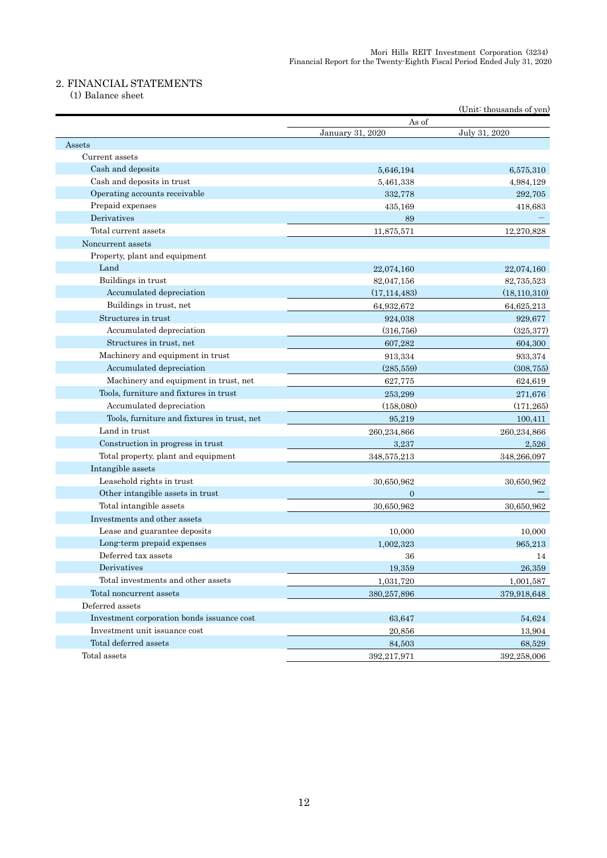### 2. FINANCIAL STATEMENTS

(1) Balance sheet

|                                             |                           | (Unit: thousands of yen) |
|---------------------------------------------|---------------------------|--------------------------|
|                                             | As of<br>January 31, 2020 | July 31, 2020            |
| Assets                                      |                           |                          |
| Current assets                              |                           |                          |
| Cash and deposits                           | 5,646,194                 | 6,575,310                |
| Cash and deposits in trust                  | 5,461,338                 | 4,984,129                |
| Operating accounts receivable               | 332,778                   | 292,705                  |
| Prepaid expenses                            | 435,169                   | 418,683                  |
| Derivatives                                 | 89                        |                          |
| Total current assets                        | 11,875,571                | 12,270,828               |
| Noncurrent assets                           |                           |                          |
| Property, plant and equipment               |                           |                          |
| Land                                        | 22,074,160                | 22,074,160               |
| Buildings in trust                          | 82,047,156                | 82,735,523               |
| Accumulated depreciation                    | (17, 114, 483)            | (18, 110, 310)           |
| Buildings in trust, net                     | 64,932,672                | 64,625,213               |
| Structures in trust                         | 924,038                   | 929,677                  |
| Accumulated depreciation                    | (316, 756)                | (325, 377)               |
| Structures in trust, net                    | 607,282                   | 604,300                  |
| Machinery and equipment in trust            | 913,334                   | 933,374                  |
| Accumulated depreciation                    | (285, 559)                | (308, 755)               |
| Machinery and equipment in trust, net       | 627,775                   | 624,619                  |
| Tools, furniture and fixtures in trust      | 253,299                   | 271,676                  |
| Accumulated depreciation                    | (158,080)                 | (171, 265)               |
| Tools, furniture and fixtures in trust, net | 95,219                    | 100,411                  |
| Land in trust                               | 260,234,866               | 260,234,866              |
| Construction in progress in trust           | 3,237                     | 2,526                    |
| Total property, plant and equipment         | 348,575,213               | 348,266,097              |
| Intangible assets                           |                           |                          |
| Leasehold rights in trust                   | 30,650,962                | 30,650,962               |
| Other intangible assets in trust            | $\overline{0}$            |                          |
| Total intangible assets                     | 30,650,962                | 30,650,962               |
| Investments and other assets                |                           |                          |
| Lease and guarantee deposits                | 10,000                    | 10,000                   |
| Long-term prepaid expenses                  | 1,002,323                 | 965,213                  |
| Deferred tax assets                         | 36                        | 14                       |
| Derivatives                                 | 19,359                    | 26,359                   |
| Total investments and other assets          | 1,031,720                 | 1,001,587                |
| Total noncurrent assets                     | 380,257,896               | 379,918,648              |
| Deferred assets                             |                           |                          |
| Investment corporation bonds issuance cost  | 63,647                    | 54,624                   |
| Investment unit issuance cost               | 20,856                    | 13,904                   |
| Total deferred assets                       | 84,503                    | 68,529                   |
| Total assets                                | 392,217,971               | 392,258,006              |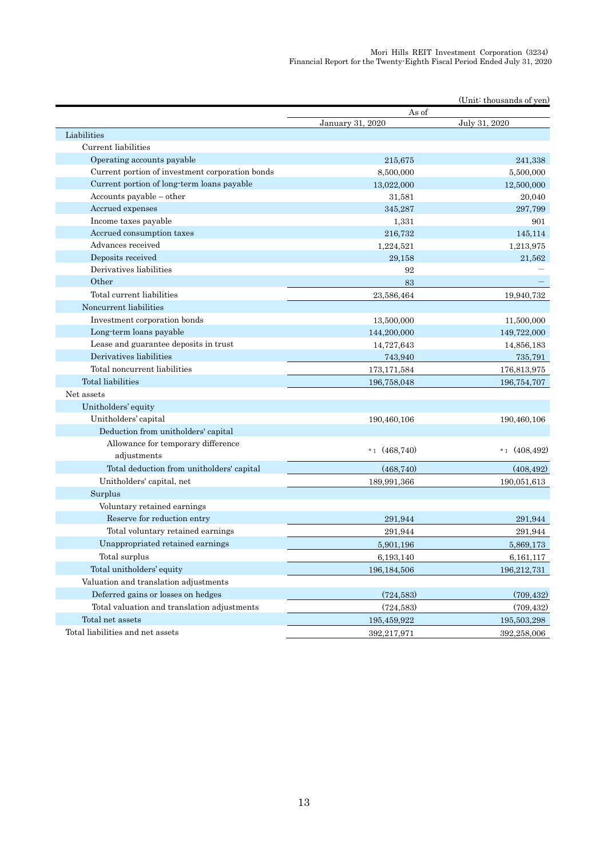|                                                 | As of            |                 |
|-------------------------------------------------|------------------|-----------------|
|                                                 | January 31, 2020 | July 31, 2020   |
| Liabilities                                     |                  |                 |
| Current liabilities                             |                  |                 |
| Operating accounts payable                      | 215,675          | 241,338         |
| Current portion of investment corporation bonds | 8,500,000        | 5,500,000       |
| Current portion of long-term loans payable      | 13,022,000       | 12,500,000      |
| $Accounts$ payable $-$ other                    | 31,581           | 20,040          |
| Accrued expenses                                | 345,287          | 297,799         |
| Income taxes payable                            | 1,331            | 901             |
| Accrued consumption taxes                       | 216,732          | 145,114         |
| Advances received                               | 1,224,521        | 1,213,975       |
| Deposits received                               | 29.158           | 21,562          |
| Derivatives liabilities                         | 92               |                 |
| Other                                           | 83               |                 |
| Total current liabilities                       | 23,586,464       | 19,940,732      |
| Noncurrent liabilities                          |                  |                 |
| Investment corporation bonds                    | 13,500,000       | 11,500,000      |
| Long-term loans payable                         | 144,200,000      | 149,722,000     |
| Lease and guarantee deposits in trust           | 14,727,643       | 14,856,183      |
| Derivatives liabilities                         | 743,940          | 735,791         |
| Total noncurrent liabilities                    | 173, 171, 584    | 176,813,975     |
| Total liabilities                               | 196,758,048      | 196,754,707     |
| Net assets                                      |                  |                 |
| Unitholders' equity                             |                  |                 |
| Unitholders' capital                            | 190,460,106      | 190,460,106     |
| Deduction from unitholders' capital             |                  |                 |
| Allowance for temporary difference              |                  |                 |
| adjustments                                     | $*1(468,740)$    | *1 $(408, 492)$ |
| Total deduction from unitholders' capital       | (468, 740)       | (408, 492)      |
| Unitholders' capital, net                       | 189,991,366      | 190,051,613     |
| Surplus                                         |                  |                 |
| Voluntary retained earnings                     |                  |                 |
| Reserve for reduction entry                     | 291,944          | 291,944         |
| Total voluntary retained earnings               | 291,944          | 291,944         |
| Unappropriated retained earnings                | 5,901,196        | 5,869,173       |
| Total surplus                                   | 6,193,140        | 6,161,117       |
| Total unitholders' equity                       | 196, 184, 506    | 196,212,731     |
| Valuation and translation adjustments           |                  |                 |
| Deferred gains or losses on hedges              | (724, 583)       | (709, 432)      |
| Total valuation and translation adjustments     | (724, 583)       | (709, 432)      |
| Total net assets                                | 195,459,922      | 195,503,298     |
| Total liabilities and net assets                | 392,217,971      | 392,258,006     |
|                                                 |                  |                 |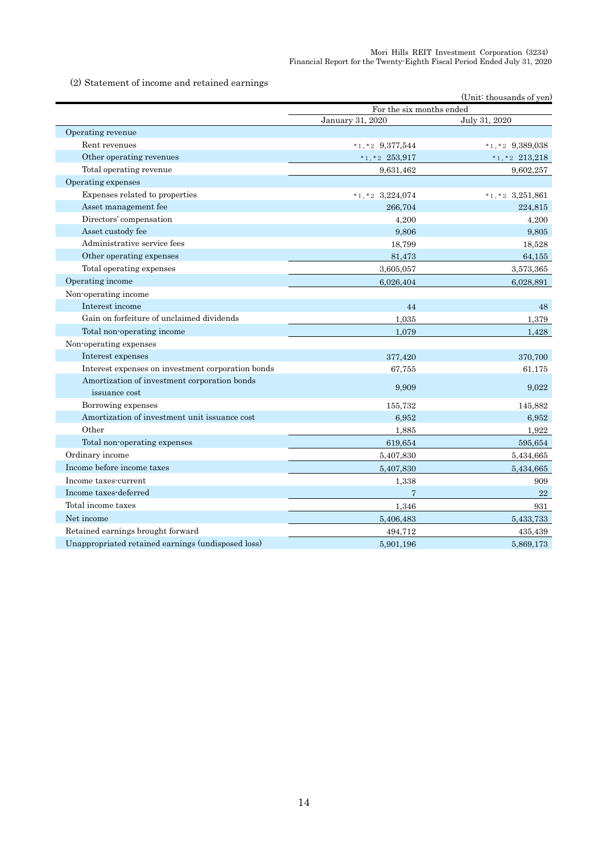(2) Statement of income and retained earnings

| For the six months ended<br>July 31, 2020<br>January 31, 2020<br>Operating revenue<br>Rent revenues<br>$*1, *2$ 9,377,544<br>$*1, *2$ 9,389,038<br>Other operating revenues<br>$*1,*2$ 253,917<br>$*1,*2$ 213,218<br>Total operating revenue<br>9,631,462<br>9,602,257<br>Operating expenses<br>Expenses related to properties<br>$*1,*2$ 3,224,074<br>$*1, *2$ 3,251,861<br>Asset management fee<br>266.704<br>224.815<br>Directors' compensation<br>4,200<br>4,200<br>Asset custody fee<br>9,806<br>9,805<br>Administrative service fees<br>18,799<br>18,528<br>Other operating expenses<br>64,155<br>81,473<br>Total operating expenses<br>3,605,057<br>3,573,365<br>Operating income<br>6,026,404<br>6,028,891<br>Non-operating income<br>Interest income<br>44<br>48<br>Gain on forfeiture of unclaimed dividends<br>1.035<br>1,379<br>Total non-operating income<br>1,079<br>1,428<br>Non-operating expenses<br>Interest expenses<br>377,420<br>370,700<br>Interest expenses on investment corporation bonds<br>67,755<br>61,175<br>Amortization of investment corporation bonds<br>9,909<br>9,022<br>issuance cost<br>Borrowing expenses<br>155,732<br>145,882<br>Amortization of investment unit issuance cost<br>6.952<br>6.952<br>Other<br>1,885<br>1,922<br>Total non-operating expenses<br>619,654<br>595,654<br>Ordinary income<br>5,407,830<br>5,434,665<br>Income before income taxes<br>5,434,665<br>5,407,830<br>Income taxes-current<br>1,338<br>909 |                       |   | (Unit: thousands of yen) |
|------------------------------------------------------------------------------------------------------------------------------------------------------------------------------------------------------------------------------------------------------------------------------------------------------------------------------------------------------------------------------------------------------------------------------------------------------------------------------------------------------------------------------------------------------------------------------------------------------------------------------------------------------------------------------------------------------------------------------------------------------------------------------------------------------------------------------------------------------------------------------------------------------------------------------------------------------------------------------------------------------------------------------------------------------------------------------------------------------------------------------------------------------------------------------------------------------------------------------------------------------------------------------------------------------------------------------------------------------------------------------------------------------------------------------------------------------------------------|-----------------------|---|--------------------------|
|                                                                                                                                                                                                                                                                                                                                                                                                                                                                                                                                                                                                                                                                                                                                                                                                                                                                                                                                                                                                                                                                                                                                                                                                                                                                                                                                                                                                                                                                        |                       |   |                          |
|                                                                                                                                                                                                                                                                                                                                                                                                                                                                                                                                                                                                                                                                                                                                                                                                                                                                                                                                                                                                                                                                                                                                                                                                                                                                                                                                                                                                                                                                        |                       |   |                          |
|                                                                                                                                                                                                                                                                                                                                                                                                                                                                                                                                                                                                                                                                                                                                                                                                                                                                                                                                                                                                                                                                                                                                                                                                                                                                                                                                                                                                                                                                        |                       |   |                          |
|                                                                                                                                                                                                                                                                                                                                                                                                                                                                                                                                                                                                                                                                                                                                                                                                                                                                                                                                                                                                                                                                                                                                                                                                                                                                                                                                                                                                                                                                        |                       |   |                          |
|                                                                                                                                                                                                                                                                                                                                                                                                                                                                                                                                                                                                                                                                                                                                                                                                                                                                                                                                                                                                                                                                                                                                                                                                                                                                                                                                                                                                                                                                        |                       |   |                          |
|                                                                                                                                                                                                                                                                                                                                                                                                                                                                                                                                                                                                                                                                                                                                                                                                                                                                                                                                                                                                                                                                                                                                                                                                                                                                                                                                                                                                                                                                        |                       |   |                          |
|                                                                                                                                                                                                                                                                                                                                                                                                                                                                                                                                                                                                                                                                                                                                                                                                                                                                                                                                                                                                                                                                                                                                                                                                                                                                                                                                                                                                                                                                        |                       |   |                          |
|                                                                                                                                                                                                                                                                                                                                                                                                                                                                                                                                                                                                                                                                                                                                                                                                                                                                                                                                                                                                                                                                                                                                                                                                                                                                                                                                                                                                                                                                        |                       |   |                          |
|                                                                                                                                                                                                                                                                                                                                                                                                                                                                                                                                                                                                                                                                                                                                                                                                                                                                                                                                                                                                                                                                                                                                                                                                                                                                                                                                                                                                                                                                        |                       |   |                          |
|                                                                                                                                                                                                                                                                                                                                                                                                                                                                                                                                                                                                                                                                                                                                                                                                                                                                                                                                                                                                                                                                                                                                                                                                                                                                                                                                                                                                                                                                        |                       |   |                          |
|                                                                                                                                                                                                                                                                                                                                                                                                                                                                                                                                                                                                                                                                                                                                                                                                                                                                                                                                                                                                                                                                                                                                                                                                                                                                                                                                                                                                                                                                        |                       |   |                          |
|                                                                                                                                                                                                                                                                                                                                                                                                                                                                                                                                                                                                                                                                                                                                                                                                                                                                                                                                                                                                                                                                                                                                                                                                                                                                                                                                                                                                                                                                        |                       |   |                          |
|                                                                                                                                                                                                                                                                                                                                                                                                                                                                                                                                                                                                                                                                                                                                                                                                                                                                                                                                                                                                                                                                                                                                                                                                                                                                                                                                                                                                                                                                        |                       |   |                          |
|                                                                                                                                                                                                                                                                                                                                                                                                                                                                                                                                                                                                                                                                                                                                                                                                                                                                                                                                                                                                                                                                                                                                                                                                                                                                                                                                                                                                                                                                        |                       |   |                          |
|                                                                                                                                                                                                                                                                                                                                                                                                                                                                                                                                                                                                                                                                                                                                                                                                                                                                                                                                                                                                                                                                                                                                                                                                                                                                                                                                                                                                                                                                        |                       |   |                          |
|                                                                                                                                                                                                                                                                                                                                                                                                                                                                                                                                                                                                                                                                                                                                                                                                                                                                                                                                                                                                                                                                                                                                                                                                                                                                                                                                                                                                                                                                        |                       |   |                          |
|                                                                                                                                                                                                                                                                                                                                                                                                                                                                                                                                                                                                                                                                                                                                                                                                                                                                                                                                                                                                                                                                                                                                                                                                                                                                                                                                                                                                                                                                        |                       |   |                          |
|                                                                                                                                                                                                                                                                                                                                                                                                                                                                                                                                                                                                                                                                                                                                                                                                                                                                                                                                                                                                                                                                                                                                                                                                                                                                                                                                                                                                                                                                        |                       |   |                          |
|                                                                                                                                                                                                                                                                                                                                                                                                                                                                                                                                                                                                                                                                                                                                                                                                                                                                                                                                                                                                                                                                                                                                                                                                                                                                                                                                                                                                                                                                        |                       |   |                          |
|                                                                                                                                                                                                                                                                                                                                                                                                                                                                                                                                                                                                                                                                                                                                                                                                                                                                                                                                                                                                                                                                                                                                                                                                                                                                                                                                                                                                                                                                        |                       |   |                          |
|                                                                                                                                                                                                                                                                                                                                                                                                                                                                                                                                                                                                                                                                                                                                                                                                                                                                                                                                                                                                                                                                                                                                                                                                                                                                                                                                                                                                                                                                        |                       |   |                          |
|                                                                                                                                                                                                                                                                                                                                                                                                                                                                                                                                                                                                                                                                                                                                                                                                                                                                                                                                                                                                                                                                                                                                                                                                                                                                                                                                                                                                                                                                        |                       |   |                          |
|                                                                                                                                                                                                                                                                                                                                                                                                                                                                                                                                                                                                                                                                                                                                                                                                                                                                                                                                                                                                                                                                                                                                                                                                                                                                                                                                                                                                                                                                        |                       |   |                          |
|                                                                                                                                                                                                                                                                                                                                                                                                                                                                                                                                                                                                                                                                                                                                                                                                                                                                                                                                                                                                                                                                                                                                                                                                                                                                                                                                                                                                                                                                        |                       |   |                          |
|                                                                                                                                                                                                                                                                                                                                                                                                                                                                                                                                                                                                                                                                                                                                                                                                                                                                                                                                                                                                                                                                                                                                                                                                                                                                                                                                                                                                                                                                        |                       |   |                          |
|                                                                                                                                                                                                                                                                                                                                                                                                                                                                                                                                                                                                                                                                                                                                                                                                                                                                                                                                                                                                                                                                                                                                                                                                                                                                                                                                                                                                                                                                        |                       |   |                          |
|                                                                                                                                                                                                                                                                                                                                                                                                                                                                                                                                                                                                                                                                                                                                                                                                                                                                                                                                                                                                                                                                                                                                                                                                                                                                                                                                                                                                                                                                        |                       |   |                          |
|                                                                                                                                                                                                                                                                                                                                                                                                                                                                                                                                                                                                                                                                                                                                                                                                                                                                                                                                                                                                                                                                                                                                                                                                                                                                                                                                                                                                                                                                        |                       |   |                          |
|                                                                                                                                                                                                                                                                                                                                                                                                                                                                                                                                                                                                                                                                                                                                                                                                                                                                                                                                                                                                                                                                                                                                                                                                                                                                                                                                                                                                                                                                        |                       |   |                          |
|                                                                                                                                                                                                                                                                                                                                                                                                                                                                                                                                                                                                                                                                                                                                                                                                                                                                                                                                                                                                                                                                                                                                                                                                                                                                                                                                                                                                                                                                        |                       |   |                          |
|                                                                                                                                                                                                                                                                                                                                                                                                                                                                                                                                                                                                                                                                                                                                                                                                                                                                                                                                                                                                                                                                                                                                                                                                                                                                                                                                                                                                                                                                        |                       |   |                          |
|                                                                                                                                                                                                                                                                                                                                                                                                                                                                                                                                                                                                                                                                                                                                                                                                                                                                                                                                                                                                                                                                                                                                                                                                                                                                                                                                                                                                                                                                        | Income taxes-deferred | 7 | 22                       |
| Total income taxes<br>1,346<br>931                                                                                                                                                                                                                                                                                                                                                                                                                                                                                                                                                                                                                                                                                                                                                                                                                                                                                                                                                                                                                                                                                                                                                                                                                                                                                                                                                                                                                                     |                       |   |                          |
| Net income<br>5,406,483<br>5,433,733                                                                                                                                                                                                                                                                                                                                                                                                                                                                                                                                                                                                                                                                                                                                                                                                                                                                                                                                                                                                                                                                                                                                                                                                                                                                                                                                                                                                                                   |                       |   |                          |
| Retained earnings brought forward<br>494,712<br>435,439                                                                                                                                                                                                                                                                                                                                                                                                                                                                                                                                                                                                                                                                                                                                                                                                                                                                                                                                                                                                                                                                                                                                                                                                                                                                                                                                                                                                                |                       |   |                          |
| Unappropriated retained earnings (undisposed loss)<br>5,901,196<br>5,869,173                                                                                                                                                                                                                                                                                                                                                                                                                                                                                                                                                                                                                                                                                                                                                                                                                                                                                                                                                                                                                                                                                                                                                                                                                                                                                                                                                                                           |                       |   |                          |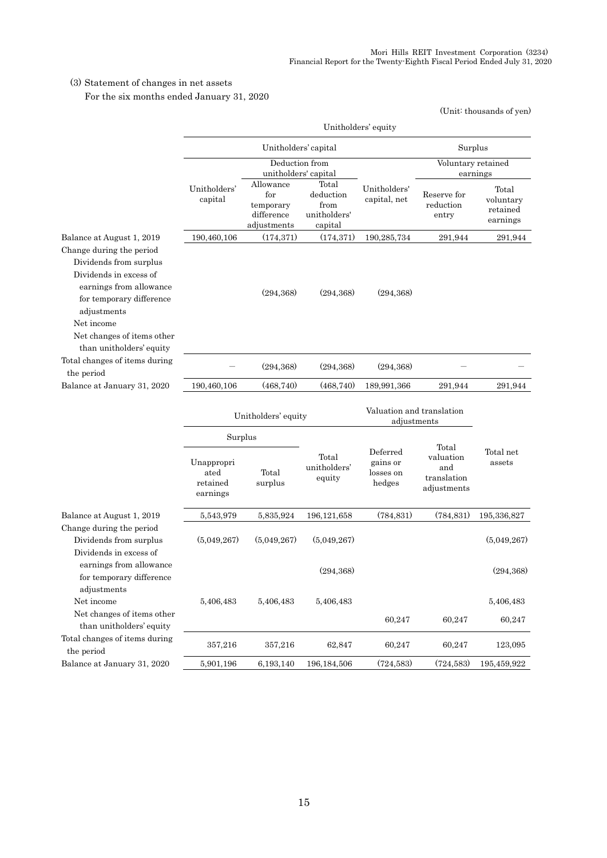### (3) Statement of changes in net assets

For the six months ended January 31, 2020

|                                                                                                                                                                                                                            | Unitholders' equity                        |                                                            |                                                       |                                             |                                                         |                                            |  |
|----------------------------------------------------------------------------------------------------------------------------------------------------------------------------------------------------------------------------|--------------------------------------------|------------------------------------------------------------|-------------------------------------------------------|---------------------------------------------|---------------------------------------------------------|--------------------------------------------|--|
|                                                                                                                                                                                                                            |                                            | Unitholders' capital                                       |                                                       |                                             | Surplus                                                 |                                            |  |
|                                                                                                                                                                                                                            |                                            |                                                            | Deduction from<br>unitholders' capital                |                                             | Voluntary retained<br>earnings                          |                                            |  |
|                                                                                                                                                                                                                            | Unitholders'<br>capital                    | Allowance<br>for<br>temporary<br>difference<br>adjustments | Total<br>deduction<br>from<br>unitholders'<br>capital | Unitholders'<br>capital, net                | Reserve for<br>reduction<br>entry                       | Total<br>voluntary<br>retained<br>earnings |  |
| Balance at August 1, 2019                                                                                                                                                                                                  | 190,460,106                                | (174, 371)                                                 | (174, 371)                                            | 190,285,734                                 | 291,944                                                 | 291,944                                    |  |
| Change during the period<br>Dividends from surplus<br>Dividends in excess of<br>earnings from allowance<br>for temporary difference<br>adjustments<br>Net income<br>Net changes of items other<br>than unitholders' equity |                                            | (294, 368)                                                 | (294, 368)                                            | (294, 368)                                  |                                                         |                                            |  |
| Total changes of items during<br>the period                                                                                                                                                                                |                                            | (294, 368)                                                 | (294, 368)                                            | (294, 368)                                  |                                                         |                                            |  |
| Balance at January 31, 2020                                                                                                                                                                                                | 190,460,106                                | (468, 740)                                                 | (468, 740)                                            | 189,991,366                                 | 291,944                                                 | 291,944                                    |  |
|                                                                                                                                                                                                                            | Unitholders' equity                        |                                                            |                                                       | Valuation and translation<br>adjustments    |                                                         |                                            |  |
|                                                                                                                                                                                                                            |                                            | Surplus                                                    |                                                       |                                             |                                                         |                                            |  |
|                                                                                                                                                                                                                            | Unappropri<br>ated<br>retained<br>earnings | Total<br>surplus                                           | Total<br>unitholders'<br>equity                       | Deferred<br>gains or<br>losses on<br>hedges | Total<br>valuation<br>and<br>translation<br>adjustments | Total net<br>assets                        |  |
| Balance at August 1, 2019                                                                                                                                                                                                  | 5,543,979                                  | 5,835,924                                                  | 196, 121, 658                                         | (784,831)                                   | (784, 831)                                              | 195,336,827                                |  |
| Change during the period<br>Dividends from surplus<br>Dividends in excess of                                                                                                                                               | (5,049,267)                                | (5,049,267)                                                | (5,049,267)                                           |                                             |                                                         | (5,049,267)                                |  |
| earnings from allowance<br>for temporary difference                                                                                                                                                                        |                                            |                                                            | (294, 368)                                            |                                             |                                                         | (294, 368)                                 |  |
| adjustments<br>Net income<br>Net changes of items other                                                                                                                                                                    | 5,406,483                                  | 5,406,483                                                  | 5,406,483                                             | 60,247                                      | 60,247                                                  | 5,406,483<br>60,247                        |  |
| than unitholders' equity                                                                                                                                                                                                   |                                            |                                                            |                                                       |                                             |                                                         |                                            |  |
| Total changes of items during<br>the period                                                                                                                                                                                | 357,216                                    | 357,216                                                    | 62,847                                                | 60,247                                      | 60,247                                                  | 123,095                                    |  |
| Balance at January 31, 2020                                                                                                                                                                                                | 5,901,196                                  | 6,193,140                                                  | 196, 184, 506                                         | (724, 583)                                  | (724, 583)                                              | 195,459,922                                |  |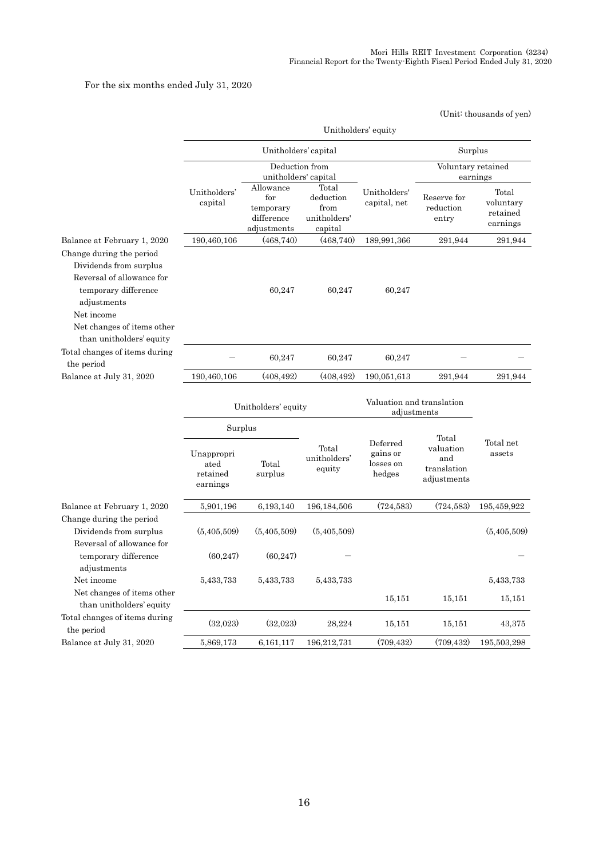For the six months ended July 31, 2020

|                                                                                                                                                                                                |                                            |                                                            |                                                       |                                             |                                                | (Unit: thousands of yen)                   |  |
|------------------------------------------------------------------------------------------------------------------------------------------------------------------------------------------------|--------------------------------------------|------------------------------------------------------------|-------------------------------------------------------|---------------------------------------------|------------------------------------------------|--------------------------------------------|--|
|                                                                                                                                                                                                |                                            |                                                            |                                                       | Unitholders' equity                         |                                                |                                            |  |
|                                                                                                                                                                                                |                                            | Unitholders' capital                                       |                                                       |                                             | Surplus                                        |                                            |  |
|                                                                                                                                                                                                |                                            | Deduction from<br>unitholders' capital                     |                                                       |                                             |                                                | Voluntary retained<br>earnings             |  |
|                                                                                                                                                                                                | Unitholders'<br>capital                    | Allowance<br>for<br>temporary<br>difference<br>adjustments | Total<br>deduction<br>from<br>unitholders'<br>capital | Unitholders'<br>capital, net                | Reserve for<br>reduction<br>entry              | Total<br>voluntary<br>retained<br>earnings |  |
| Balance at February 1, 2020                                                                                                                                                                    | 190,460,106                                | (468, 740)                                                 | (468, 740)                                            | 189,991,366                                 | 291,944                                        | 291,944                                    |  |
| Change during the period<br>Dividends from surplus<br>Reversal of allowance for<br>temporary difference<br>adjustments<br>Net income<br>Net changes of items other<br>than unitholders' equity |                                            | 60,247                                                     | 60,247                                                | 60,247                                      |                                                |                                            |  |
| Total changes of items during<br>the period                                                                                                                                                    |                                            | 60,247                                                     | 60,247                                                | 60,247                                      |                                                |                                            |  |
| Balance at July 31, 2020                                                                                                                                                                       | 190,460,106                                | (408, 492)                                                 | (408, 492)                                            | 190,051,613                                 | 291,944                                        | 291,944                                    |  |
|                                                                                                                                                                                                | Unitholders' equity                        |                                                            | Valuation and translation<br>adjustments              |                                             |                                                |                                            |  |
|                                                                                                                                                                                                | Surplus                                    |                                                            |                                                       |                                             | Total                                          |                                            |  |
|                                                                                                                                                                                                | Unappropri<br>ated<br>retained<br>earnings | Total<br>surplus                                           | Total<br>unitholders'<br>equity                       | Deferred<br>gains or<br>losses on<br>hedges | valuation<br>and<br>translation<br>adjustments | Total net<br>assets                        |  |
| Balance at February 1, 2020                                                                                                                                                                    | 5,901,196                                  | 6,193,140                                                  | 196, 184, 506                                         | (724, 583)                                  | (724, 583)                                     | 195,459,922                                |  |
| Change during the period<br>Dividends from surplus                                                                                                                                             | (5,405,509)                                | (5,405,509)                                                | (5,405,509)                                           |                                             |                                                | (5, 405, 509)                              |  |
| Reversal of allowance for<br>temporary difference<br>adjustments                                                                                                                               | (60, 247)                                  | (60, 247)                                                  |                                                       |                                             |                                                |                                            |  |
| Net income                                                                                                                                                                                     | 5,433,733                                  | 5,433,733                                                  | 5,433,733                                             |                                             |                                                | 5,433,733                                  |  |
| Net changes of items other<br>than unitholders' equity                                                                                                                                         |                                            |                                                            |                                                       | 15,151                                      | 15,151                                         | 15,151                                     |  |
| Total changes of items during<br>the period                                                                                                                                                    | (32,023)                                   | (32,023)                                                   | 28,224                                                | 15,151                                      | 15,151                                         | 43,375                                     |  |
| Balance at July 31, 2020                                                                                                                                                                       | 5,869,173                                  | 6,161,117                                                  | 196,212,731                                           | (709, 432)                                  | (709, 432)                                     | 195,503,298                                |  |

16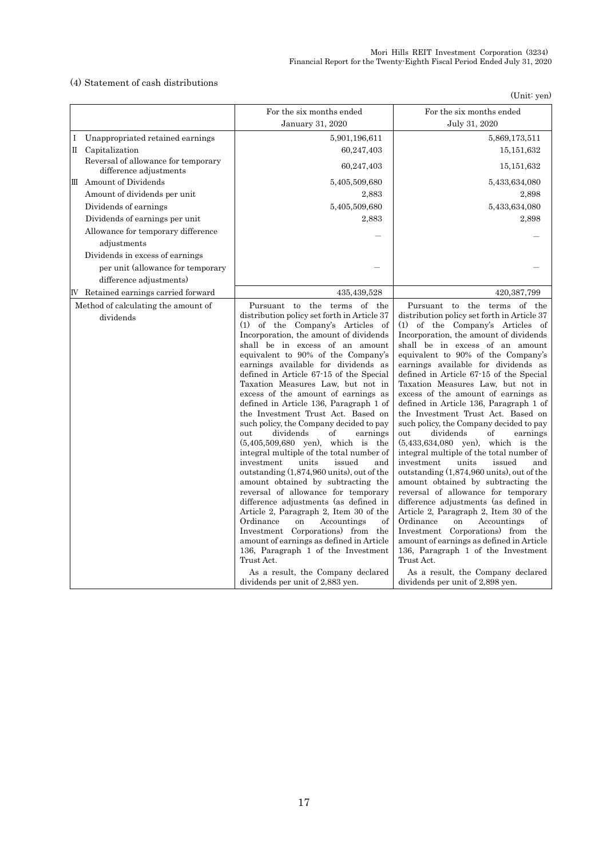#### (4) Statement of cash distributions

(Unit: yen)

|                                                               | For the six months ended                                                                                                                                                                                                                                                                                                                                                                                                                                                                                                                                                                                                                                                                                                                                                                                                                                                                                                                                                                                                                                                                                                                                                   | For the six months ended                                                                                                                                                                                                                                                                                                                                                                                                                                                                                                                                                                                                                                                                                                                                                                                                                                                                                                                                                                                                                                                                                                                                                    |
|---------------------------------------------------------------|----------------------------------------------------------------------------------------------------------------------------------------------------------------------------------------------------------------------------------------------------------------------------------------------------------------------------------------------------------------------------------------------------------------------------------------------------------------------------------------------------------------------------------------------------------------------------------------------------------------------------------------------------------------------------------------------------------------------------------------------------------------------------------------------------------------------------------------------------------------------------------------------------------------------------------------------------------------------------------------------------------------------------------------------------------------------------------------------------------------------------------------------------------------------------|-----------------------------------------------------------------------------------------------------------------------------------------------------------------------------------------------------------------------------------------------------------------------------------------------------------------------------------------------------------------------------------------------------------------------------------------------------------------------------------------------------------------------------------------------------------------------------------------------------------------------------------------------------------------------------------------------------------------------------------------------------------------------------------------------------------------------------------------------------------------------------------------------------------------------------------------------------------------------------------------------------------------------------------------------------------------------------------------------------------------------------------------------------------------------------|
|                                                               | January 31, 2020                                                                                                                                                                                                                                                                                                                                                                                                                                                                                                                                                                                                                                                                                                                                                                                                                                                                                                                                                                                                                                                                                                                                                           | July 31, 2020                                                                                                                                                                                                                                                                                                                                                                                                                                                                                                                                                                                                                                                                                                                                                                                                                                                                                                                                                                                                                                                                                                                                                               |
| Unappropriated retained earnings<br>I                         | 5,901,196,611                                                                                                                                                                                                                                                                                                                                                                                                                                                                                                                                                                                                                                                                                                                                                                                                                                                                                                                                                                                                                                                                                                                                                              | 5,869,173,511                                                                                                                                                                                                                                                                                                                                                                                                                                                                                                                                                                                                                                                                                                                                                                                                                                                                                                                                                                                                                                                                                                                                                               |
| II Capitalization                                             | 60,247,403                                                                                                                                                                                                                                                                                                                                                                                                                                                                                                                                                                                                                                                                                                                                                                                                                                                                                                                                                                                                                                                                                                                                                                 | 15, 151, 632                                                                                                                                                                                                                                                                                                                                                                                                                                                                                                                                                                                                                                                                                                                                                                                                                                                                                                                                                                                                                                                                                                                                                                |
| Reversal of allowance for temporary<br>difference adjustments | 60,247,403                                                                                                                                                                                                                                                                                                                                                                                                                                                                                                                                                                                                                                                                                                                                                                                                                                                                                                                                                                                                                                                                                                                                                                 | 15, 151, 632                                                                                                                                                                                                                                                                                                                                                                                                                                                                                                                                                                                                                                                                                                                                                                                                                                                                                                                                                                                                                                                                                                                                                                |
| III Amount of Dividends                                       | 5,405,509,680                                                                                                                                                                                                                                                                                                                                                                                                                                                                                                                                                                                                                                                                                                                                                                                                                                                                                                                                                                                                                                                                                                                                                              | 5,433,634,080                                                                                                                                                                                                                                                                                                                                                                                                                                                                                                                                                                                                                                                                                                                                                                                                                                                                                                                                                                                                                                                                                                                                                               |
| Amount of dividends per unit                                  | 2,883                                                                                                                                                                                                                                                                                                                                                                                                                                                                                                                                                                                                                                                                                                                                                                                                                                                                                                                                                                                                                                                                                                                                                                      | 2,898                                                                                                                                                                                                                                                                                                                                                                                                                                                                                                                                                                                                                                                                                                                                                                                                                                                                                                                                                                                                                                                                                                                                                                       |
| Dividends of earnings                                         | 5,405,509,680                                                                                                                                                                                                                                                                                                                                                                                                                                                                                                                                                                                                                                                                                                                                                                                                                                                                                                                                                                                                                                                                                                                                                              | 5,433,634,080                                                                                                                                                                                                                                                                                                                                                                                                                                                                                                                                                                                                                                                                                                                                                                                                                                                                                                                                                                                                                                                                                                                                                               |
| Dividends of earnings per unit                                | 2,883                                                                                                                                                                                                                                                                                                                                                                                                                                                                                                                                                                                                                                                                                                                                                                                                                                                                                                                                                                                                                                                                                                                                                                      | 2,898                                                                                                                                                                                                                                                                                                                                                                                                                                                                                                                                                                                                                                                                                                                                                                                                                                                                                                                                                                                                                                                                                                                                                                       |
| Allowance for temporary difference                            |                                                                                                                                                                                                                                                                                                                                                                                                                                                                                                                                                                                                                                                                                                                                                                                                                                                                                                                                                                                                                                                                                                                                                                            |                                                                                                                                                                                                                                                                                                                                                                                                                                                                                                                                                                                                                                                                                                                                                                                                                                                                                                                                                                                                                                                                                                                                                                             |
| adjustments                                                   |                                                                                                                                                                                                                                                                                                                                                                                                                                                                                                                                                                                                                                                                                                                                                                                                                                                                                                                                                                                                                                                                                                                                                                            |                                                                                                                                                                                                                                                                                                                                                                                                                                                                                                                                                                                                                                                                                                                                                                                                                                                                                                                                                                                                                                                                                                                                                                             |
| Dividends in excess of earnings                               |                                                                                                                                                                                                                                                                                                                                                                                                                                                                                                                                                                                                                                                                                                                                                                                                                                                                                                                                                                                                                                                                                                                                                                            |                                                                                                                                                                                                                                                                                                                                                                                                                                                                                                                                                                                                                                                                                                                                                                                                                                                                                                                                                                                                                                                                                                                                                                             |
| per unit (allowance for temporary                             |                                                                                                                                                                                                                                                                                                                                                                                                                                                                                                                                                                                                                                                                                                                                                                                                                                                                                                                                                                                                                                                                                                                                                                            |                                                                                                                                                                                                                                                                                                                                                                                                                                                                                                                                                                                                                                                                                                                                                                                                                                                                                                                                                                                                                                                                                                                                                                             |
| difference adjustments)                                       |                                                                                                                                                                                                                                                                                                                                                                                                                                                                                                                                                                                                                                                                                                                                                                                                                                                                                                                                                                                                                                                                                                                                                                            |                                                                                                                                                                                                                                                                                                                                                                                                                                                                                                                                                                                                                                                                                                                                                                                                                                                                                                                                                                                                                                                                                                                                                                             |
| IV Retained earnings carried forward                          | 435,439,528                                                                                                                                                                                                                                                                                                                                                                                                                                                                                                                                                                                                                                                                                                                                                                                                                                                                                                                                                                                                                                                                                                                                                                | 420, 387, 799                                                                                                                                                                                                                                                                                                                                                                                                                                                                                                                                                                                                                                                                                                                                                                                                                                                                                                                                                                                                                                                                                                                                                               |
| Method of calculating the amount of<br>dividends              | Pursuant to the terms of the<br>distribution policy set forth in Article 37<br>(1) of the Company's Articles of<br>Incorporation, the amount of dividends<br>shall be in excess of an amount<br>equivalent to 90% of the Company's<br>earnings available for dividends as<br>defined in Article 67-15 of the Special<br>Taxation Measures Law, but not in<br>excess of the amount of earnings as<br>defined in Article 136, Paragraph 1 of<br>the Investment Trust Act. Based on<br>such policy, the Company decided to pay<br>dividends<br>out<br>of<br>earnings<br>$(5,405,509,680$ yen), which is the<br>integral multiple of the total number of<br>investment<br>units<br>issued<br>and<br>outstanding $(1,874,960 \text{ units})$ , out of the<br>amount obtained by subtracting the<br>reversal of allowance for temporary<br>difference adjustments (as defined in<br>Article 2, Paragraph 2, Item 30 of the<br>Ordinance<br>Accountings<br>on<br>of<br>Investment Corporations) from the<br>amount of earnings as defined in Article<br>136, Paragraph 1 of the Investment<br>Trust Act.<br>As a result, the Company declared<br>dividends per unit of 2,883 yen. | Pursuant to the terms of the<br>distribution policy set forth in Article 37<br>(1) of the Company's Articles of<br>Incorporation, the amount of dividends<br>shall be in excess of an amount<br>equivalent to 90% of the Company's<br>earnings available for dividends as<br>defined in Article 67-15 of the Special<br>Taxation Measures Law, but not in<br>excess of the amount of earnings as<br>defined in Article 136, Paragraph 1 of<br>the Investment Trust Act. Based on<br>such policy, the Company decided to pay<br>dividends<br>out<br>of<br>earnings<br>$(5,433,634,080 \text{ yen})$ , which is<br>the<br>integral multiple of the total number of<br>investment<br>units<br>issued<br>and<br>outstanding (1,874,960 units), out of the<br>amount obtained by subtracting the<br>reversal of allowance for temporary<br>difference adjustments (as defined in<br>Article 2, Paragraph 2, Item 30 of the<br>Ordinance<br>on<br>Accountings<br>of<br>Investment Corporations) from the<br>amount of earnings as defined in Article<br>136, Paragraph 1 of the Investment<br>Trust Act.<br>As a result, the Company declared<br>dividends per unit of 2,898 yen. |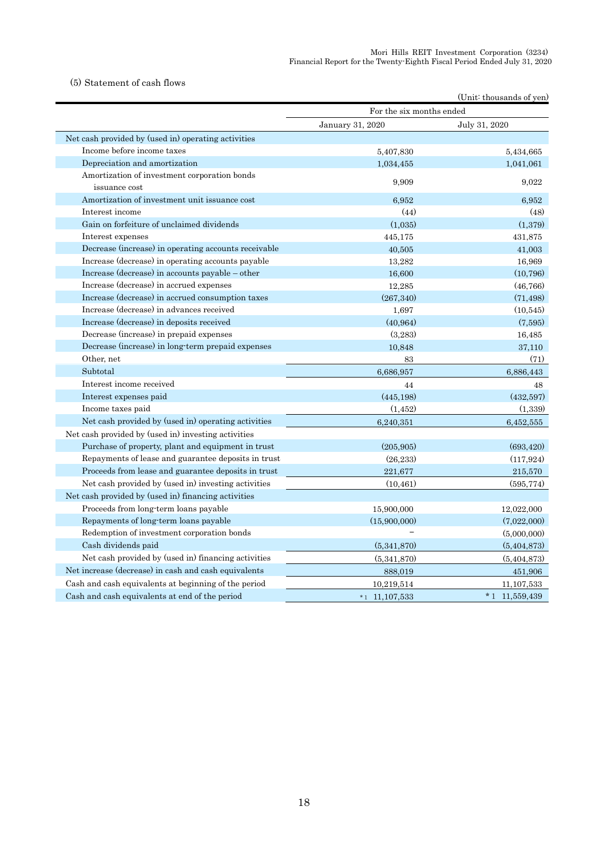#### (5) Statement of cash flows

|                                                               |                          | (Unit: thousands of yen) |
|---------------------------------------------------------------|--------------------------|--------------------------|
|                                                               | For the six months ended |                          |
|                                                               | January 31, 2020         | July 31, 2020            |
| Net cash provided by (used in) operating activities           |                          |                          |
| Income before income taxes                                    | 5,407,830                | 5,434,665                |
| Depreciation and amortization                                 | 1,034,455                | 1,041,061                |
| Amortization of investment corporation bonds<br>issuance cost | 9,909                    | 9,022                    |
| Amortization of investment unit issuance cost                 | 6.952                    | 6.952                    |
| Interest income                                               | (44)                     | (48)                     |
| Gain on forfeiture of unclaimed dividends                     | (1,035)                  | (1,379)                  |
| Interest expenses                                             | 445,175                  | 431,875                  |
| Decrease (increase) in operating accounts receivable          | 40,505                   | 41,003                   |
| Increase (decrease) in operating accounts payable             | 13,282                   | 16,969                   |
| Increase (decrease) in accounts payable – other               | 16,600                   | (10, 796)                |
| Increase (decrease) in accrued expenses                       | 12,285                   | (46, 766)                |
| Increase (decrease) in accrued consumption taxes              | (267, 340)               | (71, 498)                |
| Increase (decrease) in advances received                      | 1,697                    | (10, 545)                |
| Increase (decrease) in deposits received                      | (40, 964)                | (7,595)                  |
| Decrease (increase) in prepaid expenses                       | (3,283)                  | 16,485                   |
| Decrease (increase) in long-term prepaid expenses             | 10,848                   | 37,110                   |
| Other, net                                                    | 83                       | (71)                     |
| Subtotal                                                      | 6,686,957                | 6,886,443                |
| Interest income received                                      | 44                       | 48                       |
| Interest expenses paid                                        | (445, 198)               | (432,597)                |
| Income taxes paid                                             | (1, 452)                 | (1,339)                  |
| Net cash provided by (used in) operating activities           | 6,240,351                | 6,452,555                |
| Net cash provided by (used in) investing activities           |                          |                          |
| Purchase of property, plant and equipment in trust            | (205, 905)               | (693, 420)               |
| Repayments of lease and guarantee deposits in trust           | (26, 233)                | (117, 924)               |
| Proceeds from lease and guarantee deposits in trust           | 221,677                  | 215,570                  |
| Net cash provided by (used in) investing activities           | (10, 461)                | (595, 774)               |
| Net cash provided by (used in) financing activities           |                          |                          |
| Proceeds from long-term loans payable                         | 15,900,000               | 12,022,000               |
| Repayments of long-term loans payable                         | (15,900,000)             | (7,022,000)              |
| Redemption of investment corporation bonds                    |                          | (5,000,000)              |
| Cash dividends paid                                           | (5,341,870)              | (5,404,873)              |
| Net cash provided by (used in) financing activities           | (5,341,870)              | (5, 404, 873)            |
| Net increase (decrease) in cash and cash equivalents          | 888,019                  | 451,906                  |
| Cash and cash equivalents at beginning of the period          | 10,219,514               | 11,107,533               |
| Cash and cash equivalents at end of the period                | $*1$ 11, 107, 533        | $*1$ 11,559,439          |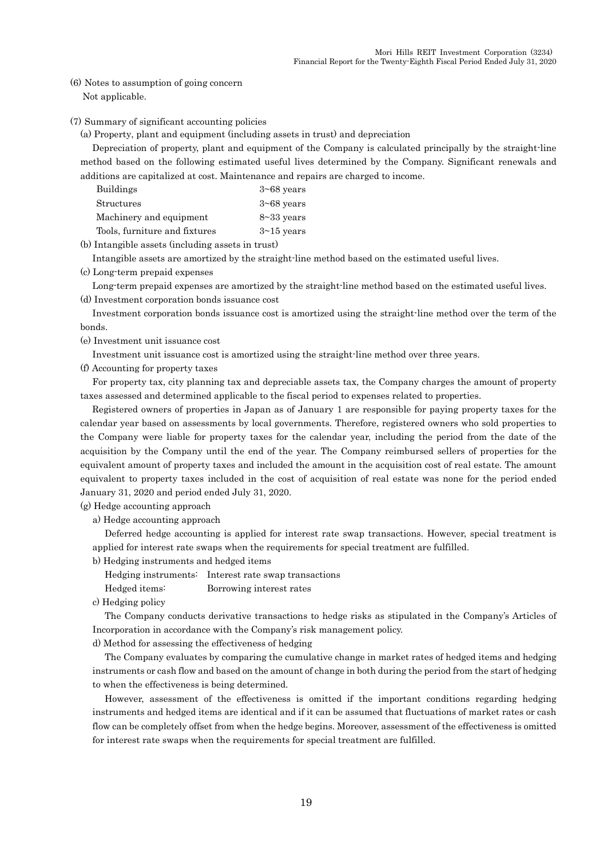(6) Notes to assumption of going concern Not applicable.

#### (7) Summary of significant accounting policies

(a) Property, plant and equipment (including assets in trust) and depreciation

Depreciation of property, plant and equipment of the Company is calculated principally by the straight-line method based on the following estimated useful lives determined by the Company. Significant renewals and additions are capitalized at cost. Maintenance and repairs are charged to income.

| <b>Buildings</b>              | $3\neg 68$ years |
|-------------------------------|------------------|
| <b>Structures</b>             | $3\neg 68$ years |
| Machinery and equipment       | $8 - 33$ years   |
| Tools, furniture and fixtures | $3\nu 15$ years  |

(b) Intangible assets (including assets in trust)

Intangible assets are amortized by the straight-line method based on the estimated useful lives.

(c) Long-term prepaid expenses

Long-term prepaid expenses are amortized by the straight-line method based on the estimated useful lives. (d) Investment corporation bonds issuance cost

Investment corporation bonds issuance cost is amortized using the straight-line method over the term of the bonds.

(e) Investment unit issuance cost

Investment unit issuance cost is amortized using the straight-line method over three years.

(f) Accounting for property taxes

For property tax, city planning tax and depreciable assets tax, the Company charges the amount of property taxes assessed and determined applicable to the fiscal period to expenses related to properties.

Registered owners of properties in Japan as of January 1 are responsible for paying property taxes for the calendar year based on assessments by local governments. Therefore, registered owners who sold properties to the Company were liable for property taxes for the calendar year, including the period from the date of the acquisition by the Company until the end of the year. The Company reimbursed sellers of properties for the equivalent amount of property taxes and included the amount in the acquisition cost of real estate. The amount equivalent to property taxes included in the cost of acquisition of real estate was none for the period ended January 31, 2020 and period ended July 31, 2020.

(g) Hedge accounting approach

a) Hedge accounting approach

Deferred hedge accounting is applied for interest rate swap transactions. However, special treatment is applied for interest rate swaps when the requirements for special treatment are fulfilled.

- b) Hedging instruments and hedged items
	- Hedging instruments: Interest rate swap transactions

Hedged items: Borrowing interest rates

c) Hedging policy

The Company conducts derivative transactions to hedge risks as stipulated in the Company's Articles of Incorporation in accordance with the Company's risk management policy.

d) Method for assessing the effectiveness of hedging

The Company evaluates by comparing the cumulative change in market rates of hedged items and hedging instruments or cash flow and based on the amount of change in both during the period from the start of hedging to when the effectiveness is being determined.

However, assessment of the effectiveness is omitted if the important conditions regarding hedging instruments and hedged items are identical and if it can be assumed that fluctuations of market rates or cash flow can be completely offset from when the hedge begins. Moreover, assessment of the effectiveness is omitted for interest rate swaps when the requirements for special treatment are fulfilled.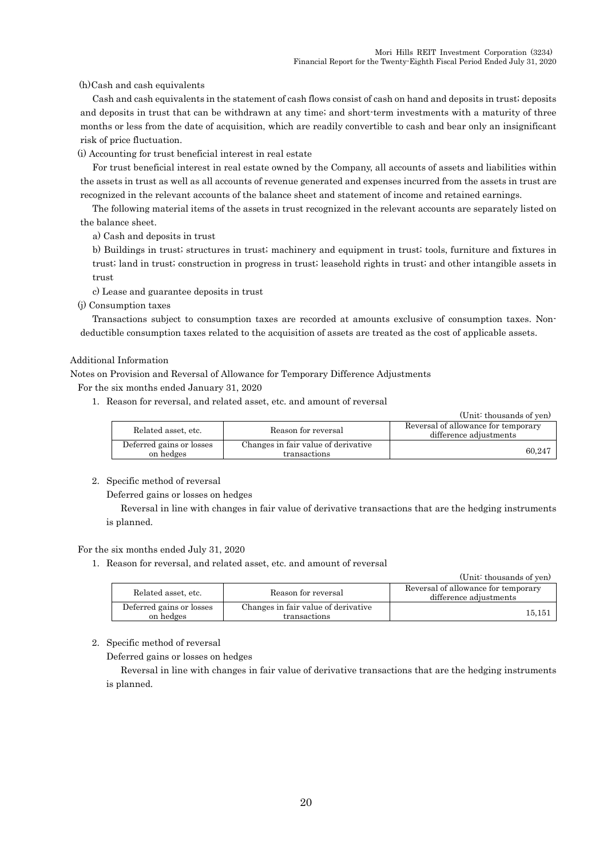(h)Cash and cash equivalents

Cash and cash equivalents in the statement of cash flows consist of cash on hand and deposits in trust; deposits and deposits in trust that can be withdrawn at any time; and short-term investments with a maturity of three months or less from the date of acquisition, which are readily convertible to cash and bear only an insignificant risk of price fluctuation.

(i) Accounting for trust beneficial interest in real estate

For trust beneficial interest in real estate owned by the Company, all accounts of assets and liabilities within the assets in trust as well as all accounts of revenue generated and expenses incurred from the assets in trust are recognized in the relevant accounts of the balance sheet and statement of income and retained earnings.

The following material items of the assets in trust recognized in the relevant accounts are separately listed on the balance sheet.

a) Cash and deposits in trust

b) Buildings in trust; structures in trust; machinery and equipment in trust; tools, furniture and fixtures in trust; land in trust; construction in progress in trust; leasehold rights in trust; and other intangible assets in trust

c) Lease and guarantee deposits in trust

(j) Consumption taxes

Transactions subject to consumption taxes are recorded at amounts exclusive of consumption taxes. Nondeductible consumption taxes related to the acquisition of assets are treated as the cost of applicable assets.

#### Additional Information

Notes on Provision and Reversal of Allowance for Temporary Difference Adjustments

For the six months ended January 31, 2020

1. Reason for reversal, and related asset, etc. and amount of reversal

(Unit: thousands of yen)

| Related asset, etc.                   | Reason for reversal                                 | Reversal of allowance for temporary<br>difference adjustments |
|---------------------------------------|-----------------------------------------------------|---------------------------------------------------------------|
| Deferred gains or losses<br>on hedges | Changes in fair value of derivative<br>transactions | 60.247                                                        |

#### 2. Specific method of reversal

Deferred gains or losses on hedges

Reversal in line with changes in fair value of derivative transactions that are the hedging instruments is planned.

#### For the six months ended July 31, 2020

1. Reason for reversal, and related asset, etc. and amount of reversal

|                                       |                                                     | (Unit: thousands of yen)                                      |
|---------------------------------------|-----------------------------------------------------|---------------------------------------------------------------|
| Related asset, etc.                   | Reason for reversal                                 | Reversal of allowance for temporary<br>difference adjustments |
| Deferred gains or losses<br>on hedges | Changes in fair value of derivative<br>transactions | 15.151                                                        |

### 2. Specific method of reversal

Deferred gains or losses on hedges

Reversal in line with changes in fair value of derivative transactions that are the hedging instruments is planned.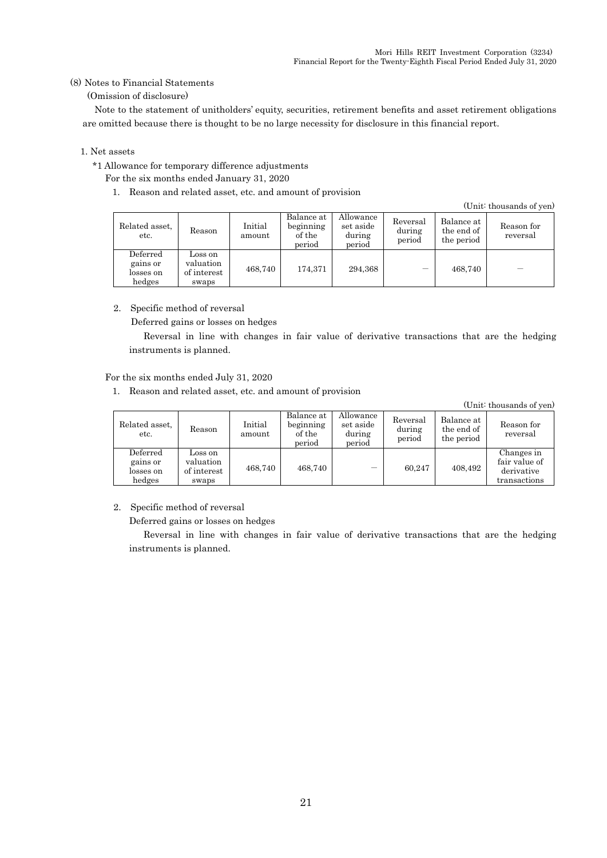(Unit: thousands of yen)

### (8) Notes to Financial Statements

(Omission of disclosure)

Note to the statement of unitholders' equity, securities, retirement benefits and asset retirement obligations are omitted because there is thought to be no large necessity for disclosure in this financial report.

#### 1. Net assets

\*1 Allowance for temporary difference adjustments

For the six months ended January 31, 2020

1. Reason and related asset, etc. and amount of provision

|                                             |                                              |                   |                                             |                                            |                              |                                        | (Umit. mousanus of year) |
|---------------------------------------------|----------------------------------------------|-------------------|---------------------------------------------|--------------------------------------------|------------------------------|----------------------------------------|--------------------------|
| Related asset,<br>etc.                      | Reason                                       | Initial<br>amount | Balance at<br>beginning<br>of the<br>period | Allowance<br>set aside<br>during<br>period | Reversal<br>during<br>period | Balance at<br>the end of<br>the period | Reason for<br>reversal   |
| Deferred<br>gains or<br>losses on<br>hedges | Loss on<br>valuation<br>of interest<br>swaps | 468,740           | 174.371                                     | 294.368                                    |                              | 468,740                                |                          |

### 2. Specific method of reversal

Deferred gains or losses on hedges

Reversal in line with changes in fair value of derivative transactions that are the hedging instruments is planned.

For the six months ended July 31, 2020

1. Reason and related asset, etc. and amount of provision

|                                             |                                              |                   |                                             |                                            |                              |                                        | (Unit: thousands of yen)                                  |
|---------------------------------------------|----------------------------------------------|-------------------|---------------------------------------------|--------------------------------------------|------------------------------|----------------------------------------|-----------------------------------------------------------|
| Related asset,<br>etc.                      | Reason                                       | Initial<br>amount | Balance at<br>beginning<br>of the<br>period | Allowance<br>set aside<br>during<br>period | Reversal<br>during<br>period | Balance at<br>the end of<br>the period | Reason for<br>reversal                                    |
| Deferred<br>gains or<br>losses on<br>hedges | Loss on<br>valuation<br>of interest<br>swaps | 468.740           | 468,740                                     |                                            | 60.247                       | 408,492                                | Changes in<br>fair value of<br>derivative<br>transactions |

### 2. Specific method of reversal

Deferred gains or losses on hedges

Reversal in line with changes in fair value of derivative transactions that are the hedging instruments is planned.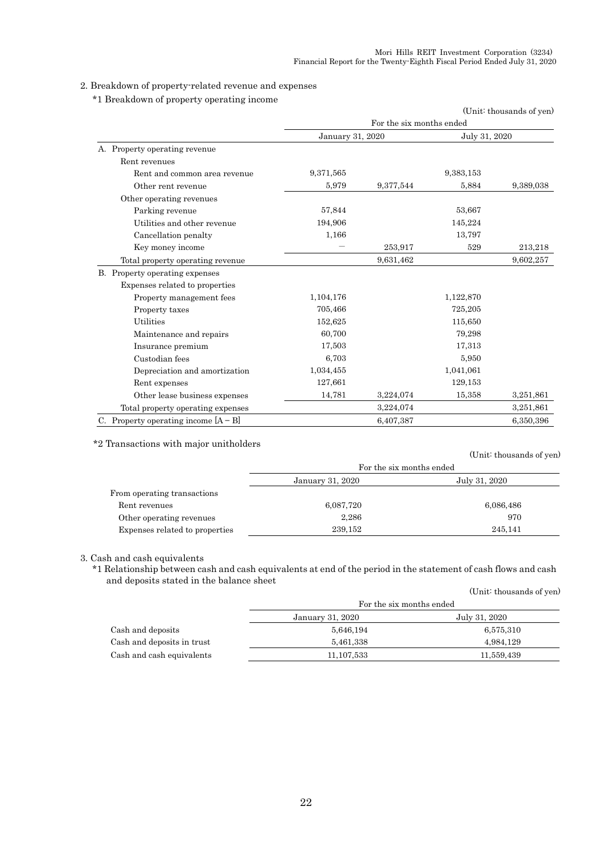### 2. Breakdown of property-related revenue and expenses

\*1 Breakdown of property operating income

| I Dieandown of property operating income |                  |                          |               | (Unit: thousands of yen) |
|------------------------------------------|------------------|--------------------------|---------------|--------------------------|
|                                          |                  | For the six months ended |               |                          |
|                                          | January 31, 2020 |                          | July 31, 2020 |                          |
| A. Property operating revenue            |                  |                          |               |                          |
| Rent revenues                            |                  |                          |               |                          |
| Rent and common area revenue             | 9,371,565        |                          | 9,383,153     |                          |
| Other rent revenue                       | 5.979            | 9,377,544                | 5.884         | 9,389,038                |
| Other operating revenues                 |                  |                          |               |                          |
| Parking revenue                          | 57,844           |                          | 53,667        |                          |
| Utilities and other revenue              | 194,906          |                          | 145,224       |                          |
| Cancellation penalty                     | 1,166            |                          | 13,797        |                          |
| Key money income                         |                  | 253,917                  | 529           | 213,218                  |
| Total property operating revenue         |                  | 9,631,462                |               | 9,602,257                |
| B. Property operating expenses           |                  |                          |               |                          |
| Expenses related to properties           |                  |                          |               |                          |
| Property management fees                 | 1,104,176        |                          | 1,122,870     |                          |
| Property taxes                           | 705,466          |                          | 725,205       |                          |
| <b>Utilities</b>                         | 152,625          |                          | 115,650       |                          |
| Maintenance and repairs                  | 60,700           |                          | 79,298        |                          |
| Insurance premium                        | 17,503           |                          | 17,313        |                          |
| Custodian fees                           | 6,703            |                          | 5.950         |                          |
| Depreciation and amortization            | 1,034,455        |                          | 1,041,061     |                          |
| Rent expenses                            | 127,661          |                          | 129,153       |                          |
| Other lease business expenses            | 14,781           | 3,224,074                | 15,358        | 3,251,861                |
| Total property operating expenses        |                  | 3,224,074                |               | 3,251,861                |
| C. Property operating income $[A - B]$   |                  | 6,407,387                |               | 6,350,396                |

\*2 Transactions with major unitholders

(Unit: thousands of yen)

|                                | For the six months ended |               |  |
|--------------------------------|--------------------------|---------------|--|
|                                | January 31, 2020         | July 31, 2020 |  |
| From operating transactions    |                          |               |  |
| Rent revenues                  | 6,087,720                | 6,086,486     |  |
| Other operating revenues       | 2,286                    | 970           |  |
| Expenses related to properties | 239.152                  | 245.141       |  |

### 3. Cash and cash equivalents

\*1 Relationship between cash and cash equivalents at end of the period in the statement of cash flows and cash and deposits stated in the balance sheet (Unit: thousands of yen)

|                            | For the six months ended |               |  |  |
|----------------------------|--------------------------|---------------|--|--|
|                            | January 31, 2020         | July 31, 2020 |  |  |
| Cash and deposits          | 5,646,194                | 6,575,310     |  |  |
| Cash and deposits in trust | 5,461,338                | 4,984,129     |  |  |
| Cash and cash equivalents  | 11, 107, 533             | 11,559,439    |  |  |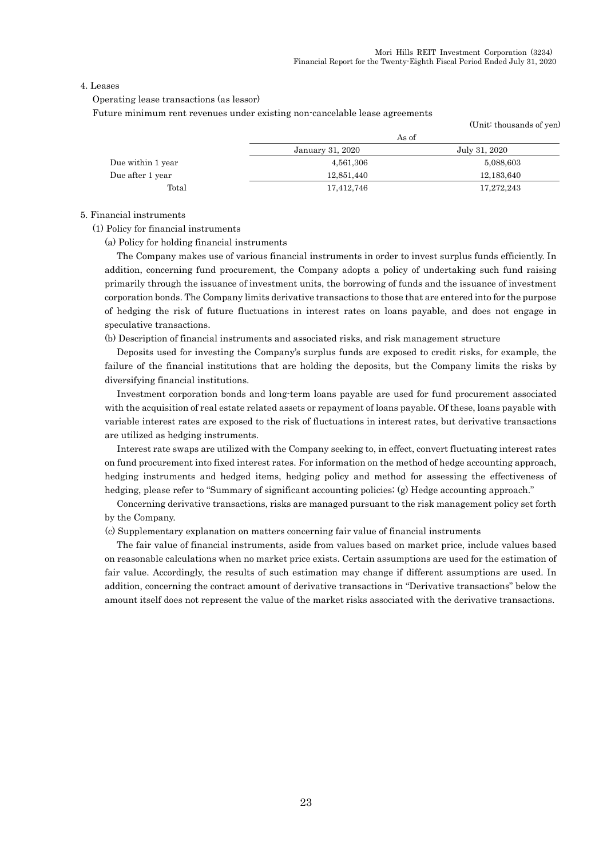(Unit: thousands of yen)

#### 4. Leases

Operating lease transactions (as lessor)

Future minimum rent revenues under existing non-cancelable lease agreements

|                   | As of            |               |  |
|-------------------|------------------|---------------|--|
|                   | January 31, 2020 | July 31, 2020 |  |
| Due within 1 year | 4,561,306        | 5,088,603     |  |
| Due after 1 year  | 12,851,440       | 12,183,640    |  |
| Total             | 17,412,746       | 17,272,243    |  |

#### 5. Financial instruments

(1) Policy for financial instruments

(a) Policy for holding financial instruments

The Company makes use of various financial instruments in order to invest surplus funds efficiently. In addition, concerning fund procurement, the Company adopts a policy of undertaking such fund raising primarily through the issuance of investment units, the borrowing of funds and the issuance of investment corporation bonds. The Company limits derivative transactions to those that are entered into for the purpose of hedging the risk of future fluctuations in interest rates on loans payable, and does not engage in speculative transactions.

(b) Description of financial instruments and associated risks, and risk management structure

Deposits used for investing the Company's surplus funds are exposed to credit risks, for example, the failure of the financial institutions that are holding the deposits, but the Company limits the risks by diversifying financial institutions.

Investment corporation bonds and long-term loans payable are used for fund procurement associated with the acquisition of real estate related assets or repayment of loans payable. Of these, loans payable with variable interest rates are exposed to the risk of fluctuations in interest rates, but derivative transactions are utilized as hedging instruments.

Interest rate swaps are utilized with the Company seeking to, in effect, convert fluctuating interest rates on fund procurement into fixed interest rates. For information on the method of hedge accounting approach, hedging instruments and hedged items, hedging policy and method for assessing the effectiveness of hedging, please refer to "Summary of significant accounting policies; (g) Hedge accounting approach."

Concerning derivative transactions, risks are managed pursuant to the risk management policy set forth by the Company.

(c) Supplementary explanation on matters concerning fair value of financial instruments

The fair value of financial instruments, aside from values based on market price, include values based on reasonable calculations when no market price exists. Certain assumptions are used for the estimation of fair value. Accordingly, the results of such estimation may change if different assumptions are used. In addition, concerning the contract amount of derivative transactions in "Derivative transactions" below the amount itself does not represent the value of the market risks associated with the derivative transactions.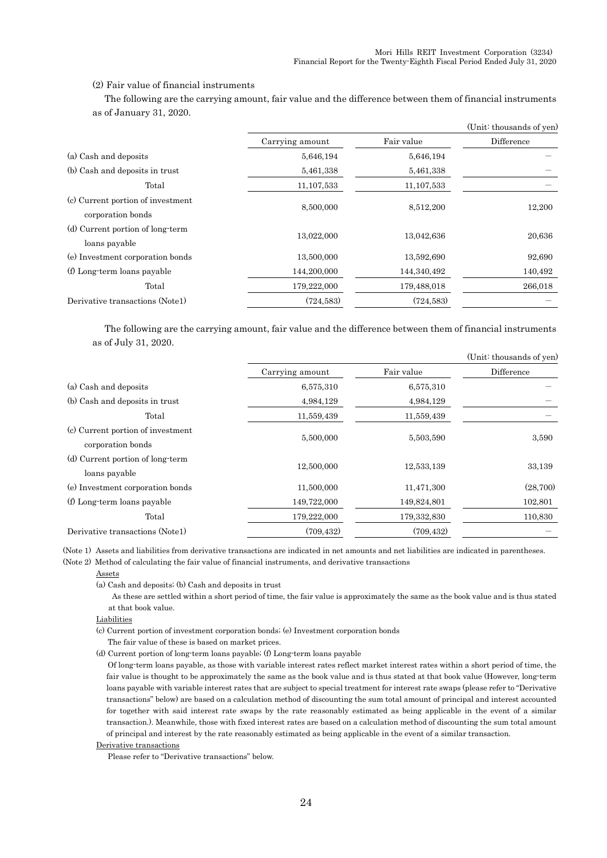(Unit: thousands of yen)

### (2) Fair value of financial instruments

The following are the carrying amount, fair value and the difference between them of financial instruments as of January 31, 2020.

|                                                        |                 |              | (Unit: thousands of yen) |  |
|--------------------------------------------------------|-----------------|--------------|--------------------------|--|
|                                                        | Carrying amount | Fair value   | Difference               |  |
| (a) Cash and deposits                                  | 5,646,194       | 5,646,194    |                          |  |
| (b) Cash and deposits in trust                         | 5,461,338       | 5,461,338    |                          |  |
| Total                                                  | 11, 107, 533    | 11, 107, 533 |                          |  |
| (c) Current portion of investment<br>corporation bonds | 8,500,000       | 8,512,200    | 12,200                   |  |
| (d) Current portion of long-term<br>loans payable      | 13,022,000      | 13,042,636   | 20,636                   |  |
| (e) Investment corporation bonds                       | 13,500,000      | 13,592,690   | 92,690                   |  |
| (f) Long-term loans payable                            | 144,200,000     | 144,340,492  | 140,492                  |  |
| Total                                                  | 179,222,000     | 179,488,018  | 266,018                  |  |
| Derivative transactions (Note1)                        | (724, 583)      | (724, 583)   |                          |  |

The following are the carrying amount, fair value and the difference between them of financial instruments as of July 31, 2020.

|                                                        |                 |             | (Unit. thousands of yen) |
|--------------------------------------------------------|-----------------|-------------|--------------------------|
|                                                        | Carrying amount | Fair value  | Difference               |
| (a) Cash and deposits                                  | 6,575,310       | 6,575,310   |                          |
| (b) Cash and deposits in trust                         | 4,984,129       | 4,984,129   |                          |
| Total                                                  | 11,559,439      | 11,559,439  |                          |
| (c) Current portion of investment<br>corporation bonds | 5,500,000       | 5,503,590   | 3.590                    |
| (d) Current portion of long-term<br>loans payable      | 12,500,000      | 12,533,139  | 33,139                   |
| (e) Investment corporation bonds                       | 11,500,000      | 11,471,300  | (28,700)                 |
| (f) Long-term loans payable                            | 149,722,000     | 149,824,801 | 102,801                  |
| Total                                                  | 179,222,000     | 179,332,830 | 110,830                  |
| Derivative transactions (Note1)                        | (709.432)       | (709, 432)  |                          |

(Note 1) Assets and liabilities from derivative transactions are indicated in net amounts and net liabilities are indicated in parentheses.

(Note 2) Method of calculating the fair value of financial instruments, and derivative transactions

Assets

(a) Cash and deposits; (b) Cash and deposits in trust

As these are settled within a short period of time, the fair value is approximately the same as the book value and is thus stated at that book value.

#### Liabilities

(c) Current portion of investment corporation bonds; (e) Investment corporation bonds

The fair value of these is based on market prices.

(d) Current portion of long-term loans payable; (f) Long-term loans payable

Of long-term loans payable, as those with variable interest rates reflect market interest rates within a short period of time, the fair value is thought to be approximately the same as the book value and is thus stated at that book value (However, long-term loans payable with variable interest rates that are subject to special treatment for interest rate swaps (please refer to "Derivative transactions" below) are based on a calculation method of discounting the sum total amount of principal and interest accounted for together with said interest rate swaps by the rate reasonably estimated as being applicable in the event of a similar transaction.). Meanwhile, those with fixed interest rates are based on a calculation method of discounting the sum total amount of principal and interest by the rate reasonably estimated as being applicable in the event of a similar transaction.

#### Derivative transactions

Please refer to "Derivative transactions" below.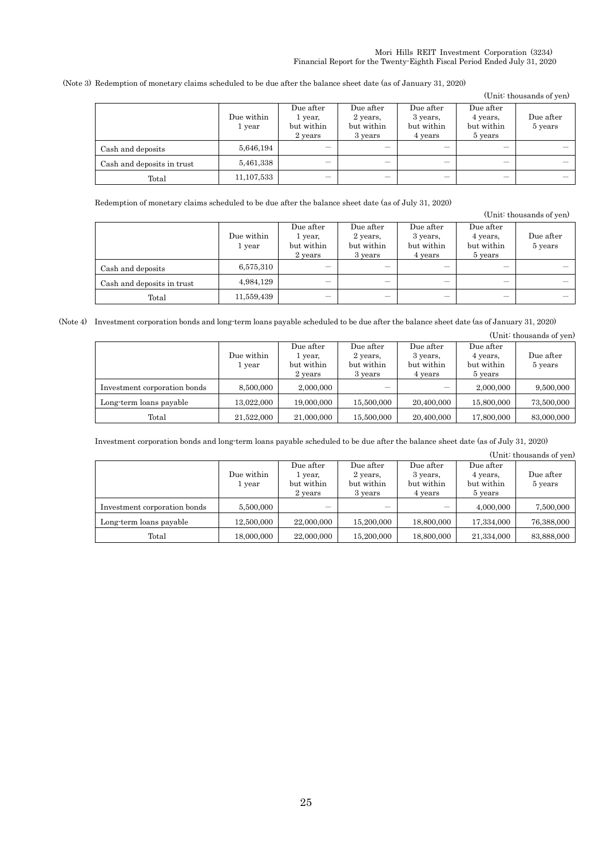(Note 3) Redemption of monetary claims scheduled to be due after the balance sheet date (as of January 31, 2020)

|                            |                      |                                               |                                                |                                                |                                                | (Unit: thousands of yen) |
|----------------------------|----------------------|-----------------------------------------------|------------------------------------------------|------------------------------------------------|------------------------------------------------|--------------------------|
|                            | Due within<br>1 year | Due after<br>1 year,<br>but within<br>2 years | Due after<br>2 years,<br>but within<br>3 years | Due after<br>3 years,<br>but within<br>4 years | Due after<br>4 years,<br>but within<br>5 years | Due after<br>5 years     |
| Cash and deposits          | 5,646,194            | -                                             | _                                              | -                                              | __                                             |                          |
| Cash and deposits in trust | 5,461,338            | -                                             | _                                              | -                                              | –                                              |                          |
| Total                      | 11, 107, 533         |                                               |                                                |                                                |                                                |                          |

Redemption of monetary claims scheduled to be due after the balance sheet date (as of July 31, 2020)

(Unit: thousands of yen)

|                            | Due within<br>1 year | Due after<br>1 year.<br>but within<br>2 years | Due after<br>2 years,<br>but within<br>3 years | Due after<br>3 years,<br>but within<br>4 years | Due after<br>4 years,<br>but within<br>5 years | Due after<br>5 years |
|----------------------------|----------------------|-----------------------------------------------|------------------------------------------------|------------------------------------------------|------------------------------------------------|----------------------|
| Cash and deposits          | 6,575,310            | –                                             |                                                |                                                |                                                |                      |
| Cash and deposits in trust | 4,984,129            | –                                             | _                                              |                                                |                                                |                      |
| Total                      | 11,559,439           | -                                             | –                                              |                                                | _                                              |                      |

(Note 4) Investment corporation bonds and long-term loans payable scheduled to be due after the balance sheet date (as of January 31, 2020)

|                              |                      |                                               |                                                |                                                |                                                | (Unit: thousands of yen) |
|------------------------------|----------------------|-----------------------------------------------|------------------------------------------------|------------------------------------------------|------------------------------------------------|--------------------------|
|                              | Due within<br>1 year | Due after<br>1 year.<br>but within<br>2 years | Due after<br>2 years.<br>but within<br>3 years | Due after<br>3 years,<br>but within<br>4 years | Due after<br>4 years,<br>but within<br>5 years | Due after<br>5 years     |
| Investment corporation bonds | 8,500,000            | 2,000,000                                     |                                                |                                                | 2,000,000                                      | 9,500,000                |
| Long-term loans payable      | 13.022.000           | 19,000,000                                    | 15,500,000                                     | 20,400,000                                     | 15,800,000                                     | 73,500,000               |
| Total                        | 21,522,000           | 21,000,000                                    | 15,500,000                                     | 20,400,000                                     | 17,800,000                                     | 83,000,000               |

Investment corporation bonds and long-term loans payable scheduled to be due after the balance sheet date (as of July 31, 2020)

(Unit: thousands of yen)

|                              |                      |                                               |                                                |                                                |                                                | Culture chousands of year. |
|------------------------------|----------------------|-----------------------------------------------|------------------------------------------------|------------------------------------------------|------------------------------------------------|----------------------------|
|                              | Due within<br>1 year | Due after<br>1 year.<br>but within<br>2 years | Due after<br>2 years.<br>but within<br>3 years | Due after<br>3 years,<br>but within<br>4 years | Due after<br>4 years,<br>but within<br>5 years | Due after<br>5 years       |
| Investment corporation bonds | 5,500,000            | _                                             |                                                |                                                | 4,000,000                                      | 7,500,000                  |
| Long-term loans payable      | 12,500,000           | 22,000,000                                    | 15,200,000                                     | 18,800,000                                     | 17.334.000                                     | 76,388,000                 |
| Total                        | 18,000,000           | 22,000,000                                    | 15,200,000                                     | 18,800,000                                     | 21,334,000                                     | 83,888,000                 |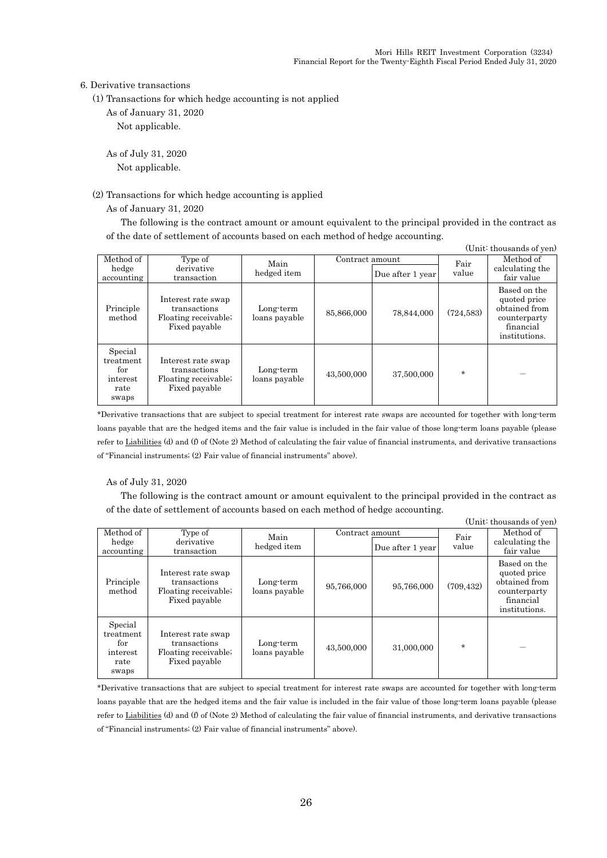#### 6. Derivative transactions

- (1) Transactions for which hedge accounting is not applied
	- As of January 31, 2020

Not applicable.

As of July 31, 2020 Not applicable.

### (2) Transactions for which hedge accounting is applied

As of January 31, 2020

The following is the contract amount or amount equivalent to the principal provided in the contract as of the date of settlement of accounts based on each method of hedge accounting.  $(\text{Unit}: \text{thoucanda of } \text{run})$ 

|                                                          |                                                                             |                            |                 |                  |               | (Unit thousands of yen)                                                                     |
|----------------------------------------------------------|-----------------------------------------------------------------------------|----------------------------|-----------------|------------------|---------------|---------------------------------------------------------------------------------------------|
| Method of<br>hedge<br>accounting                         | Type of<br>derivative<br>transaction                                        | Main<br>hedged item        | Contract amount | Due after 1 year | Fair<br>value | Method of<br>calculating the<br>fair value                                                  |
| Principle<br>method                                      | Interest rate swap<br>transactions<br>Floating receivable;<br>Fixed payable | Long-term<br>loans payable | 85,866,000      | 78.844.000       | (724, 583)    | Based on the<br>quoted price<br>obtained from<br>counterparty<br>financial<br>institutions. |
| Special<br>treatment<br>for<br>interest<br>rate<br>swaps | Interest rate swap<br>transactions<br>Floating receivable;<br>Fixed payable | Long-term<br>loans payable | 43,500,000      | 37,500,000       | $\star$       |                                                                                             |

\*Derivative transactions that are subject to special treatment for interest rate swaps are accounted for together with long-term loans payable that are the hedged items and the fair value is included in the fair value of those long-term loans payable (please refer to Liabilities (d) and (f) of (Note 2) Method of calculating the fair value of financial instruments, and derivative transactions of "Financial instruments; (2) Fair value of financial instruments" above).

### As of July 31, 2020

The following is the contract amount or amount equivalent to the principal provided in the contract as of the date of settlement of accounts based on each method of hedge accounting.  $(T_{\text{in}}; t; t)$  thousands of  $\epsilon$ 

|                                                          |                                                                             |                            |                 |                  |               | (Unit: thousands of yen)                                                                    |
|----------------------------------------------------------|-----------------------------------------------------------------------------|----------------------------|-----------------|------------------|---------------|---------------------------------------------------------------------------------------------|
| Method of<br>hedge<br>accounting                         | Type of<br>derivative<br>transaction                                        | Main<br>hedged item        | Contract amount | Due after 1 year | Fair<br>value | Method of<br>calculating the<br>fair value                                                  |
| Principle<br>method                                      | Interest rate swap<br>transactions<br>Floating receivable;<br>Fixed payable | Long-term<br>loans payable | 95,766,000      | 95,766,000       | (709, 432)    | Based on the<br>quoted price<br>obtained from<br>counterparty<br>financial<br>institutions. |
| Special<br>treatment<br>for<br>interest<br>rate<br>swaps | Interest rate swap<br>transactions<br>Floating receivable;<br>Fixed payable | Long-term<br>loans payable | 43,500,000      | 31,000,000       | $\star$       |                                                                                             |

\*Derivative transactions that are subject to special treatment for interest rate swaps are accounted for together with long-term loans payable that are the hedged items and the fair value is included in the fair value of those long-term loans payable (please refer to Liabilities (d) and (f) of (Note 2) Method of calculating the fair value of financial instruments, and derivative transactions of "Financial instruments; (2) Fair value of financial instruments" above).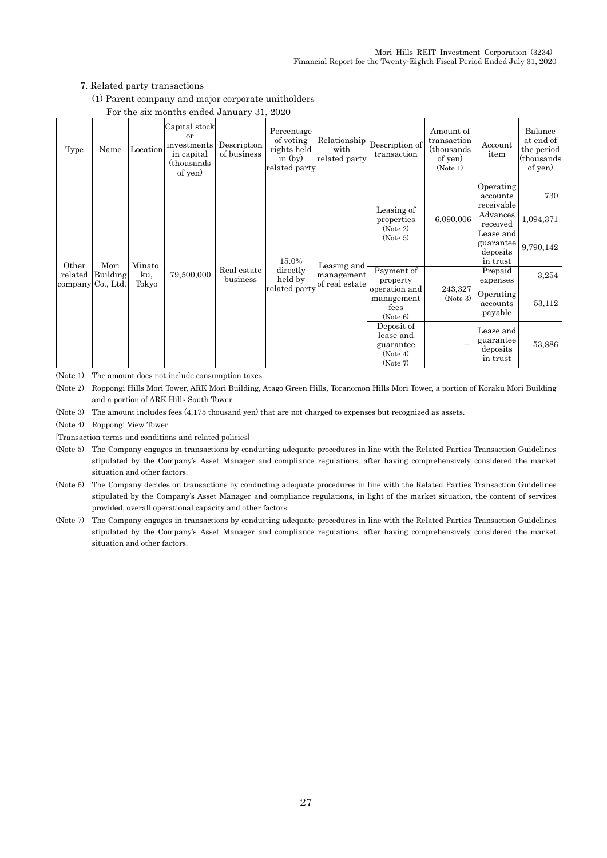### 7. Related party transactions

(1) Parent company and major corporate unitholders

|                   |          |          | - 01 0110 0111 1110110110 0110100 001101011   011                         |                            |                                                                      |                                       |                               |                                                                |                                     |                                                              |
|-------------------|----------|----------|---------------------------------------------------------------------------|----------------------------|----------------------------------------------------------------------|---------------------------------------|-------------------------------|----------------------------------------------------------------|-------------------------------------|--------------------------------------------------------------|
| Type              | Name     | Location | Capital stock<br>or<br>investments<br>in capital<br>(thousands<br>of yen) | Description<br>of business | Percentage<br>of voting<br>rights held<br>in $(by)$<br>related party | Relationship<br>with<br>related party | Description of<br>transaction | Amount of<br>transaction<br>(thousands)<br>of yen)<br>(Note 1) | Account<br>item                     | Balance<br>at end of<br>the period<br>(thousands)<br>of yen) |
|                   |          |          |                                                                           |                            |                                                                      |                                       | Leasing of                    |                                                                | Operating<br>accounts<br>receivable | 730                                                          |
|                   |          |          |                                                                           |                            | properties<br>(Note 2)                                               | 6,090,006                             | Advances<br>received          | 1,094,371                                                      |                                     |                                                              |
|                   |          | Minato-  |                                                                           |                            | 15.0%                                                                | Leasing and<br>management             | (Note 5)                      |                                                                | Lease and                           | 9,790,142                                                    |
|                   |          |          |                                                                           |                            |                                                                      |                                       |                               |                                                                | guarantee<br>deposits               |                                                              |
| Other             | Mori     |          |                                                                           |                            |                                                                      |                                       |                               |                                                                | in trust                            |                                                              |
| related           | Building | ku,      | 79,500,000                                                                | Real estate                | directly                                                             |                                       | Payment of                    |                                                                | Prepaid                             | 3,254                                                        |
| company Co., Ltd. |          | Tokyo    |                                                                           | business                   | held by<br>related party                                             | of real estate                        | property<br>operation and     | 243,327                                                        | expenses                            |                                                              |
|                   |          |          |                                                                           |                            |                                                                      |                                       | management                    | (Note 3)                                                       | Operating                           |                                                              |
|                   |          |          |                                                                           |                            |                                                                      |                                       | fees                          |                                                                | accounts<br>payable                 | 53,112                                                       |
|                   |          |          |                                                                           |                            |                                                                      |                                       | (Note 6)                      |                                                                |                                     |                                                              |
|                   |          |          |                                                                           |                            |                                                                      |                                       | Deposit of<br>lease and       |                                                                | Lease and                           | 53,886                                                       |
|                   |          |          |                                                                           |                            |                                                                      |                                       | guarantee                     |                                                                | guarantee                           |                                                              |
|                   |          |          |                                                                           |                            |                                                                      |                                       | (Note 4)                      |                                                                | deposits<br>in trust                |                                                              |
|                   |          |          |                                                                           |                            |                                                                      |                                       | (Note 7)                      |                                                                |                                     |                                                              |

### For the six months ended January 31, 2020

(Note 1) The amount does not include consumption taxes.

(Note 2) Roppongi Hills Mori Tower, ARK Mori Building, Atago Green Hills, Toranomon Hills Mori Tower, a portion of Koraku Mori Building and a portion of ARK Hills South Tower

(Note 3) The amount includes fees (4,175 thousand yen) that are not charged to expenses but recognized as assets.

(Note 4) Roppongi View Tower

[Transaction terms and conditions and related policies]

(Note 5) The Company engages in transactions by conducting adequate procedures in line with the Related Parties Transaction Guidelines stipulated by the Company's Asset Manager and compliance regulations, after having comprehensively considered the market situation and other factors.

- (Note 6) The Company decides on transactions by conducting adequate procedures in line with the Related Parties Transaction Guidelines stipulated by the Company's Asset Manager and compliance regulations, in light of the market situation, the content of services provided, overall operational capacity and other factors.
- (Note 7) The Company engages in transactions by conducting adequate procedures in line with the Related Parties Transaction Guidelines stipulated by the Company's Asset Manager and compliance regulations, after having comprehensively considered the market situation and other factors.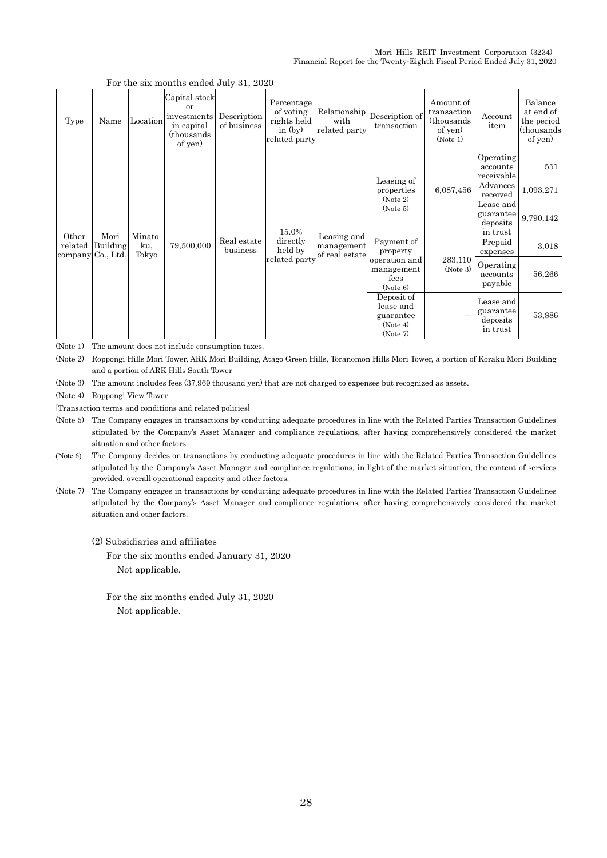|                   |                  |              | For the six months ended buly $51, 2020$                                  |                            |                                                                      |                                                              |                                                         |                                                                |                                     |                                                              |
|-------------------|------------------|--------------|---------------------------------------------------------------------------|----------------------------|----------------------------------------------------------------------|--------------------------------------------------------------|---------------------------------------------------------|----------------------------------------------------------------|-------------------------------------|--------------------------------------------------------------|
| Type              | Name             | Location     | Capital stock<br>or<br>investments<br>in capital<br>(thousands<br>of yen) | Description<br>of business | Percentage<br>of voting<br>rights held<br>in $(by)$<br>related party | with<br>related party                                        | $[Relationship] \textbf{Description of}$<br>transaction | Amount of<br>transaction<br>(thousands)<br>of yen)<br>(Note 1) | Account<br>item                     | Balance<br>at end of<br>the period<br>(thousands)<br>of yen) |
|                   |                  |              |                                                                           |                            |                                                                      |                                                              | Leasing of                                              |                                                                | Operating<br>accounts<br>receivable | 551                                                          |
| Mori<br>Other     |                  |              |                                                                           | 15.0%                      | Leasing and                                                          | properties<br>(Note 2)<br>(Note 5)                           | 6,087,456                                               | Advances<br>received                                           | 1,093,271                           |                                                              |
|                   | Minato-          |              |                                                                           |                            |                                                                      |                                                              |                                                         | Lease and<br>guarantee<br>deposits<br>in trust                 | 9,790,142                           |                                                              |
|                   | related Building | ku,<br>Tokyo | 79,500,000                                                                | Real estate<br>business    | directly<br>held by                                                  | management<br>of real estate                                 | Payment of<br>property                                  |                                                                | Prepaid<br>expenses                 | 3,018                                                        |
| company Co., Ltd. |                  |              |                                                                           |                            | related party                                                        |                                                              | operation and<br>management<br>fees<br>(Note 6)         | 283,110<br>(Note 3)                                            | Operating<br>accounts<br>payable    | 56,266                                                       |
|                   |                  |              |                                                                           |                            |                                                                      | Deposit of<br>lease and<br>guarantee<br>(Note 4)<br>(Note 7) |                                                         | Lease and<br>guarantee<br>deposits<br>in trust                 | 53,886                              |                                                              |

### For the six months ended July 31, 2020

(Note 1) The amount does not include consumption taxes.

(Note 2) Roppongi Hills Mori Tower, ARK Mori Building, Atago Green Hills, Toranomon Hills Mori Tower, a portion of Koraku Mori Building and a portion of ARK Hills South Tower

(Note 3) The amount includes fees (37,969 thousand yen) that are not charged to expenses but recognized as assets.

(Note 4) Roppongi View Tower

[Transaction terms and conditions and related policies]

(Note 5) The Company engages in transactions by conducting adequate procedures in line with the Related Parties Transaction Guidelines stipulated by the Company's Asset Manager and compliance regulations, after having comprehensively considered the market situation and other factors.

(Note 6) The Company decides on transactions by conducting adequate procedures in line with the Related Parties Transaction Guidelines stipulated by the Company's Asset Manager and compliance regulations, in light of the market situation, the content of services provided, overall operational capacity and other factors.

(Note 7) The Company engages in transactions by conducting adequate procedures in line with the Related Parties Transaction Guidelines stipulated by the Company's Asset Manager and compliance regulations, after having comprehensively considered the market situation and other factors.

(2) Subsidiaries and affiliates

For the six months ended January 31, 2020 Not applicable.

For the six months ended July 31, 2020 Not applicable.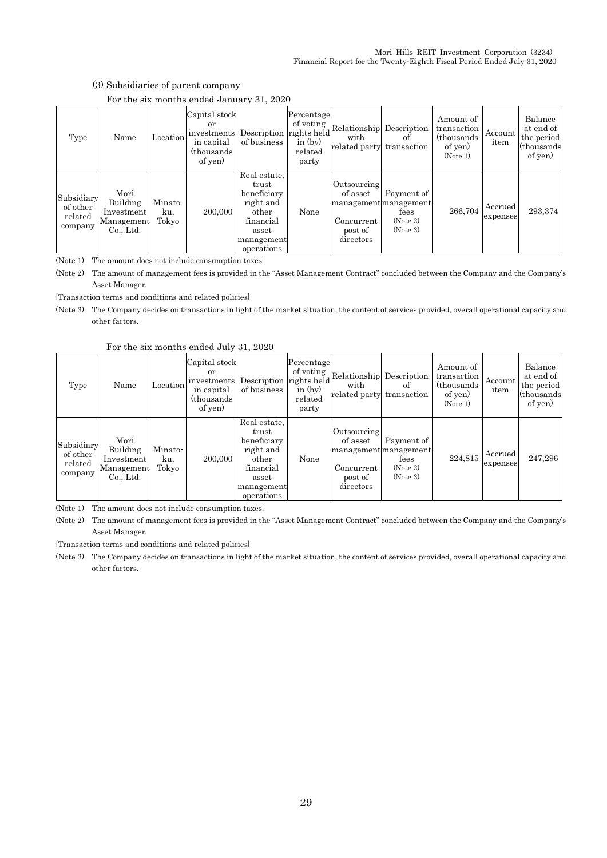| (3) Subsidiaries of parent company |  |
|------------------------------------|--|
|------------------------------------|--|

|  |  |  | For the six months ended January 31, 2020 |  |  |
|--|--|--|-------------------------------------------|--|--|
|--|--|--|-------------------------------------------|--|--|

| Type                                         | Name                                                      | Location                | Capital stock<br>or<br>investments<br>in capital<br>(thousands)<br>of yen) | Description<br>of business                                                                                   | Percentage<br>of voting<br>rights held<br>in $(by)$<br>related<br>party | Relationship Description<br>with<br>related party transaction                         | оf                                         | Amount of<br>transaction<br>(thousands)<br>of yen)<br>(Note 1) | Account<br>item     | Balance<br>at end of<br>the period<br>(thousands)<br>of yen) |
|----------------------------------------------|-----------------------------------------------------------|-------------------------|----------------------------------------------------------------------------|--------------------------------------------------------------------------------------------------------------|-------------------------------------------------------------------------|---------------------------------------------------------------------------------------|--------------------------------------------|----------------------------------------------------------------|---------------------|--------------------------------------------------------------|
| Subsidiary<br>of other<br>related<br>company | Mori<br>Building<br>Investment<br>Management<br>Co., Ltd. | Minato-<br>ku.<br>Tokyo | 200,000                                                                    | Real estate,<br>trust<br>beneficiary<br>right and<br>other<br>financial<br>asset<br>management<br>operations | None                                                                    | Outsourcing<br>of asset<br>managementmanagement<br>Concurrent<br>post of<br>directors | Payment of<br>fees<br>(Note 2)<br>(Note 3) | 266.704                                                        | Accrued<br>expenses | 293,374                                                      |

(Note 1) The amount does not include consumption taxes.

(Note 2) The amount of management fees is provided in the "Asset Management Contract" concluded between the Company and the Company's Asset Manager.

[Transaction terms and conditions and related policies]

(Note 3) The Company decides on transactions in light of the market situation, the content of services provided, overall operational capacity and other factors.

| Type                                         | Name                                                      | Location                | Capital stock<br>or<br>investments<br>in capital<br>(thousands)<br>of yen) | Description<br>of business                                                                                   | Percentage<br>of voting<br>in $(by)$<br>related<br>party | rights held Relationship Description<br>with<br>related party transaction             | of                                         | Amount of<br>transaction<br>(thousands)<br>of yen<br>(Note 1) | Account<br>item     | Balance<br>at end of<br>the period<br>(thousands)<br>of yen |
|----------------------------------------------|-----------------------------------------------------------|-------------------------|----------------------------------------------------------------------------|--------------------------------------------------------------------------------------------------------------|----------------------------------------------------------|---------------------------------------------------------------------------------------|--------------------------------------------|---------------------------------------------------------------|---------------------|-------------------------------------------------------------|
| Subsidiary<br>of other<br>related<br>company | Mori<br>Building<br>Investment<br>Management<br>Co., Ltd. | Minato-<br>ku.<br>Tokyo | 200,000                                                                    | Real estate,<br>trust<br>beneficiary<br>right and<br>other<br>financial<br>asset<br>management<br>operations | None                                                     | Outsourcing<br>of asset<br>managementmanagement<br>Concurrent<br>post of<br>directors | Payment of<br>fees<br>(Note 2)<br>(Note 3) | 224.815                                                       | Accrued<br>expenses | 247,296                                                     |

For the six months ended July 31, 2020

(Note 1) The amount does not include consumption taxes.

(Note 2) The amount of management fees is provided in the "Asset Management Contract" concluded between the Company and the Company's Asset Manager.

[Transaction terms and conditions and related policies]

(Note 3) The Company decides on transactions in light of the market situation, the content of services provided, overall operational capacity and other factors.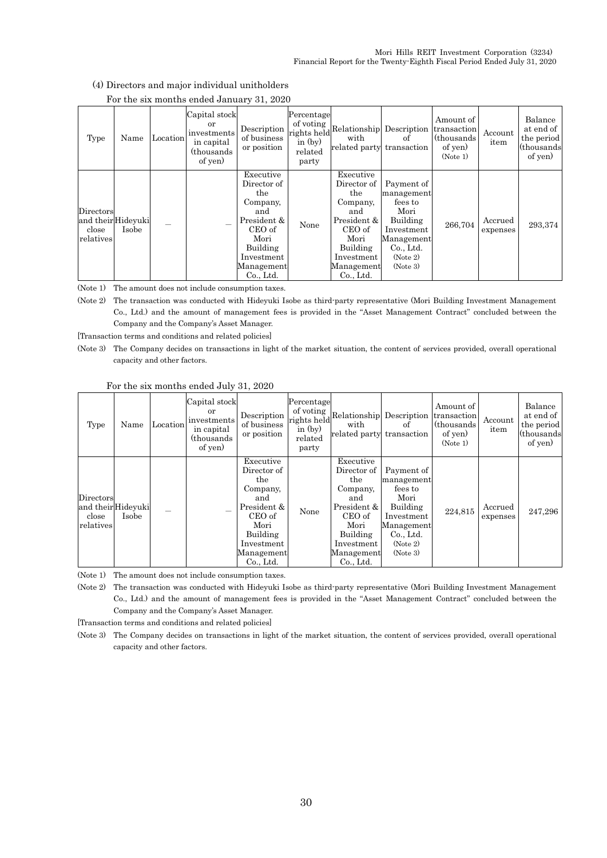|                                 |                             |          | For the six months ended bandary 51, 2020                                  |                                                                                                                                           |                                                                         |                                                                                                                                          |                                                                                                                          |                                                                |                     |                                                             |
|---------------------------------|-----------------------------|----------|----------------------------------------------------------------------------|-------------------------------------------------------------------------------------------------------------------------------------------|-------------------------------------------------------------------------|------------------------------------------------------------------------------------------------------------------------------------------|--------------------------------------------------------------------------------------------------------------------------|----------------------------------------------------------------|---------------------|-------------------------------------------------------------|
| Type                            | Name                        | Location | Capital stock<br>or<br>investments<br>in capital<br>(thousands)<br>of yen) | Description<br>of business<br>or position                                                                                                 | Percentage<br>of voting<br>rights held<br>in $(by)$<br>related<br>party | Relationship Description<br>with<br>related party transaction                                                                            | оf                                                                                                                       | Amount of<br>transaction<br>(thousands)<br>of yen)<br>(Note 1) | Account<br>item     | Balance<br>at end of<br>the period<br>(thousands)<br>of yen |
| Directors<br>close<br>relatives | and their Hideyuki<br>Isobe |          |                                                                            | Executive<br>Director of<br>the<br>Company,<br>and<br>President &<br>CEO of<br>Mori<br>Building<br>Investment<br>Management<br>$Co.$ Ltd. | None                                                                    | Executive<br>Director of<br>the<br>Company,<br>and<br>President &<br>CEO of<br>Mori<br>Building<br>Investment<br>Management<br>Co., Ltd. | Payment of<br>management<br>fees to<br>Mori<br>Building<br>Investment<br>Management<br>Co., Ltd.<br>(Note 2)<br>(Note 3) | 266,704                                                        | Accrued<br>expenses | 293,374                                                     |

#### (4) Directors and major individual unitholders For the six months ended January 31, 2020

(Note 1) The amount does not include consumption taxes.

(Note 2) The transaction was conducted with Hideyuki Isobe as third-party representative (Mori Building Investment Management Co., Ltd.) and the amount of management fees is provided in the "Asset Management Contract" concluded between the Company and the Company's Asset Manager.

[Transaction terms and conditions and related policies]

(Note 3) The Company decides on transactions in light of the market situation, the content of services provided, overall operational capacity and other factors.

|  | For the six months ended July 31, 2020 |  |  |
|--|----------------------------------------|--|--|
|  |                                        |  |  |

| Type                                                 | Name  | Location | Capital stock<br>or<br>investments<br>in capital<br>(thousands)<br>of yen) | Description<br>of business<br>or position                                                                                                | Percentage<br>of voting<br>rights held<br>in $(by)$<br>related<br>party | Relationship Description<br>with<br>related party transaction                                                                            | of                                                                                                                       | Amount of<br>transaction<br>(thousands)<br>of yen)<br>(Note 1) | Account<br>item     | Balance<br>at end of<br>the period<br>(thousands)<br>of yen) |
|------------------------------------------------------|-------|----------|----------------------------------------------------------------------------|------------------------------------------------------------------------------------------------------------------------------------------|-------------------------------------------------------------------------|------------------------------------------------------------------------------------------------------------------------------------------|--------------------------------------------------------------------------------------------------------------------------|----------------------------------------------------------------|---------------------|--------------------------------------------------------------|
| Directors<br>and theirHideyuki<br>close<br>relatives | Isobe |          |                                                                            | Executive<br>Director of<br>the<br>Company,<br>and<br>President &<br>CEO of<br>Mori<br>Building<br>Investment<br>Management<br>Co., Ltd. | None                                                                    | Executive<br>Director of<br>the<br>Company,<br>and<br>President &<br>CEO of<br>Mori<br>Building<br>Investment<br>Management<br>Co., Ltd. | Payment of<br>management<br>fees to<br>Mori<br>Building<br>Investment<br>Management<br>Co., Ltd.<br>(Note 2)<br>(Note 3) | 224,815                                                        | Accrued<br>expenses | 247,296                                                      |

(Note 1) The amount does not include consumption taxes.

(Note 2) The transaction was conducted with Hideyuki Isobe as third-party representative (Mori Building Investment Management Co., Ltd.) and the amount of management fees is provided in the "Asset Management Contract" concluded between the Company and the Company's Asset Manager.

[Transaction terms and conditions and related policies]

(Note 3) The Company decides on transactions in light of the market situation, the content of services provided, overall operational capacity and other factors.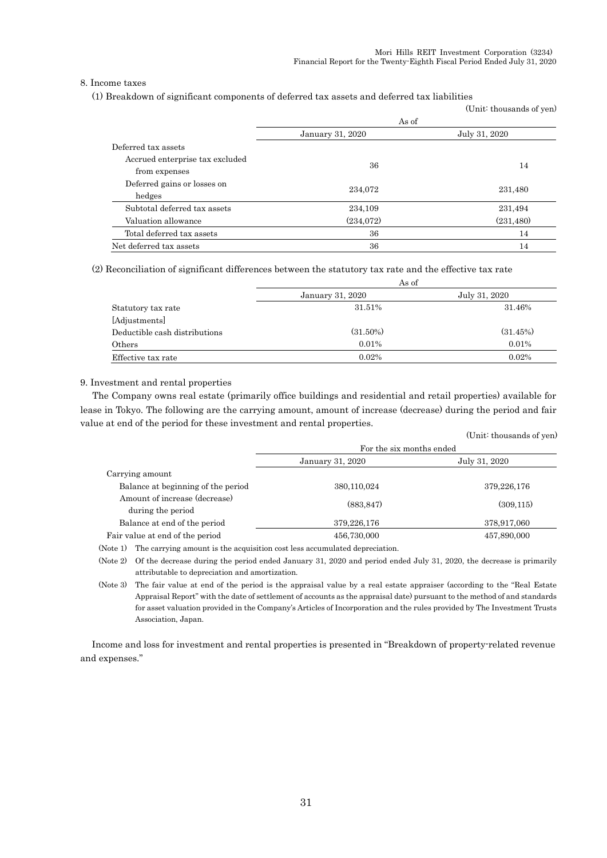### 8. Income taxes

(1) Breakdown of significant components of deferred tax assets and deferred tax liabilities

|                                                  |                  | (Unit: thousands of yen) |  |  |
|--------------------------------------------------|------------------|--------------------------|--|--|
|                                                  | As of            |                          |  |  |
|                                                  | January 31, 2020 | July 31, 2020            |  |  |
| Deferred tax assets                              |                  |                          |  |  |
| Accrued enterprise tax excluded<br>from expenses | 36               | 14                       |  |  |
| Deferred gains or losses on<br>hedges            | 234,072          | 231,480                  |  |  |
| Subtotal deferred tax assets                     | 234,109          | 231,494                  |  |  |
| Valuation allowance                              | (234,072)        | (231, 480)               |  |  |
| Total deferred tax assets                        | 36               | 14                       |  |  |
| Net deferred tax assets                          | 36               | 14                       |  |  |

(2) Reconciliation of significant differences between the statutory tax rate and the effective tax rate

|                               | As of            |               |
|-------------------------------|------------------|---------------|
|                               | January 31, 2020 | July 31, 2020 |
| Statutory tax rate            | 31.51%           | 31.46%        |
| [Adjustments]                 |                  |               |
| Deductible cash distributions | $(31.50\%)$      | (31.45%)      |
| Others                        | $0.01\%$         | 0.01%         |
| Effective tax rate            | $0.02\%$         | 0.02%         |
|                               |                  |               |

#### 9. Investment and rental properties

The Company owns real estate (primarily office buildings and residential and retail properties) available for lease in Tokyo. The following are the carrying amount, amount of increase (decrease) during the period and fair value at end of the period for these investment and rental properties.  $(T_{\text{in}};t; t)$ 

|                                    |                          | (Unit. thousands of yen |  |  |
|------------------------------------|--------------------------|-------------------------|--|--|
|                                    | For the six months ended |                         |  |  |
|                                    | <b>January 31, 2020</b>  | July 31, 2020           |  |  |
| Carrying amount                    |                          |                         |  |  |
| Balance at beginning of the period | 380,110,024              | 379,226,176             |  |  |
| Amount of increase (decrease)      | (883.847)                | (309, 115)              |  |  |
| during the period                  |                          |                         |  |  |
| Balance at end of the period       | 379,226,176              | 378,917,060             |  |  |
| Fair value at end of the period    | 456,730,000              | 457,890,000             |  |  |
|                                    |                          |                         |  |  |

(Note 1) The carrying amount is the acquisition cost less accumulated depreciation.

(Note 2) Of the decrease during the period ended January 31, 2020 and period ended July 31, 2020, the decrease is primarily attributable to depreciation and amortization.

(Note 3) The fair value at end of the period is the appraisal value by a real estate appraiser (according to the "Real Estate Appraisal Report" with the date of settlement of accounts as the appraisal date) pursuant to the method of and standards for asset valuation provided in the Company's Articles of Incorporation and the rules provided by The Investment Trusts Association, Japan.

Income and loss for investment and rental properties is presented in "Breakdown of property-related revenue and expenses."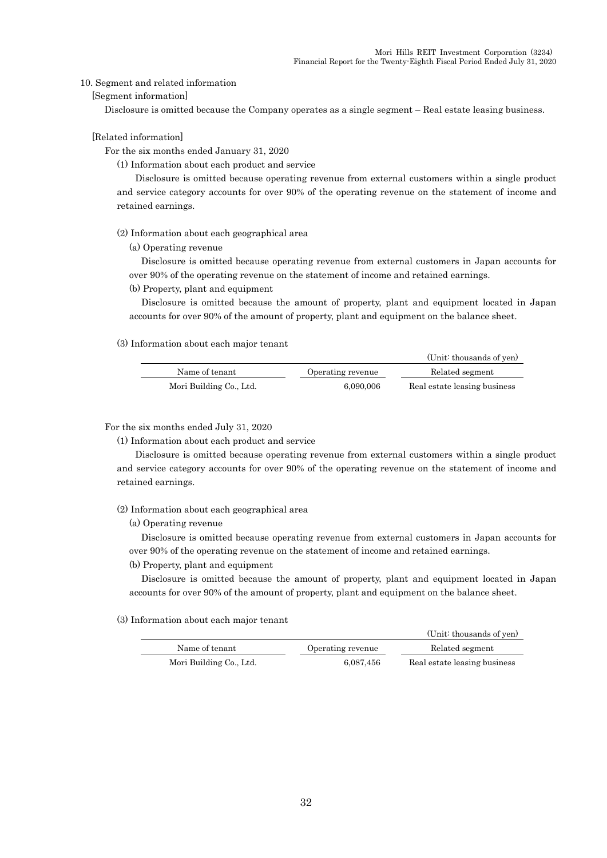#### 10. Segment and related information

[Segment information]

Disclosure is omitted because the Company operates as a single segment – Real estate leasing business.

#### [Related information]

For the six months ended January 31, 2020

(1) Information about each product and service

Disclosure is omitted because operating revenue from external customers within a single product and service category accounts for over 90% of the operating revenue on the statement of income and retained earnings.

(2) Information about each geographical area

(a) Operating revenue

Disclosure is omitted because operating revenue from external customers in Japan accounts for over 90% of the operating revenue on the statement of income and retained earnings.

#### (b) Property, plant and equipment

Disclosure is omitted because the amount of property, plant and equipment located in Japan accounts for over 90% of the amount of property, plant and equipment on the balance sheet.

#### (3) Information about each major tenant

|                         |                   | (Unit: thousands of yen)     |
|-------------------------|-------------------|------------------------------|
| Name of tenant          | Operating revenue | Related segment              |
| Mori Building Co., Ltd. | 6,090,006         | Real estate leasing business |

#### For the six months ended July 31, 2020

(1) Information about each product and service

Disclosure is omitted because operating revenue from external customers within a single product and service category accounts for over 90% of the operating revenue on the statement of income and retained earnings.

#### (2) Information about each geographical area

(a) Operating revenue

Disclosure is omitted because operating revenue from external customers in Japan accounts for over 90% of the operating revenue on the statement of income and retained earnings.

#### (b) Property, plant and equipment

Disclosure is omitted because the amount of property, plant and equipment located in Japan accounts for over 90% of the amount of property, plant and equipment on the balance sheet.

#### (3) Information about each major tenant

|                         |                   | (Unit: thousands of yen)     |
|-------------------------|-------------------|------------------------------|
| Name of tenant          | Operating revenue | Related segment              |
| Mori Building Co., Ltd. | 6.087.456         | Real estate leasing business |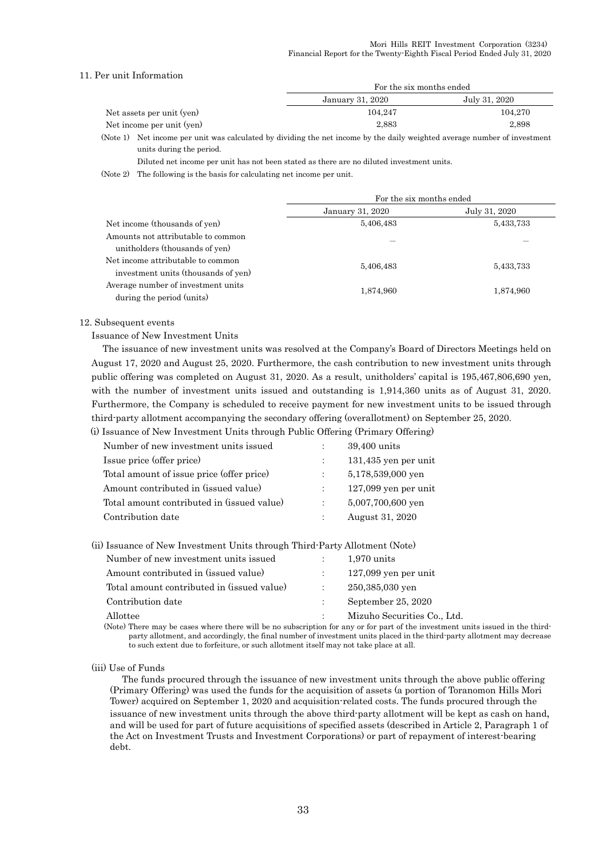### 11. Per unit Information

|                           | For the six months ended |               |  |  |  |
|---------------------------|--------------------------|---------------|--|--|--|
|                           | January 31, 2020         | July 31, 2020 |  |  |  |
| Net assets per unit (yen) | 104.247                  | 104.270       |  |  |  |
| Net income per unit (yen) | 2,883                    | 2.898         |  |  |  |

(Note 1) Net income per unit was calculated by dividing the net income by the daily weighted average number of investment units during the period.

Diluted net income per unit has not been stated as there are no diluted investment units.

(Note 2) The following is the basis for calculating net income per unit.

|                                                                          | For the six months ended |               |  |  |
|--------------------------------------------------------------------------|--------------------------|---------------|--|--|
|                                                                          | January 31, 2020         | July 31, 2020 |  |  |
| Net income (thousands of yen)                                            | 5,406,483                | 5,433,733     |  |  |
| Amounts not attributable to common<br>unitholders (thousands of yen)     |                          |               |  |  |
| Net income attributable to common<br>investment units (thousands of yen) | 5,406,483                | 5,433,733     |  |  |
| Average number of investment units<br>during the period (units)          | 1,874,960                | 1,874,960     |  |  |

#### 12. Subsequent events

Issuance of New Investment Units

The issuance of new investment units was resolved at the Company's Board of Directors Meetings held on August 17, 2020 and August 25, 2020. Furthermore, the cash contribution to new investment units through public offering was completed on August 31, 2020. As a result, unitholders' capital is 195,467,806,690 yen, with the number of investment units issued and outstanding is 1,914,360 units as of August 31, 2020. Furthermore, the Company is scheduled to receive payment for new investment units to be issued through third-party allotment accompanying the secondary offering (overallotment) on September 25, 2020.

(i) Issuance of New Investment Units through Public Offering (Primary Offering)

| Number of new investment units issued      | 39,400 units           |
|--------------------------------------------|------------------------|
| Issue price (offer price)                  | $131,435$ yen per unit |
| Total amount of issue price (offer price)  | 5,178,539,000 yen      |
| Amount contributed in (issued value)       | $127,099$ yen per unit |
| Total amount contributed in (issued value) | 5,007,700,600 yen      |
| Contribution date                          | August 31, 2020        |
|                                            |                        |

|  |  | (ii) Issuance of New Investment Units through Third-Party Allotment (Note) |
|--|--|----------------------------------------------------------------------------|
|  |  |                                                                            |

| Number of new investment units issued                                                                  | $1,970$ units               |
|--------------------------------------------------------------------------------------------------------|-----------------------------|
| Amount contributed in (issued value)                                                                   | $127,099$ yen per unit      |
| Total amount contributed in (issued value)                                                             | 250,385,030 yen             |
| Contribution date                                                                                      | September 25, 2020          |
| Allottee                                                                                               | Mizuho Securities Co., Ltd. |
| . (Mata) Thang may ba sasag mbang thang mill ba ng subasninting fan ang an fangaat af tha inggaturant. |                             |

(Note) There may be cases where there will be no subscription for any or for part of the investment units issued in the thirdparty allotment, and accordingly, the final number of investment units placed in the third-party allotment may decrease to such extent due to forfeiture, or such allotment itself may not take place at all.

#### (iii) Use of Funds

The funds procured through the issuance of new investment units through the above public offering (Primary Offering) was used the funds for the acquisition of assets (a portion of Toranomon Hills Mori Tower) acquired on September 1, 2020 and acquisition-related costs. The funds procured through the issuance of new investment units through the above third-party allotment will be kept as cash on hand, and will be used for part of future acquisitions of specified assets (described in Article 2, Paragraph 1 of the Act on Investment Trusts and Investment Corporations) or part of repayment of interest-bearing debt.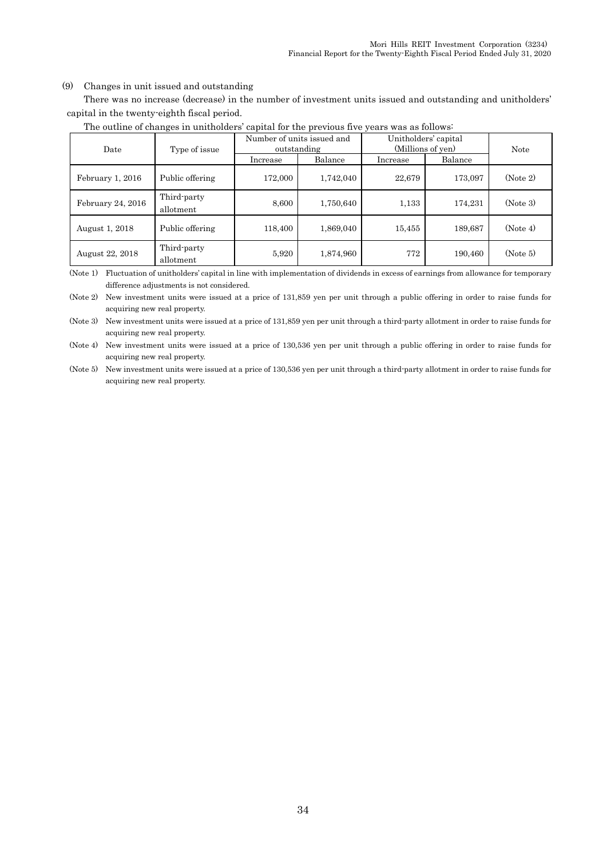#### (9) Changes in unit issued and outstanding

There was no increase (decrease) in the number of investment units issued and outstanding and unitholders' capital in the twenty-eighth fiscal period.

| Date              | Type of issue            |          | Number of units issued and<br>outstanding | Unitholders' capital<br>(Millions of yen) | <b>Note</b> |          |
|-------------------|--------------------------|----------|-------------------------------------------|-------------------------------------------|-------------|----------|
|                   |                          | Increase | Balance                                   | Increase                                  | Balance     |          |
| February 1, 2016  | Public offering          | 172,000  | 1,742,040                                 | 22,679                                    | 173,097     | (Note 2) |
| February 24, 2016 | Third-party<br>allotment | 8,600    | 1,750,640                                 | 1,133                                     | 174,231     | (Note 3) |
| August 1, 2018    | Public offering          | 118,400  | 1,869,040                                 | 15,455                                    | 189,687     | (Note 4) |
| August 22, 2018   | Third-party<br>allotment | 5,920    | 1,874,960                                 | 772                                       | 190,460     | (Note 5) |

### The outline of changes in unitholders' capital for the previous five years was as follows:

(Note 1) Fluctuation of unitholders' capital in line with implementation of dividends in excess of earnings from allowance for temporary difference adjustments is not considered.

(Note 2) New investment units were issued at a price of 131,859 yen per unit through a public offering in order to raise funds for acquiring new real property.

(Note 3) New investment units were issued at a price of 131,859 yen per unit through a third-party allotment in order to raise funds for acquiring new real property.

(Note 4) New investment units were issued at a price of 130,536 yen per unit through a public offering in order to raise funds for acquiring new real property.

(Note 5) New investment units were issued at a price of 130,536 yen per unit through a third-party allotment in order to raise funds for acquiring new real property.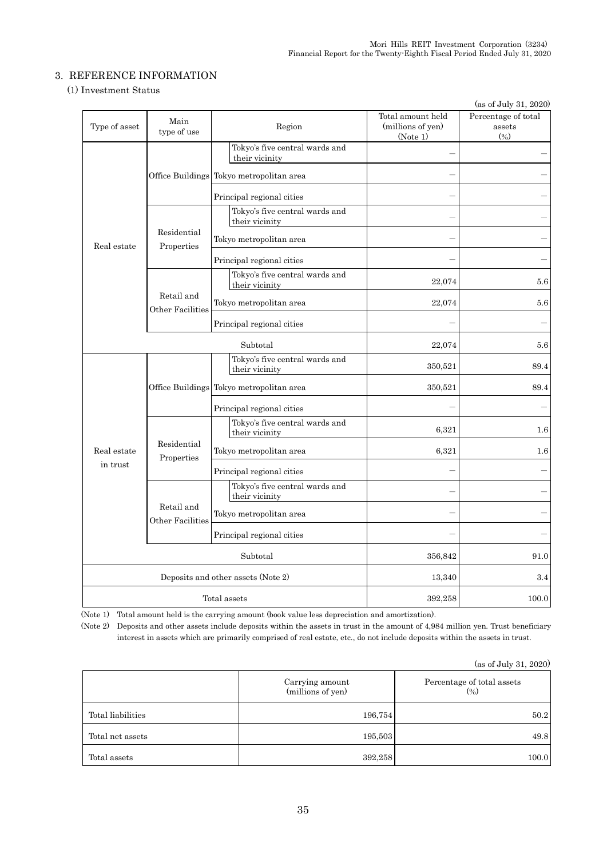### 3. REFERENCE INFORMATION

### (1) Investment Status

|               |                                |                                                  |                                                    | (as of July 31, 2020)                   |
|---------------|--------------------------------|--------------------------------------------------|----------------------------------------------------|-----------------------------------------|
| Type of asset | Main<br>type of use            | Region                                           | Total amount held<br>(millions of yen)<br>(Note 1) | Percentage of total<br>assets<br>$(\%)$ |
|               |                                | Tokyo's five central wards and<br>their vicinity |                                                    |                                         |
|               |                                | Office Buildings Tokyo metropolitan area         |                                                    |                                         |
|               |                                | Principal regional cities                        |                                                    |                                         |
|               |                                | Tokyo's five central wards and<br>their vicinity |                                                    |                                         |
| Real estate   | Residential<br>Properties      | Tokyo metropolitan area                          |                                                    |                                         |
|               |                                | Principal regional cities                        |                                                    |                                         |
|               |                                | Tokyo's five central wards and<br>their vicinity | 22,074                                             | 5.6                                     |
|               | Retail and<br>Other Facilities | Tokyo metropolitan area                          | 22,074                                             | 5.6                                     |
|               |                                | Principal regional cities                        |                                                    |                                         |
|               |                                | Subtotal                                         | 22,074                                             | 5.6                                     |
|               |                                | Tokyo's five central wards and<br>their vicinity | 350,521                                            | 89.4                                    |
|               |                                | Office Buildings Tokyo metropolitan area         | 350,521                                            | 89.4                                    |
|               |                                | Principal regional cities                        |                                                    |                                         |
|               |                                | Tokyo's five central wards and<br>their vicinity | 6,321                                              | $1.6\,$                                 |
| Real estate   | Residential<br>Properties      | Tokyo metropolitan area                          | 6,321                                              | $1.6\,$                                 |
| in trust      |                                | Principal regional cities                        |                                                    |                                         |
|               |                                | Tokyo's five central wards and<br>their vicinity |                                                    |                                         |
|               | Retail and<br>Other Facilities | Tokyo metropolitan area                          |                                                    |                                         |
|               |                                | Principal regional cities                        |                                                    |                                         |
|               |                                | Subtotal                                         | 356,842                                            | 91.0                                    |
|               |                                | Deposits and other assets (Note 2)               | 13,340                                             | 3.4                                     |
|               |                                | Total assets                                     | 392,258                                            | 100.0                                   |

(Note 1) Total amount held is the carrying amount (book value less depreciation and amortization).

(Note 2) Deposits and other assets include deposits within the assets in trust in the amount of 4,984 million yen. Trust beneficiary interest in assets which are primarily comprised of real estate, etc., do not include deposits within the assets in trust.

(as of July 31, 2020)

|                   | Carrying amount<br>(millions of yen) | Percentage of total assets<br>$(\%)$ |
|-------------------|--------------------------------------|--------------------------------------|
| Total liabilities | 196,754                              | 50.2                                 |
| Total net assets  | 195,503                              | 49.8                                 |
| Total assets      | 392,258                              | 100.0                                |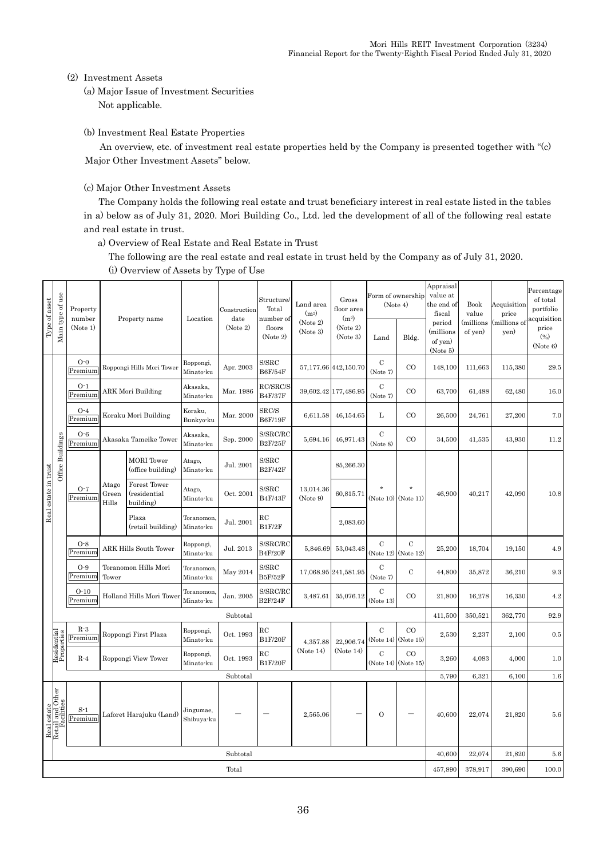### (2) Investment Assets

(a) Major Issue of Investment Securities Not applicable.

(b) Investment Real Estate Properties

An overview, etc. of investment real estate properties held by the Company is presented together with "(c) Major Other Investment Assets" below.

(c) Major Other Investment Assets

The Company holds the following real estate and trust beneficiary interest in real estate listed in the tables in a) below as of July 31, 2020. Mori Building Co., Ltd. led the development of all of the following real estate and real estate in trust.

a) Overview of Real Estate and Real Estate in Trust

The following are the real estate and real estate in trust held by the Company as of July 31, 2020. (i) Overview of Assets by Type of Use

| Type of asset                                 | Main type of use | Property<br>number | Property name                 | Location                                  | Construction<br>date    | Structure/<br>Total<br>number of | Land area<br>(m <sup>2</sup> )<br>(Note 2) | Gross<br>floor area<br>(m <sup>2</sup> ) | Form of ownership<br>(Note 4) |                                    | Appraisal<br>value at<br>the end of<br>fiscal | Book<br>value                              | Acquisition<br>price | Percentage<br>of total<br>portfolio<br>acquisition |                          |
|-----------------------------------------------|------------------|--------------------|-------------------------------|-------------------------------------------|-------------------------|----------------------------------|--------------------------------------------|------------------------------------------|-------------------------------|------------------------------------|-----------------------------------------------|--------------------------------------------|----------------------|----------------------------------------------------|--------------------------|
|                                               |                  | (Note 1)           |                               |                                           |                         | (Note 2)                         | floors<br>(Note 2)                         | (Note 3)                                 | (Note 2)<br>(Note 3)          | Land                               | Bldg.                                         | period<br>millions)<br>of yen)<br>(Note 5) | millions)<br>of yen) | (millions of<br>yen)                               | price<br>(%)<br>(Note 6) |
|                                               |                  | $O-0$<br>Premium   |                               | Roppongi Hills Mori Tower                 | Roppongi,<br>Minato-ku  | Apr. 2003                        | S/SRC<br><b>B6F/54F</b>                    |                                          | 57,177.66 442,150.70          | $\mathbf C$<br>(Note 7)            | CO                                            | 148,100                                    | 111,663              | 115,380                                            | $\phantom{0}29.5$        |
|                                               |                  | $O-1$<br>Premium   | <b>ARK Mori Building</b>      |                                           | Akasaka.<br>Minato-ku   | Mar. 1986                        | RC/SRC/S<br><b>B4F/37F</b>                 |                                          | 39,602.42 177,486.95          | $\mathbf C$<br>(Note 7)            | CO                                            | 63,700                                     | 61,488               | 62,480                                             | 16.0                     |
|                                               |                  | $O-4$<br>Premium   |                               | Koraku Mori Building                      | Koraku,<br>Bunkyo-ku    | Mar. 2000                        | SRC/S<br><b>B6F/19F</b>                    | 6,611.58                                 | 46,154.65                     | L                                  | $_{\rm CO}$                                   | 26,500                                     | 24,761               | 27,200                                             | 7.0                      |
|                                               |                  | $O - 6$<br>Premium |                               | Akasaka Tameike Tower                     | Akasaka,<br>Minato-ku   | Sep. 2000                        | S/SRC/RC<br><b>B2F/25F</b>                 | 5,694.16                                 | 46,971.43                     | $\mathbf C$<br>(Note 8)            | CO                                            | 34,500                                     | 41,535               | 43,930                                             | 11.2                     |
| Office Buildings<br>Real estate in trust      |                  |                    |                               | <b>MORI</b> Tower<br>(office building)    | Atago,<br>Minato-ku     | Jul. 2001                        | S/SRC<br><b>B2F/42F</b>                    |                                          | 85,266.30                     |                                    |                                               |                                            |                      |                                                    |                          |
|                                               |                  | $O-7$<br>Premium   | Atago<br>Green<br>Hills       | Forest Tower<br>(residential<br>building) | Atago,<br>Minato-ku     | Oct. 2001                        | S/SRC<br><b>B4F/43F</b>                    | 13,014.36<br>(Note 9)                    | 60,815.71                     | (Note 10)                          | (Note 11)                                     | 46,900                                     | 40,217               | 42,090                                             | 10.8                     |
|                                               |                  |                    |                               | Plaza<br>(retail building)                | Toranomon.<br>Minato-ku | Jul. 2001                        | $_{\rm RC}$<br>B1F/2F                      |                                          | 2,083.60                      |                                    |                                               |                                            |                      |                                                    |                          |
|                                               |                  | $O-8$<br>Premium   |                               | <b>ARK Hills South Tower</b>              | Roppongi,<br>Minato-ku  | Jul. 2013                        | S/SRC/RC<br><b>B4F/20F</b>                 | 5,846.69                                 | 53,043.48                     | $\mathcal{C}$<br>(Note 12)         | $\mathbf C$<br>(Note 12)                      | 25,200                                     | 18,704               | 19,150                                             | 4.9                      |
|                                               |                  | $O-9$<br>Premium   | Toranomon Hills Mori<br>Tower |                                           | Toranomon.<br>Minato-ku | May 2014                         | S/SRC<br><b>B5F/52F</b>                    |                                          | 17,068.95 241,581.95          | $\mathbf C$<br>(Note 7)            | $\mathbf C$                                   | 44,800                                     | 35,872               | 36,210                                             | 9.3                      |
|                                               |                  | $O-10$<br>Premium  |                               | Holland Hills Mori Tower                  | Toranomon.<br>Minato-ku | Jan. 2005                        | S/SRC/RC<br><b>B2F/24F</b>                 | 3,487.61                                 | 35,076.12                     | $\mathbf C$<br>(Note 13)           | $_{\rm CO}$                                   | 21,800                                     | 16,278               | 16,330                                             | 4.2                      |
|                                               |                  |                    |                               |                                           |                         | Subtotal                         |                                            |                                          |                               |                                    |                                               | 411,500                                    | 350,521              | 362,770                                            | 92.9                     |
| Residential<br>Properties                     |                  | $R-3$<br>Premium   |                               | Roppongi First Plaza                      | Roppongi,<br>Minato-ku  | Oct. 1993                        | RC<br><b>B1F/20F</b>                       | 4,357.88                                 | 22,906.74                     | $\mathbf C$<br>(Note 14) (Note 15) | CO                                            | 2,530                                      | 2,237                | 2,100                                              | $0.5\,$                  |
|                                               |                  | $R-4$              |                               | Roppongi View Tower                       | Roppongi,<br>Minato-ku  | Oct. 1993                        | $_{\rm RC}$<br><b>B1F/20F</b>              | (Note 14)                                | (Note 14)                     | $\overline{C}$<br>(Note 14)        | $_{\rm CO}$<br>(Note 15)                      | 3,260                                      | 4,083                | 4,000                                              | 1.0                      |
|                                               |                  |                    |                               |                                           |                         | Subtotal                         |                                            |                                          |                               |                                    |                                               | 5,790                                      | 6,321                | 6,100                                              | 1.6                      |
| Real estate<br>Retail and Other<br>Facilities |                  | $S-1$<br>Premium   |                               | Laforet Harajuku (Land)                   | Jingumae,<br>Shibuya-ku |                                  |                                            | 2,565.06                                 |                               | $\mathbf{O}$                       |                                               | 40,600                                     | 22,074               | 21,820                                             | 5.6                      |
|                                               |                  |                    |                               |                                           |                         | Subtotal                         |                                            |                                          |                               |                                    |                                               | 40,600                                     | 22,074               | 21,820                                             | 5.6                      |
|                                               |                  |                    |                               |                                           |                         | Total                            |                                            |                                          |                               |                                    |                                               | 457,890                                    | 378,917              | 390,690                                            | 100.0                    |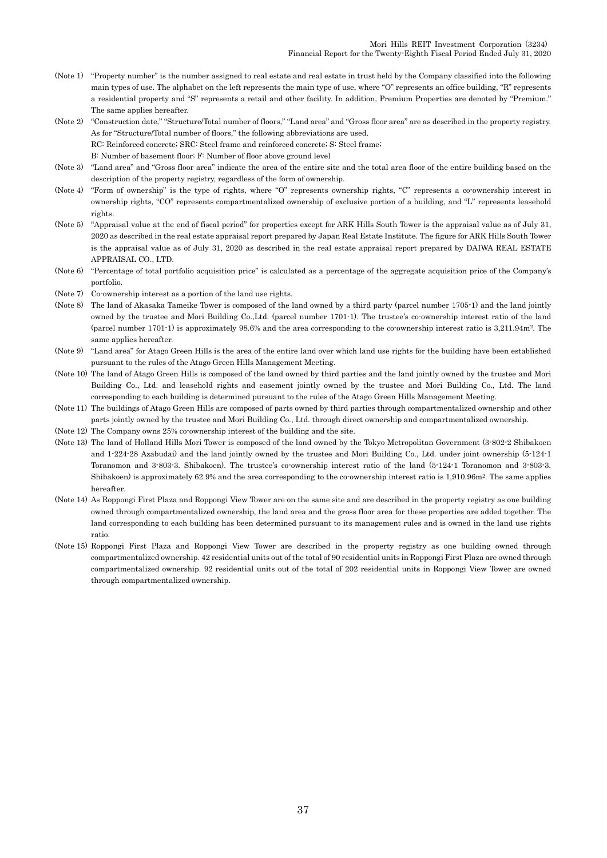- (Note 1) "Property number" is the number assigned to real estate and real estate in trust held by the Company classified into the following main types of use. The alphabet on the left represents the main type of use, where "O" represents an office building, "R" represents a residential property and "S" represents a retail and other facility. In addition, Premium Properties are denoted by "Premium." The same applies hereafter.
- (Note 2) "Construction date," "Structure/Total number of floors," "Land area" and "Gross floor area" are as described in the property registry. As for "Structure/Total number of floors," the following abbreviations are used. RC: Reinforced concrete; SRC: Steel frame and reinforced concrete; S: Steel frame;
	- B: Number of basement floor; F: Number of floor above ground level
- (Note 3) "Land area" and "Gross floor area" indicate the area of the entire site and the total area floor of the entire building based on the description of the property registry, regardless of the form of ownership.
- (Note 4) "Form of ownership" is the type of rights, where "O" represents ownership rights, "C" represents a co-ownership interest in ownership rights, "CO" represents compartmentalized ownership of exclusive portion of a building, and "L" represents leasehold rights.
- (Note 5) "Appraisal value at the end of fiscal period" for properties except for ARK Hills South Tower is the appraisal value as of July 31, 2020 as described in the real estate appraisal report prepared by Japan Real Estate Institute. The figure for ARK Hills South Tower is the appraisal value as of July 31, 2020 as described in the real estate appraisal report prepared by DAIWA REAL ESTATE APPRAISAL CO., LTD.
- (Note 6) "Percentage of total portfolio acquisition price" is calculated as a percentage of the aggregate acquisition price of the Company's portfolio.
- (Note 7) Co-ownership interest as a portion of the land use rights.
- (Note 8) The land of Akasaka Tameike Tower is composed of the land owned by a third party (parcel number 1705-1) and the land jointly owned by the trustee and Mori Building Co.,Ltd. (parcel number 1701-1). The trustee's co-ownership interest ratio of the land (parcel number 1701-1) is approximately 98.6% and the area corresponding to the co-ownership interest ratio is 3,211.94m2. The same applies hereafter.
- (Note 9) "Land area" for Atago Green Hills is the area of the entire land over which land use rights for the building have been established pursuant to the rules of the Atago Green Hills Management Meeting.
- (Note 10) The land of Atago Green Hills is composed of the land owned by third parties and the land jointly owned by the trustee and Mori Building Co., Ltd. and leasehold rights and easement jointly owned by the trustee and Mori Building Co., Ltd. The land corresponding to each building is determined pursuant to the rules of the Atago Green Hills Management Meeting.
- (Note 11) The buildings of Atago Green Hills are composed of parts owned by third parties through compartmentalized ownership and other parts jointly owned by the trustee and Mori Building Co., Ltd. through direct ownership and compartmentalized ownership.
- (Note 12) The Company owns 25% co-ownership interest of the building and the site.
- (Note 13) The land of Holland Hills Mori Tower is composed of the land owned by the Tokyo Metropolitan Government (3-802-2 Shibakoen and 1-224-28 Azabudai) and the land jointly owned by the trustee and Mori Building Co., Ltd. under joint ownership (5-124-1 Toranomon and 3-803-3. Shibakoen). The trustee's co-ownership interest ratio of the land (5-124-1 Toranomon and 3-803-3. Shibakoen) is approximately 62.9% and the area corresponding to the co-ownership interest ratio is 1,910.96m<sup>2</sup>. The same applies hereafter.
- (Note 14) As Roppongi First Plaza and Roppongi View Tower are on the same site and are described in the property registry as one building owned through compartmentalized ownership, the land area and the gross floor area for these properties are added together. The land corresponding to each building has been determined pursuant to its management rules and is owned in the land use rights ratio.
- (Note 15) Roppongi First Plaza and Roppongi View Tower are described in the property registry as one building owned through compartmentalized ownership. 42 residential units out of the total of 90 residential units in Roppongi First Plaza are owned through compartmentalized ownership. 92 residential units out of the total of 202 residential units in Roppongi View Tower are owned through compartmentalized ownership.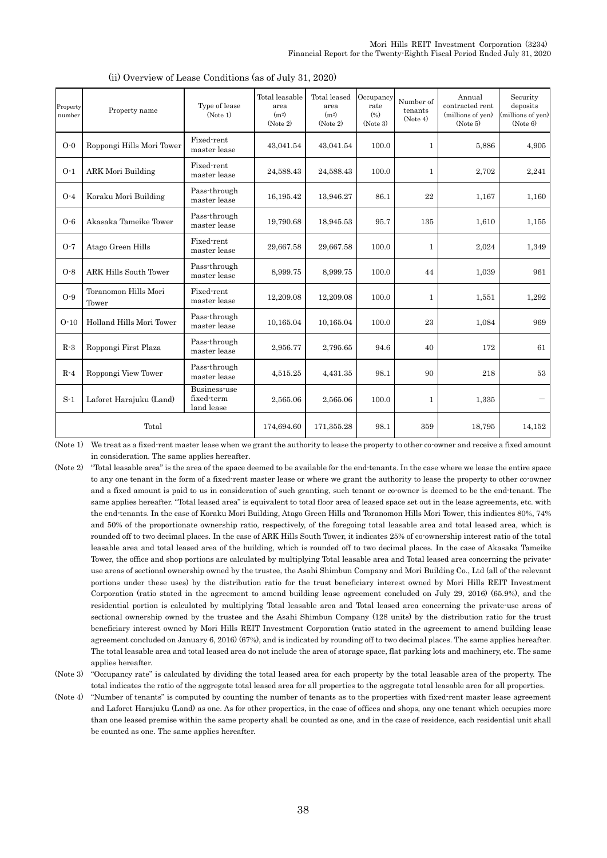| Property<br>number | Property name                 | Type of lease<br>(Note 1)                | Total leasable<br>area<br>(m <sup>2</sup> )<br>(Note 2) | Total leased<br>area<br>(m <sup>2</sup> )<br>(Note 2) | Occupancy<br>rate<br>(9/6)<br>(Note 3) | Number of<br>tenants<br>(Note 4) | Annual<br>contracted rent<br>(millions of yen)<br>(Note 5) | Security<br>deposits<br>(millions of yen)<br>(Note 6) |
|--------------------|-------------------------------|------------------------------------------|---------------------------------------------------------|-------------------------------------------------------|----------------------------------------|----------------------------------|------------------------------------------------------------|-------------------------------------------------------|
| $O-0$              | Roppongi Hills Mori Tower     | Fixed-rent<br>master lease               | 43,041.54                                               | 43,041.54                                             | 100.0                                  | $\mathbf{1}$                     | 5,886                                                      | 4.905                                                 |
| $O-1$              | <b>ARK Mori Building</b>      | Fixed-rent<br>master lease               | 24,588.43                                               | 24,588.43                                             | 100.0                                  | $\mathbf{1}$                     | 2,702                                                      | 2,241                                                 |
| $O-4$              | Koraku Mori Building          | Pass-through<br>master lease             | 16,195.42                                               | 13,946.27                                             | 86.1                                   | 22                               | 1,167                                                      | 1,160                                                 |
| $O-6$              | Akasaka Tameike Tower         | Pass-through<br>master lease             | 19,790.68                                               | 18,945.53                                             | 95.7                                   | 135                              | 1,610                                                      | 1,155                                                 |
| $O-7$              | Atago Green Hills             | Fixed-rent<br>master lease               | 29,667.58                                               | 29,667.58                                             | 100.0                                  | $\mathbf{1}$                     | 2,024                                                      | 1,349                                                 |
| $O-8$              | <b>ARK Hills South Tower</b>  | Pass-through<br>master lease             | 8,999.75                                                | 8,999.75                                              | 100.0                                  | 44                               | 1,039                                                      | 961                                                   |
| $O-9$              | Toranomon Hills Mori<br>Tower | Fixed-rent<br>master lease               | 12,209.08                                               | 12,209.08                                             | 100.0                                  | 1                                | 1,551                                                      | 1,292                                                 |
| $O-10$             | Holland Hills Mori Tower      | Pass-through<br>master lease             | 10,165.04                                               | 10,165.04                                             | 100.0                                  | 23                               | 1,084                                                      | 969                                                   |
| $R-3$              | Roppongi First Plaza          | Pass-through<br>master lease             | 2,956.77                                                | 2,795.65                                              | 94.6                                   | 40                               | 172                                                        | 61                                                    |
| $R-4$              | Roppongi View Tower           | Pass-through<br>master lease             | 4,515.25                                                | 4,431.35                                              | 98.1                                   | 90                               | 218                                                        | 53                                                    |
| $S-1$              | Laforet Harajuku (Land)       | Business-use<br>fixed-term<br>land lease | 2,565.06                                                | 2,565.06                                              | 100.0                                  | $\mathbf{1}$                     | 1,335                                                      |                                                       |
|                    | Total                         |                                          | 174,694.60                                              | 171,355.28                                            | 98.1                                   | 359                              | 18,795                                                     | 14,152                                                |

(ii) Overview of Lease Conditions (as of July 31, 2020)

(Note 1) We treat as a fixed-rent master lease when we grant the authority to lease the property to other co-owner and receive a fixed amount in consideration. The same applies hereafter.

- (Note 2) "Total leasable area" is the area of the space deemed to be available for the end-tenants. In the case where we lease the entire space to any one tenant in the form of a fixed-rent master lease or where we grant the authority to lease the property to other co-owner and a fixed amount is paid to us in consideration of such granting, such tenant or co-owner is deemed to be the end-tenant. The same applies hereafter. "Total leased area" is equivalent to total floor area of leased space set out in the lease agreements, etc. with the end-tenants. In the case of Koraku Mori Building, Atago Green Hills and Toranomon Hills Mori Tower, this indicates 80%, 74% and 50% of the proportionate ownership ratio, respectively, of the foregoing total leasable area and total leased area, which is rounded off to two decimal places. In the case of ARK Hills South Tower, it indicates 25% of co-ownership interest ratio of the total leasable area and total leased area of the building, which is rounded off to two decimal places. In the case of Akasaka Tameike Tower, the office and shop portions are calculated by multiplying Total leasable area and Total leased area concerning the privateuse areas of sectional ownership owned by the trustee, the Asahi Shimbun Company and Mori Building Co., Ltd (all of the relevant portions under these uses) by the distribution ratio for the trust beneficiary interest owned by Mori Hills REIT Investment Corporation (ratio stated in the agreement to amend building lease agreement concluded on July 29, 2016) (65.9%), and the residential portion is calculated by multiplying Total leasable area and Total leased area concerning the private-use areas of sectional ownership owned by the trustee and the Asahi Shimbun Company (128 units) by the distribution ratio for the trust beneficiary interest owned by Mori Hills REIT Investment Corporation (ratio stated in the agreement to amend building lease agreement concluded on January 6, 2016) (67%), and is indicated by rounding off to two decimal places. The same applies hereafter. The total leasable area and total leased area do not include the area of storage space, flat parking lots and machinery, etc. The same applies hereafter.
- (Note 3) "Occupancy rate" is calculated by dividing the total leased area for each property by the total leasable area of the property. The total indicates the ratio of the aggregate total leased area for all properties to the aggregate total leasable area for all properties.
- (Note 4) "Number of tenants" is computed by counting the number of tenants as to the properties with fixed-rent master lease agreement and Laforet Harajuku (Land) as one. As for other properties, in the case of offices and shops, any one tenant which occupies more than one leased premise within the same property shall be counted as one, and in the case of residence, each residential unit shall be counted as one. The same applies hereafter.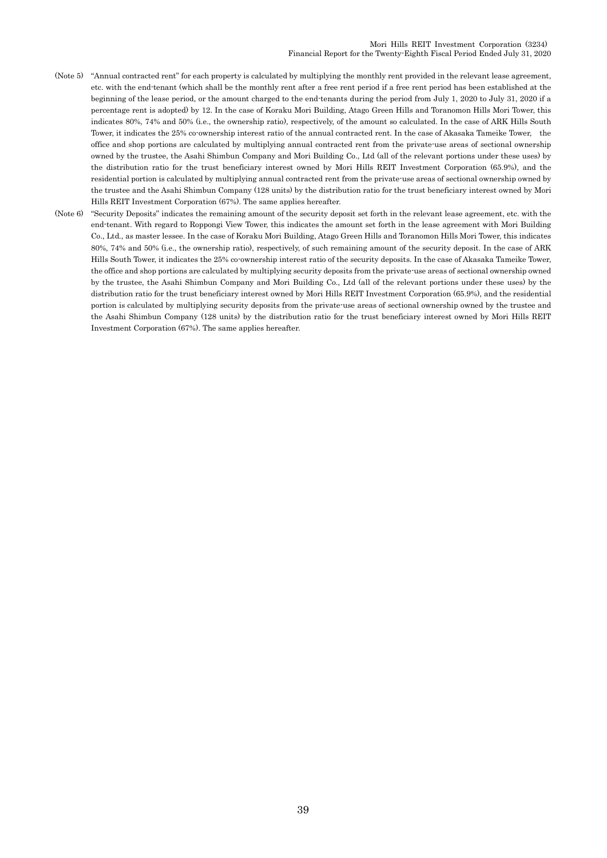- (Note 5) "Annual contracted rent" for each property is calculated by multiplying the monthly rent provided in the relevant lease agreement, etc. with the end-tenant (which shall be the monthly rent after a free rent period if a free rent period has been established at the beginning of the lease period, or the amount charged to the end-tenants during the period from July 1, 2020 to July 31, 2020 if a percentage rent is adopted) by 12. In the case of Koraku Mori Building, Atago Green Hills and Toranomon Hills Mori Tower, this indicates 80%, 74% and 50% (i.e., the ownership ratio), respectively, of the amount so calculated. In the case of ARK Hills South Tower, it indicates the 25% co-ownership interest ratio of the annual contracted rent. In the case of Akasaka Tameike Tower, the office and shop portions are calculated by multiplying annual contracted rent from the private-use areas of sectional ownership owned by the trustee, the Asahi Shimbun Company and Mori Building Co., Ltd (all of the relevant portions under these uses) by the distribution ratio for the trust beneficiary interest owned by Mori Hills REIT Investment Corporation (65.9%), and the residential portion is calculated by multiplying annual contracted rent from the private-use areas of sectional ownership owned by the trustee and the Asahi Shimbun Company (128 units) by the distribution ratio for the trust beneficiary interest owned by Mori Hills REIT Investment Corporation (67%). The same applies hereafter.
- (Note 6) "Security Deposits" indicates the remaining amount of the security deposit set forth in the relevant lease agreement, etc. with the end-tenant. With regard to Roppongi View Tower, this indicates the amount set forth in the lease agreement with Mori Building Co., Ltd., as master lessee. In the case of Koraku Mori Building, Atago Green Hills and Toranomon Hills Mori Tower, this indicates 80%, 74% and 50% (i.e., the ownership ratio), respectively, of such remaining amount of the security deposit. In the case of ARK Hills South Tower, it indicates the 25% co-ownership interest ratio of the security deposits. In the case of Akasaka Tameike Tower, the office and shop portions are calculated by multiplying security deposits from the private-use areas of sectional ownership owned by the trustee, the Asahi Shimbun Company and Mori Building Co., Ltd (all of the relevant portions under these uses) by the distribution ratio for the trust beneficiary interest owned by Mori Hills REIT Investment Corporation (65.9%), and the residential portion is calculated by multiplying security deposits from the private-use areas of sectional ownership owned by the trustee and the Asahi Shimbun Company (128 units) by the distribution ratio for the trust beneficiary interest owned by Mori Hills REIT Investment Corporation (67%). The same applies hereafter.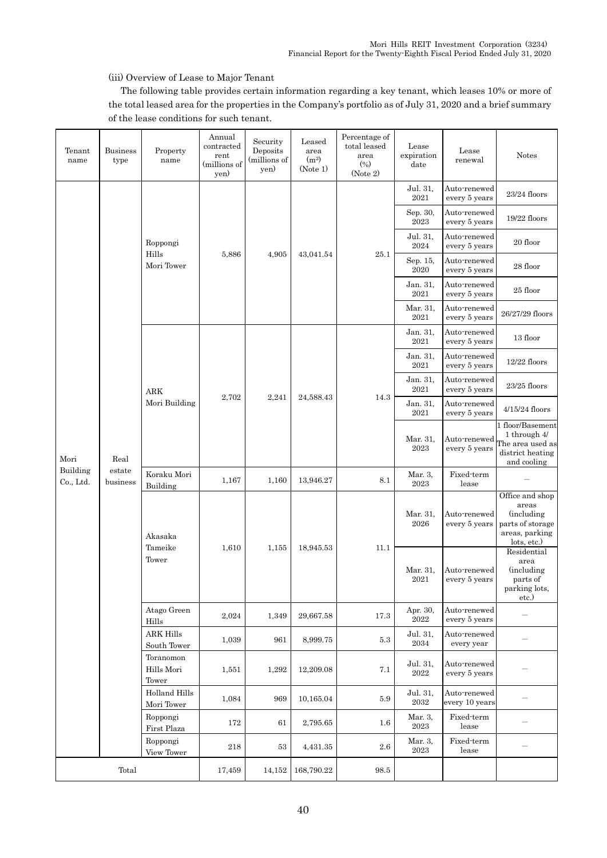### (iii) Overview of Lease to Major Tenant

The following table provides certain information regarding a key tenant, which leases 10% or more of the total leased area for the properties in the Company's portfolio as of July 31, 2020 and a brief summary of the lease conditions for such tenant.

| Tenant<br>name        | <b>Business</b><br>type    | Property<br>name                 | Annual<br>contracted<br>rent<br>(millions of<br>yen) | Security<br>Deposits<br>(millions of<br>yen) | Leased<br>area<br>(m <sup>2</sup> )<br>(Note 1) | Percentage of<br>total leased<br>area<br>(9/0)<br>(Note 2) | Lease<br>expiration<br>date     | Lease<br>renewal               | Notes                                                                                               |
|-----------------------|----------------------------|----------------------------------|------------------------------------------------------|----------------------------------------------|-------------------------------------------------|------------------------------------------------------------|---------------------------------|--------------------------------|-----------------------------------------------------------------------------------------------------|
|                       |                            |                                  |                                                      |                                              |                                                 |                                                            | Jul. 31,<br>2021                | Auto-renewed<br>every 5 years  | 23/24 floors                                                                                        |
|                       |                            |                                  |                                                      |                                              |                                                 |                                                            | Sep. 30,<br>2023                | Auto-renewed<br>every 5 years  | 19/22 floors                                                                                        |
|                       |                            | Roppongi<br>Hills                |                                                      |                                              |                                                 | $25.1\,$                                                   | Jul. 31,<br>2024                | Auto-renewed<br>every 5 years  | 20 floor                                                                                            |
|                       |                            | Mori Tower                       | 5,886                                                | 4,905                                        | 43,041.54                                       |                                                            | Sep. 15,<br>2020                | Auto-renewed<br>every 5 years  | 28 floor                                                                                            |
|                       |                            |                                  |                                                      |                                              |                                                 |                                                            | Jan. 31,<br>2021                | Auto-renewed<br>every 5 years  | 25 floor                                                                                            |
|                       |                            |                                  |                                                      |                                              |                                                 |                                                            | Mar. 31,<br>2021                | Auto-renewed<br>every 5 years  | 26/27/29 floors                                                                                     |
|                       | Real<br>estate<br>business | $\rm{ARK}$<br>Mori Building      |                                                      |                                              |                                                 |                                                            | Jan. 31,<br>2021                | Auto-renewed<br>every 5 years  | 13 floor                                                                                            |
|                       |                            |                                  | 2,702                                                |                                              |                                                 |                                                            | Jan. 31,<br>2021                | Auto-renewed<br>every 5 years  | 12/22 floors                                                                                        |
|                       |                            |                                  |                                                      | 2,241                                        | 24,588.43                                       | 14.3                                                       | Jan. 31,<br>2021                | Auto-renewed<br>every 5 years  | 23/25 floors                                                                                        |
|                       |                            |                                  |                                                      |                                              |                                                 |                                                            | Jan. 31,<br>2021                | Auto-renewed<br>every 5 years  | 4/15/24 floors                                                                                      |
| Mori                  |                            |                                  |                                                      |                                              |                                                 |                                                            | Mar. 31,<br>2023                | Auto-renewed<br>every 5 years  | 1 floor/Basement<br>1 through 4/<br>The area used as<br>district heating<br>and cooling             |
| Building<br>Co., Ltd. |                            | Koraku Mori<br>Building          | 1,167                                                | 1,160                                        | 13,946.27                                       | 8.1                                                        | Mar. 3,<br>$\boldsymbol{2023}$  | Fixed-term<br>lease            |                                                                                                     |
|                       |                            | Akasaka<br>Tameike<br>Tower      |                                                      |                                              | 18,945.53                                       | 11.1                                                       | Mar. 31,<br>2026                | Auto-renewed<br>every 5 years  | Office and shop<br>areas<br><i>(including)</i><br>parts of storage<br>areas, parking<br>lots, etc.) |
|                       |                            |                                  | 1,610                                                | 1,155                                        |                                                 |                                                            | Mar. 31,<br>2021                | Auto-renewed<br>every 5 years  | Residential<br>area<br><i>(including)</i><br>parts of<br>parking lots,<br>etc.)                     |
|                       |                            | Atago Green<br>Hills             | 2,024                                                | 1,349                                        | 29,667.58                                       | 17.3                                                       | Apr. 30,<br>2022                | Auto-renewed<br>every 5 years  |                                                                                                     |
|                       |                            | <b>ARK Hills</b><br>South Tower  | 1,039                                                | 961                                          | 8,999.75                                        | $5.3\,$                                                    | Jul. 31,<br>$\boldsymbol{2034}$ | Auto-renewed<br>every year     |                                                                                                     |
|                       |                            | Toranomon<br>Hills Mori<br>Tower | 1,551                                                | 1,292                                        | 12,209.08                                       | 7.1                                                        | Jul. 31,<br>$\boldsymbol{2022}$ | Auto-renewed<br>every 5 years  |                                                                                                     |
|                       |                            | Holland Hills<br>Mori Tower      | 1,084                                                | 969                                          | 10,165.04                                       | 5.9                                                        | Jul. 31,<br>$\sqrt{2032}$       | Auto-renewed<br>every 10 years |                                                                                                     |
|                       |                            | Roppongi<br>First Plaza          | 172                                                  | 61                                           | 2,795.65                                        | $1.6\,$                                                    | Mar. 3,<br>2023                 | Fixed-term<br>lease            |                                                                                                     |
|                       |                            | Roppongi<br>View Tower           | 218                                                  | 53                                           | 4,431.35                                        | $2.6\,$                                                    | Mar. 3,<br>$\boldsymbol{2023}$  | Fixed-term<br>lease            |                                                                                                     |
|                       | Total                      |                                  | 17,459                                               | 14,152                                       | 168,790.22                                      | 98.5                                                       |                                 |                                |                                                                                                     |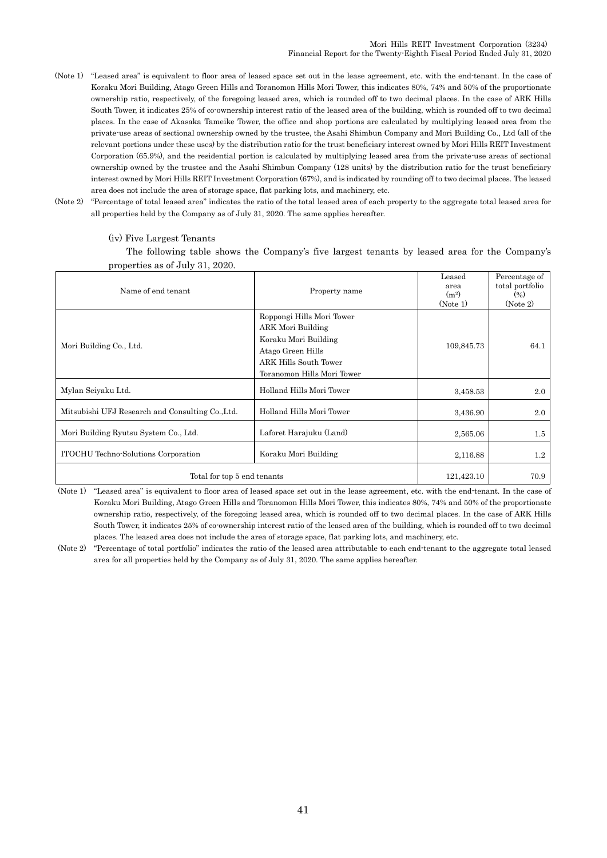- (Note 1) "Leased area" is equivalent to floor area of leased space set out in the lease agreement, etc. with the end-tenant. In the case of Koraku Mori Building, Atago Green Hills and Toranomon Hills Mori Tower, this indicates 80%, 74% and 50% of the proportionate ownership ratio, respectively, of the foregoing leased area, which is rounded off to two decimal places. In the case of ARK Hills South Tower, it indicates 25% of co-ownership interest ratio of the leased area of the building, which is rounded off to two decimal places. In the case of Akasaka Tameike Tower, the office and shop portions are calculated by multiplying leased area from the private-use areas of sectional ownership owned by the trustee, the Asahi Shimbun Company and Mori Building Co., Ltd (all of the relevant portions under these uses) by the distribution ratio for the trust beneficiary interest owned by Mori Hills REIT Investment Corporation (65.9%), and the residential portion is calculated by multiplying leased area from the private-use areas of sectional ownership owned by the trustee and the Asahi Shimbun Company (128 units) by the distribution ratio for the trust beneficiary interest owned by Mori Hills REIT Investment Corporation (67%), and is indicated by rounding off to two decimal places. The leased area does not include the area of storage space, flat parking lots, and machinery, etc.
- (Note 2) "Percentage of total leased area" indicates the ratio of the total leased area of each property to the aggregate total leased area for all properties held by the Company as of July 31, 2020. The same applies hereafter.

#### Name of end tenant Property name Leased area  $(m<sup>2</sup>)$ (Note 1) Percentage of total portfolio  $(96)$ (Note 2) Mori Building Co., Ltd. Roppongi Hills Mori Tower ARK Mori Building Koraku Mori Building Atago Green Hills ARK Hills South Tower Toranomon Hills Mori Tower 109,845.73 64.1 Mylan Seiyaku Ltd. 2.0 and Hills Mori Tower 1988.53 2.0 and Hills Mori Tower 1988.53 2.0 Mitsubishi UFJ Research and Consulting Co.,Ltd. Holland Hills Mori Tower 3,436,90 3,436.90 2.0 Mori Building Ryutsu System Co., Ltd. Laforet Harajuku (Land) 2,565.06 2,565.06 1.5 ITOCHU Techno-Solutions Corporation Koraku Mori Building 2,116.88 1.2 Total for top 5 end tenants  $\begin{bmatrix} 121.423.10 \end{bmatrix}$   $\begin{bmatrix} 70.9 \end{bmatrix}$

#### (iv) Five Largest Tenants

The following table shows the Company's five largest tenants by leased area for the Company's properties as of July 31, 2020.

(Note 1) "Leased area" is equivalent to floor area of leased space set out in the lease agreement, etc. with the end-tenant. In the case of Koraku Mori Building, Atago Green Hills and Toranomon Hills Mori Tower, this indicates 80%, 74% and 50% of the proportionate ownership ratio, respectively, of the foregoing leased area, which is rounded off to two decimal places. In the case of ARK Hills South Tower, it indicates 25% of co-ownership interest ratio of the leased area of the building, which is rounded off to two decimal places. The leased area does not include the area of storage space, flat parking lots, and machinery, etc.

(Note 2) "Percentage of total portfolio" indicates the ratio of the leased area attributable to each end-tenant to the aggregate total leased area for all properties held by the Company as of July 31, 2020. The same applies hereafter.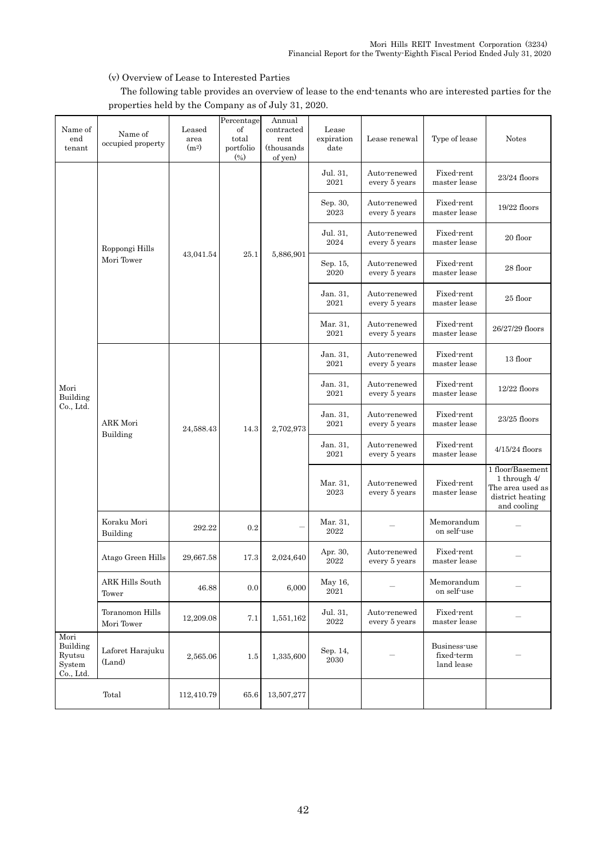## (v) Overview of Lease to Interested Parties

The following table provides an overview of lease to the end-tenants who are interested parties for the properties held by the Company as of July 31, 2020.

| Name of<br>end<br>tenant                          | Name of<br>occupied property  | Leased<br>area<br>(m <sup>2</sup> ) | Percentage<br>of<br>total<br>portfolio<br>(9) | Annual<br>contracted<br>rent<br>(thousands)<br>of yen) | Lease<br>expiration<br>date     | Lease renewal                 | Type of lease                            | <b>Notes</b>                                                                            |
|---------------------------------------------------|-------------------------------|-------------------------------------|-----------------------------------------------|--------------------------------------------------------|---------------------------------|-------------------------------|------------------------------------------|-----------------------------------------------------------------------------------------|
|                                                   |                               |                                     |                                               |                                                        | Jul. 31.<br>2021                | Auto-renewed<br>every 5 years | Fixed-rent<br>master lease               | 23/24 floors                                                                            |
|                                                   |                               | 43,041.54                           |                                               |                                                        | Sep. 30,<br>2023                | Auto-renewed<br>every 5 years | Fixed-rent<br>master lease               | 19/22 floors                                                                            |
|                                                   | Roppongi Hills                |                                     |                                               |                                                        | Jul. 31,<br>2024                | Auto-renewed<br>every 5 years | Fixed-rent<br>master lease               | 20 floor                                                                                |
|                                                   | Mori Tower                    |                                     | 25.1                                          | 5,886,901                                              | Sep. 15,<br>2020                | Auto-renewed<br>every 5 years | Fixed-rent<br>master lease               | 28 floor                                                                                |
|                                                   |                               |                                     |                                               |                                                        | Jan. 31,<br>2021                | Auto-renewed<br>every 5 years | Fixed-rent<br>master lease               | 25 floor                                                                                |
|                                                   |                               |                                     |                                               |                                                        | Mar. 31,<br>$2021\,$            | Auto-renewed<br>every 5 years | Fixed-rent<br>master lease               | 26/27/29 floors                                                                         |
|                                                   |                               |                                     | 14.3                                          | 2,702,973                                              | Jan. 31,<br>2021                | Auto-renewed<br>every 5 years | Fixed-rent<br>master lease               | 13 floor                                                                                |
| Mori<br>Building<br>Co., Ltd.                     |                               |                                     |                                               |                                                        | Jan. 31,<br>$2021\,$            | Auto-renewed<br>every 5 years | Fixed-rent<br>master lease               | $12/22$ floors                                                                          |
|                                                   | ARK Mori<br>Building          | 24,588.43                           |                                               |                                                        | Jan. 31,<br>$2021\,$            | Auto-renewed<br>every 5 years | Fixed-rent<br>master lease               | $23/25$ floors                                                                          |
|                                                   |                               |                                     |                                               |                                                        | Jan. 31,<br>2021                | Auto-renewed<br>every 5 years | Fixed-rent<br>master lease               | $4/15/24$ floors                                                                        |
|                                                   |                               |                                     |                                               |                                                        | Mar. 31,<br>2023                | Auto-renewed<br>every 5 years | Fixed-rent<br>master lease               | 1 floor/Basement<br>1 through 4/<br>The area used as<br>district heating<br>and cooling |
|                                                   | Koraku Mori<br>Building       | 292.22                              | 0.2                                           |                                                        | Mar. 31,<br>2022                |                               | Memorandum<br>on self-use                |                                                                                         |
|                                                   | Atago Green Hills             | 29,667.58                           | 17.3                                          | 2.024.640                                              | Apr. 30,<br>2022                | Auto-renewed<br>every 5 years | Fixed-rent<br>master lease               |                                                                                         |
|                                                   | ARK Hills South<br>Tower      | 46.88                               | 0.0                                           | 6,000                                                  | May 16,<br>2021                 |                               | Memorandum<br>on self-use                |                                                                                         |
|                                                   | Toranomon Hills<br>Mori Tower | 12,209.08                           | 7.1                                           | 1,551,162                                              | Jul. 31,<br>$\boldsymbol{2022}$ | Auto-renewed<br>every 5 years | Fixed-rent<br>master lease               |                                                                                         |
| Mori<br>Building<br>Ryutsu<br>System<br>Co., Ltd. | Laforet Harajuku<br>(Land)    | 2,565.06                            | 1.5                                           | 1,335,600                                              | Sep. 14,<br>$\sqrt{2030}$       |                               | Business-use<br>fixed-term<br>land lease |                                                                                         |
|                                                   | Total                         | 112,410.79                          | 65.6                                          | 13,507,277                                             |                                 |                               |                                          |                                                                                         |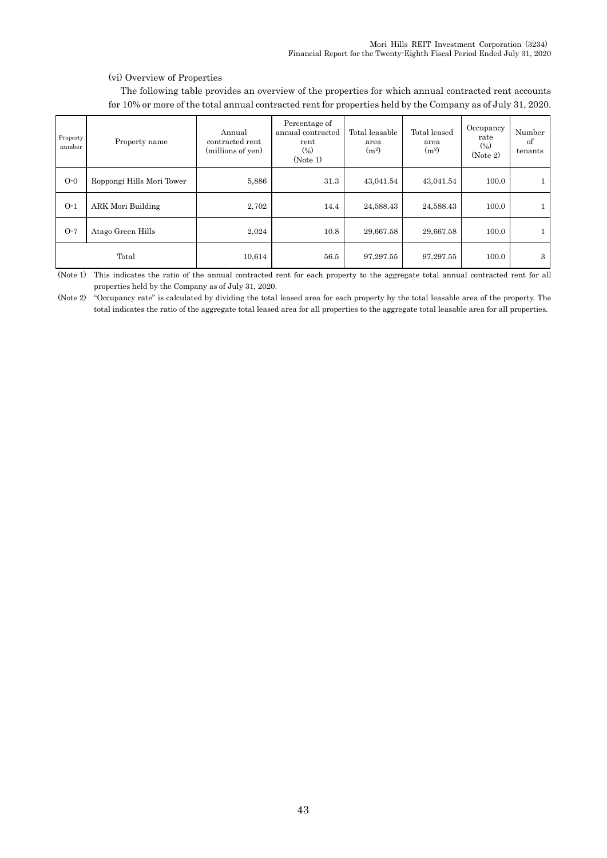### (vi) Overview of Properties

The following table provides an overview of the properties for which annual contracted rent accounts for 10% or more of the total annual contracted rent for properties held by the Company as of July 31, 2020.

| Property<br>number | Property name             | Percentage of<br>annual contracted<br>Annual<br>contracted rent<br>rent<br>area<br>(0)<br>(m <sup>2</sup> )<br>(millions of yen)<br>(Note 1) |      | Total leasable | Total leased<br>area<br>(m <sup>2</sup> ) | Occupancy<br>rate<br>(9/0)<br>(Note 2) | Number<br>of<br>tenants |
|--------------------|---------------------------|----------------------------------------------------------------------------------------------------------------------------------------------|------|----------------|-------------------------------------------|----------------------------------------|-------------------------|
| $O-0$              | Roppongi Hills Mori Tower | 5,886                                                                                                                                        | 31.3 | 43,041.54      | 43,041.54                                 | 100.0                                  |                         |
| $O-1$              | ARK Mori Building         | 2,702                                                                                                                                        | 14.4 | 24,588.43      | 24,588.43                                 | 100.0                                  |                         |
| $O-7$              | Atago Green Hills         | 2,024                                                                                                                                        | 10.8 | 29,667.58      | 29,667.58                                 | 100.0                                  |                         |
|                    | Total                     | 10,614                                                                                                                                       | 56.5 | 97,297.55      | 97,297.55                                 | 100.0                                  | 3                       |

(Note 1) This indicates the ratio of the annual contracted rent for each property to the aggregate total annual contracted rent for all properties held by the Company as of July 31, 2020.

(Note 2) "Occupancy rate" is calculated by dividing the total leased area for each property by the total leasable area of the property. The total indicates the ratio of the aggregate total leased area for all properties to the aggregate total leasable area for all properties.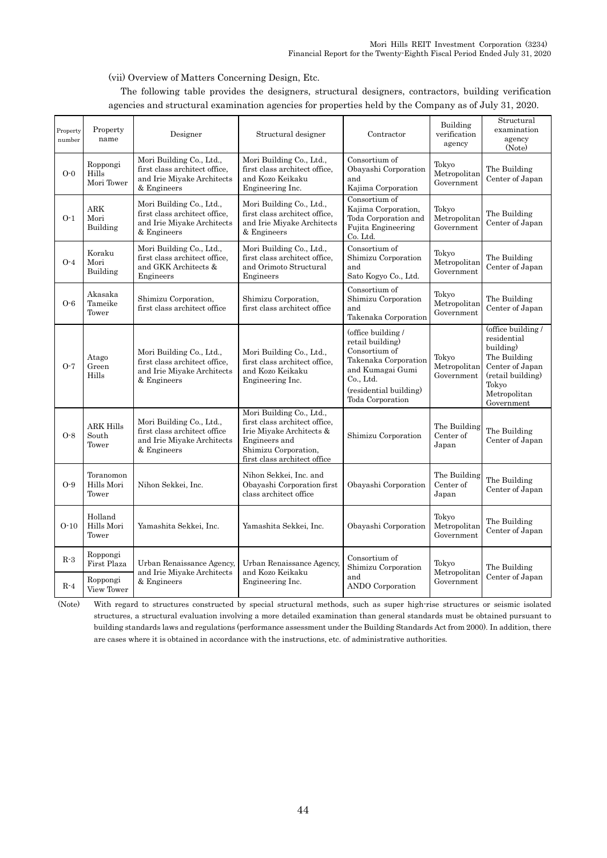### (vii) Overview of Matters Concerning Design, Etc.

The following table provides the designers, structural designers, contractors, building verification agencies and structural examination agencies for properties held by the Company as of July 31, 2020.

| Property<br>number | Property<br>name                   | Designer                                                                                               | Structural designer                                                                                                                                            | Contractor                                                                                                                                                     | Building<br>verification<br>agency  | Structural<br>examination<br>agency<br>(Note)                                                                                                 |
|--------------------|------------------------------------|--------------------------------------------------------------------------------------------------------|----------------------------------------------------------------------------------------------------------------------------------------------------------------|----------------------------------------------------------------------------------------------------------------------------------------------------------------|-------------------------------------|-----------------------------------------------------------------------------------------------------------------------------------------------|
| $O-0$              | Roppongi<br>Hills<br>Mori Tower    | Mori Building Co., Ltd.,<br>first class architect office.<br>and Irie Miyake Architects<br>& Engineers | Mori Building Co., Ltd.,<br>first class architect office.<br>and Kozo Keikaku<br>Engineering Inc.                                                              | Consortium of<br>Obayashi Corporation<br>and<br>Kajima Corporation                                                                                             | Tokyo<br>Metropolitan<br>Government | The Building<br>Center of Japan                                                                                                               |
| $O-1$              | <b>ARK</b><br>Mori<br>Building     | Mori Building Co., Ltd.,<br>first class architect office.<br>and Irie Miyake Architects<br>& Engineers | Mori Building Co., Ltd.,<br>first class architect office.<br>and Irie Miyake Architects<br>& Engineers                                                         | Consortium of<br>Kajima Corporation,<br>Toda Corporation and<br>Fujita Engineering<br>Co. Ltd.                                                                 | Tokyo<br>Metropolitan<br>Government | The Building<br>Center of Japan                                                                                                               |
| $O-4$              | Koraku<br>Mori<br>Building         | Mori Building Co., Ltd.,<br>first class architect office.<br>and GKK Architects &<br>Engineers         | Mori Building Co., Ltd.,<br>first class architect office,<br>and Orimoto Structural<br>Engineers                                                               | Consortium of<br>Shimizu Corporation<br>and<br>Sato Kogyo Co., Ltd.                                                                                            | Tokyo<br>Metropolitan<br>Government | The Building<br>Center of Japan                                                                                                               |
| $O-6$              | Akasaka<br>Tameike<br>Tower        | Shimizu Corporation,<br>first class architect office                                                   | Shimizu Corporation,<br>first class architect office                                                                                                           | Consortium of<br>Shimizu Corporation<br>and<br>Takenaka Corporation                                                                                            | Tokyo<br>Metropolitan<br>Government | The Building<br>Center of Japan                                                                                                               |
| $O-7$              | Atago<br>Green<br>Hills            | Mori Building Co., Ltd.,<br>first class architect office.<br>and Irie Miyake Architects<br>& Engineers | Mori Building Co., Ltd.,<br>first class architect office.<br>and Kozo Keikaku<br>Engineering Inc.                                                              | (office building /<br>retail building)<br>Consortium of<br>Takenaka Corporation<br>and Kumagai Gumi<br>Co., Ltd.<br>(residential building)<br>Toda Corporation | Tokyo<br>Metropolitan<br>Government | (office building /<br>residential<br>building)<br>The Building<br>Center of Japan<br>(retail building)<br>Tokyo<br>Metropolitan<br>Government |
| $O-8$              | <b>ARK Hills</b><br>South<br>Tower | Mori Building Co., Ltd.,<br>first class architect office<br>and Irie Miyake Architects<br>& Engineers  | Mori Building Co., Ltd.,<br>first class architect office,<br>Irie Miyake Architects &<br>Engineers and<br>Shimizu Corporation,<br>first class architect office | Shimizu Corporation                                                                                                                                            | The Building<br>Center of<br>Japan  | The Building<br>Center of Japan                                                                                                               |
| $O-9$              | Toranomon<br>Hills Mori<br>Tower   | Nihon Sekkei, Inc.                                                                                     | Nihon Sekkei, Inc. and<br>Obayashi Corporation first<br>class architect office                                                                                 | Obayashi Corporation                                                                                                                                           | The Building<br>Center of<br>Japan  | The Building<br>Center of Japan                                                                                                               |
| $O-10$             | Holland<br>Hills Mori<br>Tower     | Yamashita Sekkei, Inc.                                                                                 | Yamashita Sekkei, Inc.                                                                                                                                         | Obayashi Corporation                                                                                                                                           | Tokyo<br>Metropolitan<br>Government | The Building<br>Center of Japan                                                                                                               |
| $R-3$              | Roppongi<br>First Plaza            | Urban Renaissance Agency,<br>and Irie Miyake Architects                                                | Urban Renaissance Agency,<br>and Kozo Keikaku                                                                                                                  | Consortium of<br>Shimizu Corporation                                                                                                                           | Tokyo<br>Metropolitan               | The Building                                                                                                                                  |
| $R-4$              | Roppongi<br>View Tower             | & Engineers                                                                                            | Engineering Inc.                                                                                                                                               | and<br>ANDO Corporation                                                                                                                                        | Government                          | Center of Japan                                                                                                                               |

(Note) With regard to structures constructed by special structural methods, such as super high-rise structures or seismic isolated structures, a structural evaluation involving a more detailed examination than general standards must be obtained pursuant to building standards laws and regulations (performance assessment under the Building Standards Act from 2000). In addition, there are cases where it is obtained in accordance with the instructions, etc. of administrative authorities.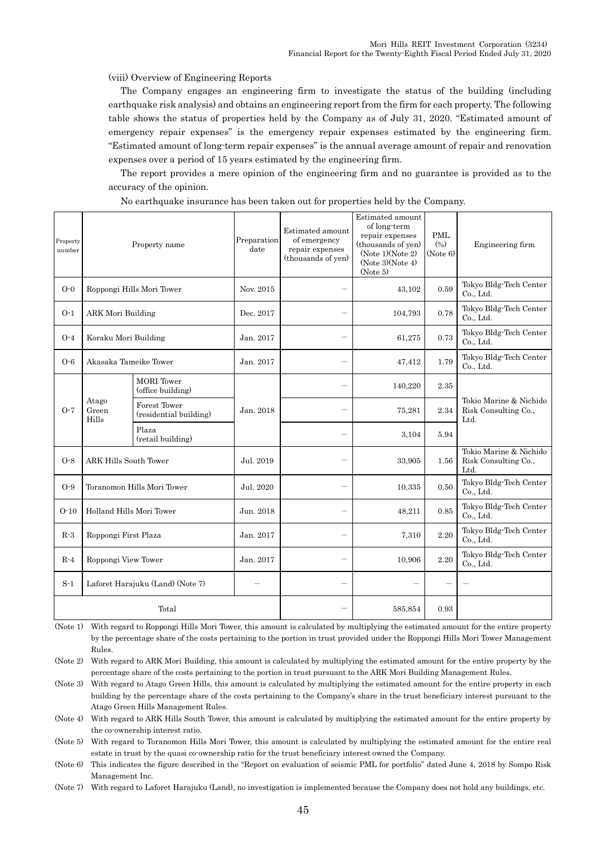(viii) Overview of Engineering Reports

The Company engages an engineering firm to investigate the status of the building (including earthquake risk analysis) and obtains an engineering report from the firm for each property. The following table shows the status of properties held by the Company as of July 31, 2020. "Estimated amount of emergency repair expenses" is the emergency repair expenses estimated by the engineering firm. "Estimated amount of long-term repair expenses" is the annual average amount of repair and renovation expenses over a period of 15 years estimated by the engineering firm.

The report provides a mere opinion of the engineering firm and no guarantee is provided as to the accuracy of the opinion.

| Property<br>number                        | Property name                |                                        | Preparation<br>date | Estimated amount<br>of emergency<br>repair expenses<br>(thousands of yen) | Estimated amount<br>of long-term<br>repair expenses<br>(thousands of yen)<br>(Note 1)(Note 2)<br>(Note 3)(Note 4)<br>(Note 5) | $\mathop{\rm PML}$<br>(0/0)<br>(Note 6) | Engineering firm                                       |
|-------------------------------------------|------------------------------|----------------------------------------|---------------------|---------------------------------------------------------------------------|-------------------------------------------------------------------------------------------------------------------------------|-----------------------------------------|--------------------------------------------------------|
| $O-0$                                     |                              | Roppongi Hills Mori Tower              | Nov. 2015           |                                                                           | 43,102                                                                                                                        | 0.59                                    | Tokyo Bldg-Tech Center<br>Co., Ltd.                    |
| $O-1$                                     | <b>ARK Mori Building</b>     |                                        | Dec. 2017           |                                                                           | 104,793                                                                                                                       | 0.78                                    | Tokyo Bldg-Tech Center<br>Co., Ltd.                    |
| $O-4$                                     | Koraku Mori Building         |                                        | Jan. 2017           |                                                                           | 61,275                                                                                                                        | 0.73                                    | Tokyo Bldg-Tech Center<br>Co., Ltd.                    |
| $O-6$                                     | Akasaka Tameike Tower        |                                        | Jan. 2017           |                                                                           | 47,412                                                                                                                        | 1.79                                    | Tokyo Bldg-Tech Center<br>Co., Ltd.                    |
| $O-7$                                     | Atago<br>Green<br>Hills      | <b>MORI</b> Tower<br>(office building) | Jan. 2018           |                                                                           | 140,220                                                                                                                       | 2.35                                    |                                                        |
|                                           |                              | Forest Tower<br>(residential building) |                     |                                                                           | 75,281                                                                                                                        | 2.34                                    | Tokio Marine & Nichido<br>Risk Consulting Co.,<br>Ltd. |
|                                           |                              | Plaza<br>(retail building)             |                     | $\overline{\phantom{0}}$                                                  | 3,104                                                                                                                         | 5.94                                    |                                                        |
| $O-8$                                     | <b>ARK Hills South Tower</b> |                                        | Jul. 2019           |                                                                           | 33,905                                                                                                                        | 1.56                                    | Tokio Marine & Nichido<br>Risk Consulting Co.,<br>Ltd. |
| $O-9$                                     |                              | Toranomon Hills Mori Tower             | Jul. 2020           | $\overline{\phantom{0}}$                                                  | 10,335                                                                                                                        | 0.50                                    | Tokyo Bldg-Tech Center<br>Co., Ltd.                    |
| $O-10$                                    | Holland Hills Mori Tower     |                                        | Jun. 2018           |                                                                           | 48,211                                                                                                                        | 0.85                                    | Tokyo Bldg-Tech Center<br>Co., Ltd.                    |
| $R-3$                                     | Roppongi First Plaza         |                                        | Jan. 2017           |                                                                           | 7,310                                                                                                                         | 2.20                                    | Tokyo Bldg-Tech Center<br>Co., Ltd.                    |
| $R-4$                                     | Roppongi View Tower          |                                        | Jan. 2017           |                                                                           | 10,906                                                                                                                        | 2.20                                    | Tokyo Bldg-Tech Center<br>Co., Ltd.                    |
| $S-1$<br>Laforet Harajuku (Land) (Note 7) |                              |                                        |                     |                                                                           |                                                                                                                               |                                         |                                                        |
| Total                                     |                              |                                        |                     | 585,854                                                                   | 0.93                                                                                                                          |                                         |                                                        |

No earthquake insurance has been taken out for properties held by the Company.

(Note 1) With regard to Roppongi Hills Mori Tower, this amount is calculated by multiplying the estimated amount for the entire property by the percentage share of the costs pertaining to the portion in trust provided under the Roppongi Hills Mori Tower Management Rules.

(Note 2) With regard to ARK Mori Building, this amount is calculated by multiplying the estimated amount for the entire property by the percentage share of the costs pertaining to the portion in trust pursuant to the ARK Mori Building Management Rules.

(Note 3) With regard to Atago Green Hills, this amount is calculated by multiplying the estimated amount for the entire property in each building by the percentage share of the costs pertaining to the Company's share in the trust beneficiary interest pursuant to the Atago Green Hills Management Rules.

(Note 4) With regard to ARK Hills South Tower, this amount is calculated by multiplying the estimated amount for the entire property by the co-ownership interest ratio.

(Note 5) With regard to Toranomon Hills Mori Tower, this amount is calculated by multiplying the estimated amount for the entire real estate in trust by the quasi co-ownership ratio for the trust beneficiary interest owned the Company.

(Note 6) This indicates the figure described in the "Report on evaluation of seismic PML for portfolio" dated June 4, 2018 by Sompo Risk Management Inc.

(Note 7) With regard to Laforet Harajuku (Land), no investigation is implemented because the Company does not hold any buildings, etc.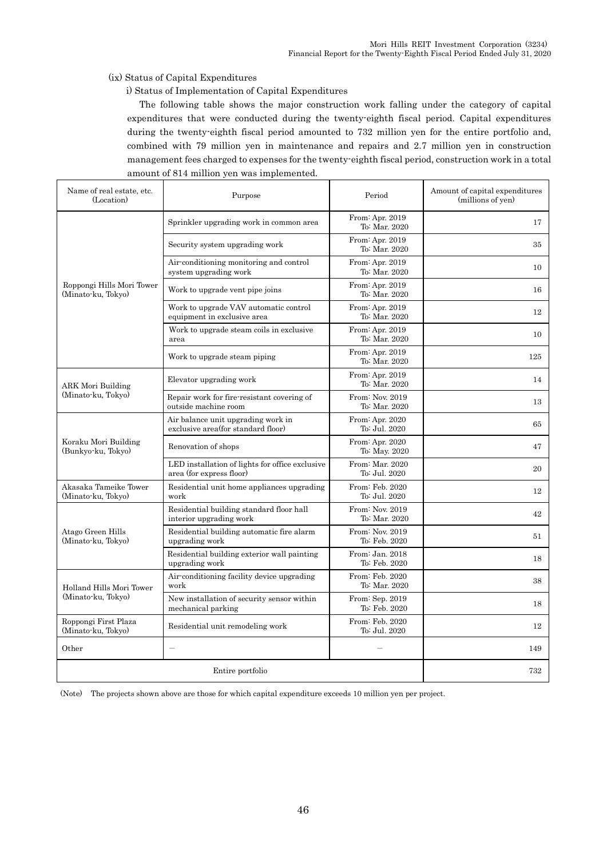(ix) Status of Capital Expenditures

i) Status of Implementation of Capital Expenditures

The following table shows the major construction work falling under the category of capital expenditures that were conducted during the twenty-eighth fiscal period. Capital expenditures during the twenty-eighth fiscal period amounted to 732 million yen for the entire portfolio and, combined with 79 million yen in maintenance and repairs and 2.7 million yen in construction management fees charged to expenses for the twenty-eighth fiscal period, construction work in a total amount of 814 million yen was implemented.

| Name of real estate, etc.<br>(Location)         | Purpose                                                                     |                                  | Amount of capital expenditures<br>(millions of yen) |
|-------------------------------------------------|-----------------------------------------------------------------------------|----------------------------------|-----------------------------------------------------|
|                                                 | Sprinkler upgrading work in common area                                     | From: Apr. 2019<br>To: Mar. 2020 | 17                                                  |
|                                                 | Security system upgrading work                                              | From: Apr. 2019<br>To: Mar. 2020 | 35                                                  |
|                                                 | Air-conditioning monitoring and control<br>system upgrading work            | From: Apr. 2019<br>To: Mar. 2020 | 10                                                  |
| Roppongi Hills Mori Tower<br>(Minato-ku, Tokyo) | Work to upgrade vent pipe joins                                             | From: Apr. 2019<br>To: Mar. 2020 | 16                                                  |
|                                                 | Work to upgrade VAV automatic control<br>equipment in exclusive area        | From: Apr. 2019<br>To: Mar. 2020 | 12                                                  |
|                                                 | Work to upgrade steam coils in exclusive<br>area                            | From: Apr. 2019<br>To: Mar. 2020 | 10                                                  |
|                                                 | Work to upgrade steam piping                                                | From: Apr. 2019<br>To: Mar. 2020 | 125                                                 |
| ARK Mori Building                               | Elevator upgrading work                                                     | From: Apr. 2019<br>To: Mar. 2020 | 14                                                  |
| (Minato-ku, Tokyo)                              | Repair work for fire-resistant covering of<br>outside machine room          | From: Nov. 2019<br>To: Mar. 2020 | 13                                                  |
|                                                 | Air balance unit upgrading work in<br>exclusive area (for standard floor)   | From: Apr. 2020<br>To: Jul. 2020 | 65                                                  |
| Koraku Mori Building<br>(Bunkyo-ku, Tokyo)      | Renovation of shops                                                         | From: Apr. 2020<br>To: May. 2020 | 47                                                  |
|                                                 | LED installation of lights for office exclusive<br>area (for express floor) | From: Mar. 2020<br>To: Jul. 2020 | 20                                                  |
| Akasaka Tameike Tower<br>(Minato-ku, Tokyo)     | Residential unit home appliances upgrading<br>work                          | From: Feb. 2020<br>To: Jul. 2020 | 12                                                  |
|                                                 | Residential building standard floor hall<br>interior upgrading work         | From: Nov. 2019<br>To: Mar. 2020 | 42                                                  |
| Atago Green Hills<br>(Minato-ku, Tokyo)         | Residential building automatic fire alarm<br>upgrading work                 | From: Nov. 2019<br>To: Feb. 2020 | 51                                                  |
|                                                 | Residential building exterior wall painting<br>upgrading work               | From: Jan. 2018<br>To: Feb. 2020 | 18                                                  |
| Holland Hills Mori Tower                        | Air-conditioning facility device upgrading<br>work                          | From: Feb. 2020<br>To: Mar. 2020 | 38                                                  |
| (Minato-ku, Tokyo)                              | New installation of security sensor within<br>mechanical parking            | From: Sep. 2019<br>To: Feb. 2020 | 18                                                  |
| Roppongi First Plaza<br>(Minato-ku, Tokyo)      | Residential unit remodeling work                                            | From: Feb. 2020<br>To: Jul. 2020 | 12                                                  |
| Other                                           |                                                                             | 149                              |                                                     |
|                                                 | 732                                                                         |                                  |                                                     |

(Note) The projects shown above are those for which capital expenditure exceeds 10 million yen per project.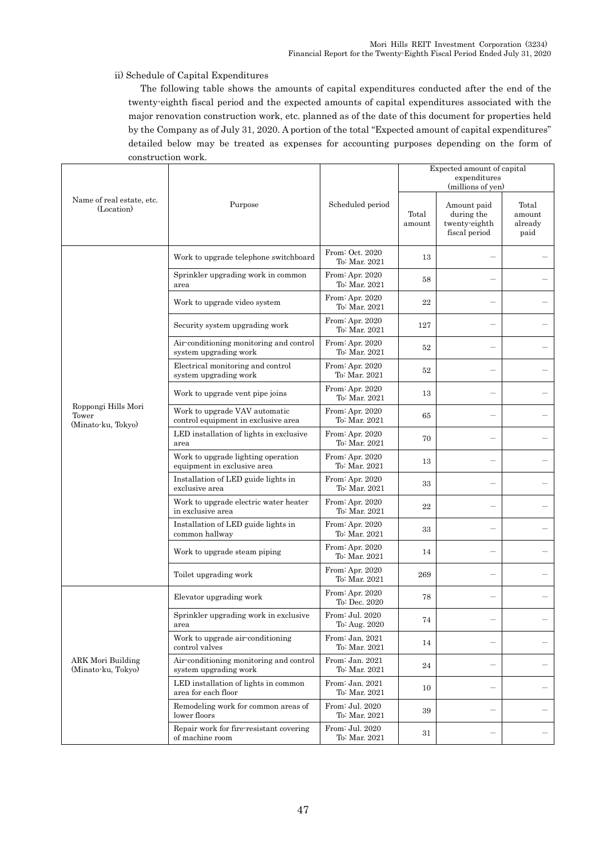### ii) Schedule of Capital Expenditures

The following table shows the amounts of capital expenditures conducted after the end of the twenty-eighth fiscal period and the expected amounts of capital expenditures associated with the major renovation construction work, etc. planned as of the date of this document for properties held by the Company as of July 31, 2020. A portion of the total "Expected amount of capital expenditures" detailed below may be treated as expenses for accounting purposes depending on the form of construction work.

|                                                    |                                                                      |                                  |                 | Expected amount of capital<br>expenditures<br>(millions of yen) |                                    |
|----------------------------------------------------|----------------------------------------------------------------------|----------------------------------|-----------------|-----------------------------------------------------------------|------------------------------------|
| Name of real estate, etc.<br>(Location)            | Purpose                                                              | Scheduled period                 | Total<br>amount | Amount paid<br>during the<br>twenty-eighth<br>fiscal period     | Total<br>amount<br>already<br>paid |
|                                                    | Work to upgrade telephone switchboard                                | From: Oct. 2020<br>To: Mar. 2021 | 13              |                                                                 |                                    |
|                                                    | Sprinkler upgrading work in common<br>area                           | From: Apr. 2020<br>To: Mar. 2021 | 58              |                                                                 |                                    |
|                                                    | Work to upgrade video system                                         | From: Apr. 2020<br>To: Mar. 2021 | 22              |                                                                 |                                    |
|                                                    | Security system upgrading work                                       | From: Apr. 2020<br>To: Mar. 2021 | 127             |                                                                 |                                    |
|                                                    | Air-conditioning monitoring and control<br>system upgrading work     | From: Apr. 2020<br>To: Mar. 2021 | 52              |                                                                 |                                    |
|                                                    | Electrical monitoring and control<br>system upgrading work           | From: Apr. 2020<br>To: Mar. 2021 | 52              |                                                                 |                                    |
|                                                    | Work to upgrade vent pipe joins                                      | From: Apr. 2020<br>To: Mar. 2021 | 13              |                                                                 |                                    |
| Roppongi Hills Mori<br>Tower<br>(Minato-ku, Tokyo) | Work to upgrade VAV automatic<br>control equipment in exclusive area | From: Apr. 2020<br>To: Mar. 2021 | 65              |                                                                 |                                    |
|                                                    | LED installation of lights in exclusive<br>area                      | From: Apr. 2020<br>To: Mar. 2021 | 70              |                                                                 |                                    |
|                                                    | Work to upgrade lighting operation<br>equipment in exclusive area    | From: Apr. 2020<br>To: Mar. 2021 | 13              | $\overline{\phantom{0}}$                                        |                                    |
|                                                    | Installation of LED guide lights in<br>exclusive area                | From: Apr. 2020<br>To: Mar. 2021 | 33              |                                                                 |                                    |
|                                                    | Work to upgrade electric water heater<br>in exclusive area           | From: Apr. 2020<br>To: Mar. 2021 | 22              |                                                                 |                                    |
|                                                    | Installation of LED guide lights in<br>common hallway                | From: Apr. 2020<br>To: Mar. 2021 | 33              |                                                                 |                                    |
|                                                    | Work to upgrade steam piping                                         | From: Apr. 2020<br>To: Mar. 2021 | 14              |                                                                 |                                    |
|                                                    | Toilet upgrading work                                                | From: Apr. 2020<br>To: Mar. 2021 | 269             |                                                                 |                                    |
|                                                    | Elevator upgrading work                                              | From: Apr. 2020<br>To: Dec. 2020 | 78              |                                                                 |                                    |
|                                                    | Sprinkler upgrading work in exclusive<br>area                        | From: Jul. 2020<br>To: Aug. 2020 | 74              |                                                                 |                                    |
|                                                    | Work to upgrade air-conditioning<br>control valves                   | From: Jan. 2021<br>To: Mar. 2021 | 14              |                                                                 | —                                  |
| <b>ARK Mori Building</b><br>(Minato-ku, Tokyo)     | Air-conditioning monitoring and control<br>system upgrading work     | From: Jan. 2021<br>To: Mar. 2021 | 24              |                                                                 |                                    |
|                                                    | LED installation of lights in common<br>area for each floor          | From: Jan. 2021<br>To: Mar. 2021 | $10\,$          |                                                                 |                                    |
|                                                    | Remodeling work for common areas of<br>lower floors                  | From: Jul. 2020<br>To: Mar. 2021 | 39              | $\overline{\phantom{m}}$                                        | —                                  |
|                                                    | Repair work for fire resistant covering<br>of machine room           | From: Jul. 2020<br>To: Mar. 2021 | 31              |                                                                 |                                    |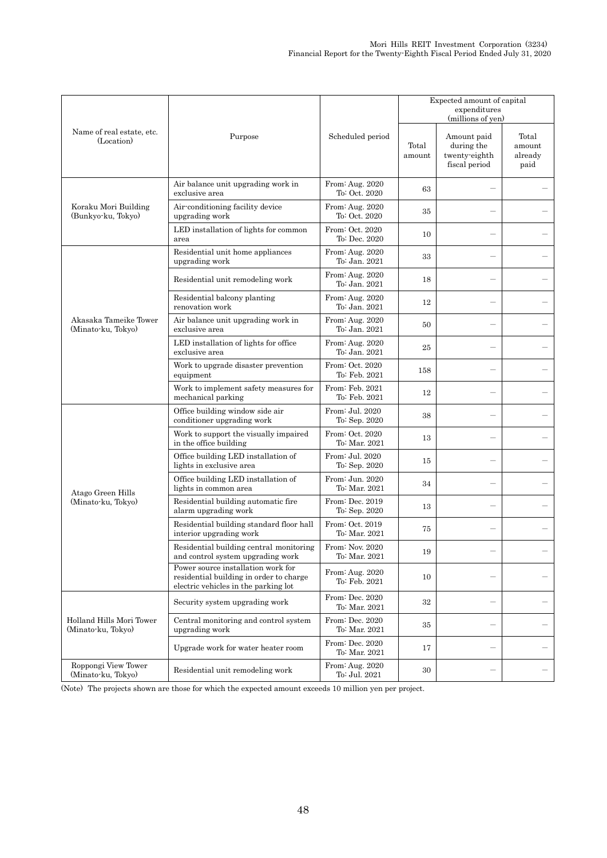|                                                |                                                                                                                       |                                  | Expected amount of capital<br>expenditures<br>(millions of yen) |                                                             |                                    |  |
|------------------------------------------------|-----------------------------------------------------------------------------------------------------------------------|----------------------------------|-----------------------------------------------------------------|-------------------------------------------------------------|------------------------------------|--|
| Name of real estate, etc.<br>(Location)        | Purpose                                                                                                               | Scheduled period                 | Total<br>amount                                                 | Amount paid<br>during the<br>twenty-eighth<br>fiscal period | Total<br>amount<br>already<br>paid |  |
|                                                | Air balance unit upgrading work in<br>exclusive area                                                                  | From: Aug. 2020<br>To: Oct. 2020 | 63                                                              |                                                             |                                    |  |
| Koraku Mori Building<br>(Bunkyo-ku, Tokyo)     | Air-conditioning facility device<br>upgrading work                                                                    | From: Aug. 2020<br>To: Oct. 2020 | 35                                                              |                                                             |                                    |  |
|                                                | LED installation of lights for common<br>area                                                                         | From: Oct. 2020<br>To: Dec. 2020 | 10                                                              |                                                             |                                    |  |
|                                                | Residential unit home appliances<br>upgrading work                                                                    | From: Aug. 2020<br>To: Jan. 2021 | 33                                                              |                                                             |                                    |  |
|                                                | Residential unit remodeling work                                                                                      | From: Aug. 2020<br>To: Jan. 2021 | 18                                                              |                                                             |                                    |  |
|                                                | Residential balcony planting<br>renovation work                                                                       | From: Aug. 2020<br>To: Jan. 2021 | 12                                                              |                                                             |                                    |  |
| Akasaka Tameike Tower<br>(Minato-ku, Tokyo)    | Air balance unit upgrading work in<br>exclusive area                                                                  | From: Aug. 2020<br>To: Jan. 2021 | 50                                                              |                                                             |                                    |  |
|                                                | LED installation of lights for office<br>exclusive area                                                               | From: Aug. 2020<br>To: Jan. 2021 | 25                                                              |                                                             |                                    |  |
|                                                | Work to upgrade disaster prevention<br>equipment                                                                      | From: Oct. 2020<br>To: Feb. 2021 | 158                                                             |                                                             |                                    |  |
|                                                | Work to implement safety measures for<br>mechanical parking                                                           | From: Feb. 2021<br>To: Feb. 2021 | 12                                                              |                                                             |                                    |  |
|                                                | Office building window side air<br>conditioner upgrading work                                                         | From: Jul. 2020<br>To: Sep. 2020 | 38                                                              |                                                             |                                    |  |
|                                                | Work to support the visually impaired<br>in the office building                                                       | From: Oct. 2020<br>To: Mar. 2021 | 13                                                              |                                                             |                                    |  |
|                                                | Office building LED installation of<br>lights in exclusive area                                                       | From: Jul. 2020<br>To: Sep. 2020 | 15                                                              | $\overline{\phantom{0}}$                                    |                                    |  |
| Atago Green Hills                              | Office building LED installation of<br>lights in common area                                                          | From: Jun. 2020<br>To: Mar. 2021 | 34                                                              |                                                             |                                    |  |
| (Minato-ku, Tokyo)                             | Residential building automatic fire<br>alarm upgrading work                                                           | From: Dec. 2019<br>To: Sep. 2020 | 13                                                              |                                                             |                                    |  |
|                                                | Residential building standard floor hall<br>interior upgrading work                                                   | From: Oct. 2019<br>To: Mar. 2021 | 75                                                              |                                                             |                                    |  |
|                                                | Residential building central monitoring<br>and control system upgrading work                                          | From: Nov. 2020<br>To: Mar. 2021 | 19                                                              |                                                             |                                    |  |
|                                                | Power source installation work for<br>residential building in order to charge<br>electric vehicles in the parking lot | From: Aug. 2020<br>To: Feb. 2021 | 10                                                              |                                                             |                                    |  |
|                                                | Security system upgrading work                                                                                        | From: Dec. 2020<br>To: Mar. 2021 | 32                                                              |                                                             |                                    |  |
| Holland Hills Mori Tower<br>(Minato-ku, Tokyo) | Central monitoring and control system<br>upgrading work                                                               | From: Dec. 2020<br>To: Mar. 2021 | 35                                                              |                                                             |                                    |  |
|                                                | Upgrade work for water heater room                                                                                    | From: Dec. 2020<br>To: Mar. 2021 | 17                                                              |                                                             |                                    |  |
| Roppongi View Tower<br>(Minato-ku, Tokyo)      | Residential unit remodeling work                                                                                      | From: Aug. 2020<br>To: Jul. 2021 | 30                                                              | $\qquad \qquad -$                                           |                                    |  |

(Note) The projects shown are those for which the expected amount exceeds 10 million yen per project.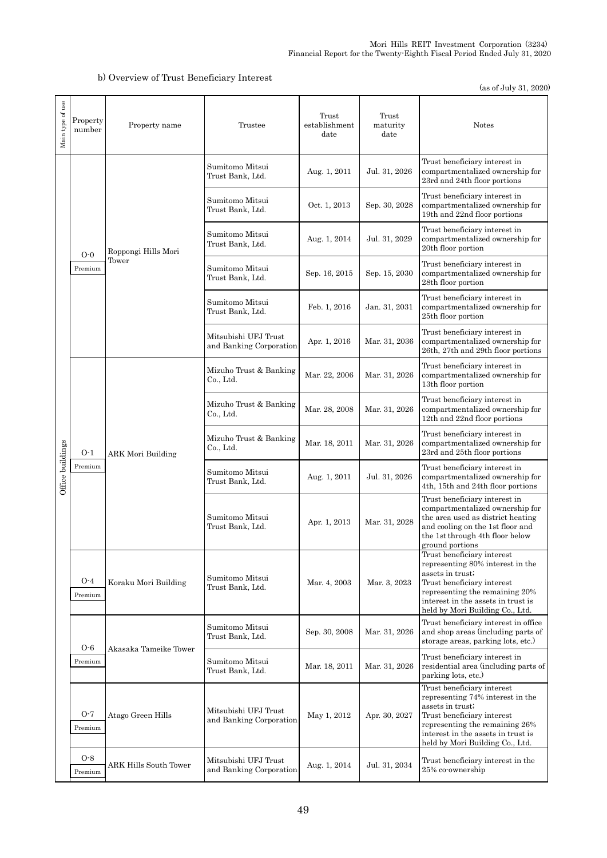## b) Overview of Trust Beneficiary Interest

(as of July 31, 2020)

| Main type of use | Property<br>number | Property name         | Trustee                                         | Trust<br>establishment<br>date | Trust<br>maturity<br>date | <b>Notes</b>                                                                                                                                                                                                                |
|------------------|--------------------|-----------------------|-------------------------------------------------|--------------------------------|---------------------------|-----------------------------------------------------------------------------------------------------------------------------------------------------------------------------------------------------------------------------|
|                  |                    |                       | Sumitomo Mitsui<br>Trust Bank, Ltd.             | Aug. 1, 2011                   | Jul. 31, 2026             | Trust beneficiary interest in<br>compartmentalized ownership for<br>23rd and 24th floor portions                                                                                                                            |
|                  |                    |                       | Sumitomo Mitsui<br>Trust Bank, Ltd.             | Oct. 1, 2013                   | Sep. 30, 2028             | Trust beneficiary interest in<br>compartmentalized ownership for<br>19th and 22nd floor portions                                                                                                                            |
|                  | $O-0$              | Roppongi Hills Mori   | Sumitomo Mitsui<br>Trust Bank. Ltd.             | Aug. 1, 2014                   | Jul. 31, 2029             | Trust beneficiary interest in<br>compartmentalized ownership for<br>20th floor portion                                                                                                                                      |
|                  | Premium            | Tower                 | Sumitomo Mitsui<br>Trust Bank, Ltd.             | Sep. 16, 2015                  | Sep. 15, 2030             | Trust beneficiary interest in<br>compartmentalized ownership for<br>28th floor portion                                                                                                                                      |
|                  |                    |                       | Sumitomo Mitsui<br>Trust Bank, Ltd.             | Feb. 1, 2016                   | Jan. 31, 2031             | Trust beneficiary interest in<br>compartmentalized ownership for<br>25th floor portion                                                                                                                                      |
|                  |                    |                       | Mitsubishi UFJ Trust<br>and Banking Corporation | Apr. 1, 2016                   | Mar. 31, 2036             | Trust beneficiary interest in<br>compartmentalized ownership for<br>26th, 27th and 29th floor portions                                                                                                                      |
|                  |                    | ARK Mori Building     | Mizuho Trust & Banking<br>Co., Ltd.             | Mar. 22, 2006                  | Mar. 31, 2026             | Trust beneficiary interest in<br>compartmentalized ownership for<br>13th floor portion                                                                                                                                      |
|                  | $O-1$<br>Premium   |                       | Mizuho Trust & Banking<br>Co., Ltd.             | Mar. 28, 2008                  | Mar. 31, 2026             | Trust beneficiary interest in<br>compartmentalized ownership for<br>12th and 22nd floor portions                                                                                                                            |
|                  |                    |                       | Mizuho Trust & Banking<br>Co., Ltd.             | Mar. 18, 2011                  | Mar. 31, 2026             | Trust beneficiary interest in<br>compartmentalized ownership for<br>23rd and 25th floor portions                                                                                                                            |
| Office buildings |                    |                       | Sumitomo Mitsui<br>Trust Bank, Ltd.             | Aug. 1, 2011                   | Jul. 31, 2026             | Trust beneficiary interest in<br>compartmentalized ownership for<br>4th, 15th and 24th floor portions                                                                                                                       |
|                  |                    |                       | Sumitomo Mitsui<br>Trust Bank, Ltd.             | Apr. 1, 2013                   | Mar. 31, 2028             | Trust beneficiary interest in<br>compartmentalized ownership for<br>the area used as district heating<br>and cooling on the 1st floor and<br>the 1st through 4th floor below<br>ground portions                             |
|                  | $O-4$<br>Premium   | Koraku Mori Building  | Sumitomo Mitsui<br>Trust Bank, Ltd.             | Mar. 4, 2003                   | Mar. 3, 2023              | Trust beneficiary interest<br>representing 80% interest in the<br>assets in trust;<br>Trust beneficiary interest<br>representing the remaining 20%<br>interest in the assets in trust is<br>held by Mori Building Co., Ltd. |
|                  | $O-6$              | Akasaka Tameike Tower | Sumitomo Mitsui<br>Trust Bank, Ltd.             | Sep. 30, 2008                  | Mar. 31, 2026             | Trust beneficiary interest in office<br>and shop areas (including parts of<br>storage areas, parking lots, etc.)                                                                                                            |
|                  | Premium            |                       | Sumitomo Mitsui<br>Trust Bank, Ltd.             | Mar. 18, 2011                  | Mar. 31, 2026             | Trust beneficiary interest in<br>residential area (including parts of<br>parking lots, etc.)                                                                                                                                |
|                  | $O-7$<br>Premium   | Atago Green Hills     | Mitsubishi UFJ Trust<br>and Banking Corporation | May 1, 2012                    | Apr. 30, 2027             | Trust beneficiary interest<br>representing 74% interest in the<br>assets in trust;<br>Trust beneficiary interest<br>representing the remaining 26%<br>interest in the assets in trust is<br>held by Mori Building Co., Ltd. |
|                  | $O-8$<br>Premium   | ARK Hills South Tower | Mitsubishi UFJ Trust<br>and Banking Corporation | Aug. 1, 2014                   | Jul. 31, 2034             | Trust beneficiary interest in the<br>25% co-ownership                                                                                                                                                                       |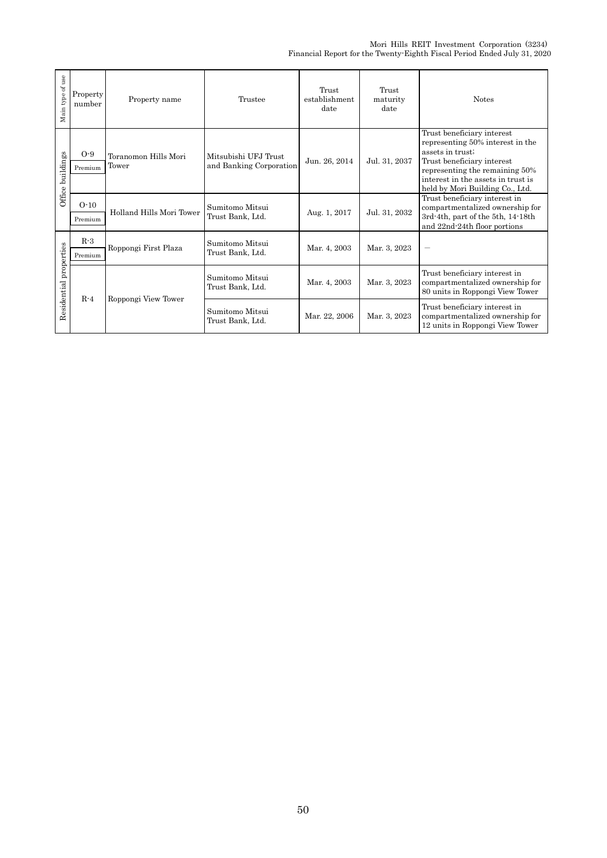| Main type of use       | Property<br>number | Property name                 | Trustee                                         | Trust<br>establishment<br>date | Trust<br>maturity<br>date | <b>Notes</b>                                                                                                                                                                                                                |
|------------------------|--------------------|-------------------------------|-------------------------------------------------|--------------------------------|---------------------------|-----------------------------------------------------------------------------------------------------------------------------------------------------------------------------------------------------------------------------|
| Office buildings       | $O-9$<br>Premium   | Toranomon Hills Mori<br>Tower | Mitsubishi UFJ Trust<br>and Banking Corporation | Jun. 26, 2014                  | Jul. 31, 2037             | Trust beneficiary interest<br>representing 50% interest in the<br>assets in trust;<br>Trust beneficiary interest<br>representing the remaining 50%<br>interest in the assets in trust is<br>held by Mori Building Co., Ltd. |
|                        | $O-10$<br>Premium  | Holland Hills Mori Tower      | Sumitomo Mitsui<br>Trust Bank, Ltd.             | Aug. 1, 2017                   | Jul. 31, 2032             | Trust beneficiary interest in<br>compartmentalized ownership for<br>3rd-4th, part of the 5th, 14-18th<br>and 22nd-24th floor portions                                                                                       |
|                        | $R-3$<br>Premium   | Roppongi First Plaza          | Sumitomo Mitsui<br>Trust Bank, Ltd.             | Mar. 4, 2003                   | Mar. 3, 2023              | -                                                                                                                                                                                                                           |
| Residential properties |                    | Roppongi View Tower           | Sumitomo Mitsui<br>Trust Bank, Ltd.             | Mar. 4, 2003                   | Mar. 3, 2023              | Trust beneficiary interest in<br>compartmentalized ownership for<br>80 units in Roppongi View Tower                                                                                                                         |
|                        | $R-4$              |                               | Sumitomo Mitsui<br>Trust Bank, Ltd.             | Mar. 22, 2006                  | Mar. 3, 2023              | Trust beneficiary interest in<br>compartmentalized ownership for<br>12 units in Roppongi View Tower                                                                                                                         |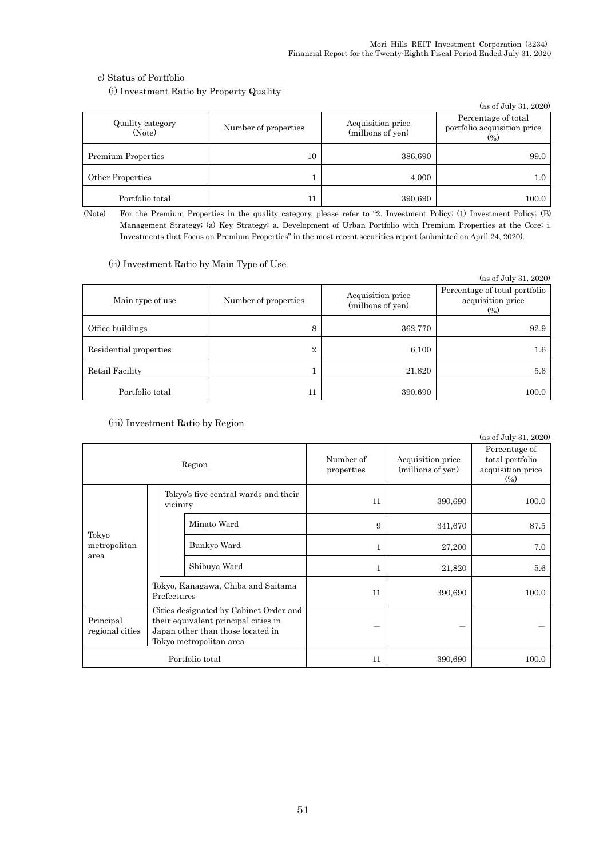### c) Status of Portfolio

(i) Investment Ratio by Property Quality

|                            |                      |                                        | (as of July 31, 2020)                                                            |
|----------------------------|----------------------|----------------------------------------|----------------------------------------------------------------------------------|
| Quality category<br>(Note) | Number of properties | Acquisition price<br>(millions of yen) | Percentage of total<br>portfolio acquisition price<br>$\left(\frac{0}{0}\right)$ |
| <b>Premium Properties</b>  | 10                   | 386,690                                | 99.0                                                                             |
| Other Properties           |                      | 4,000                                  | 1.0                                                                              |
| Portfolio total            | 11                   | 390,690                                | 100.0                                                                            |

(Note) For the Premium Properties in the quality category, please refer to "2. Investment Policy; (1) Investment Policy; (B) Management Strategy; (a) Key Strategy; a. Development of Urban Portfolio with Premium Properties at the Core; i. Investments that Focus on Premium Properties" in the most recent securities report (submitted on April 24, 2020).

### (ii) Investment Ratio by Main Type of Use

|                        |                      |                                        | (as of July 31, 2020)                                                            |
|------------------------|----------------------|----------------------------------------|----------------------------------------------------------------------------------|
| Main type of use       | Number of properties | Acquisition price<br>(millions of yen) | Percentage of total portfolio<br>acquisition price<br>$\left(\frac{0}{0}\right)$ |
| Office buildings       | 8                    | 362,770                                | 92.9                                                                             |
| Residential properties | $\overline{2}$       | 6,100                                  | $1.6\,$                                                                          |
| Retail Facility        |                      | 21,820                                 | 5.6                                                                              |
| Portfolio total        | 11                   | 390,690                                | 100.0                                                                            |

### (iii) Investment Ratio by Region

|                                                                                                                                                                                |             |                                                  |                                    |                         |                                        | (as of July 31, 2020)                                          |
|--------------------------------------------------------------------------------------------------------------------------------------------------------------------------------|-------------|--------------------------------------------------|------------------------------------|-------------------------|----------------------------------------|----------------------------------------------------------------|
|                                                                                                                                                                                |             |                                                  | Region                             | Number of<br>properties | Acquisition price<br>(millions of yen) | Percentage of<br>total portfolio<br>acquisition price<br>(0/0) |
|                                                                                                                                                                                |             | Tokyo's five central wards and their<br>vicinity |                                    | 11                      | 390,690                                | 100.0                                                          |
| Tokyo                                                                                                                                                                          |             |                                                  | Minato Ward                        | 9                       | 341,670                                | 87.5                                                           |
| metropolitan<br>area                                                                                                                                                           |             |                                                  | Bunkyo Ward                        | 1                       | 27,200                                 | 7.0                                                            |
|                                                                                                                                                                                |             |                                                  | Shibuya Ward                       |                         | 21,820                                 | 5.6                                                            |
|                                                                                                                                                                                | Prefectures |                                                  | Tokyo, Kanagawa, Chiba and Saitama | 11                      | 390,690                                | 100.0                                                          |
| Cities designated by Cabinet Order and<br>Principal<br>their equivalent principal cities in<br>Japan other than those located in<br>regional cities<br>Tokyo metropolitan area |             |                                                  |                                    |                         |                                        |                                                                |
|                                                                                                                                                                                |             |                                                  | Portfolio total                    | 11                      | 390,690                                | 100.0                                                          |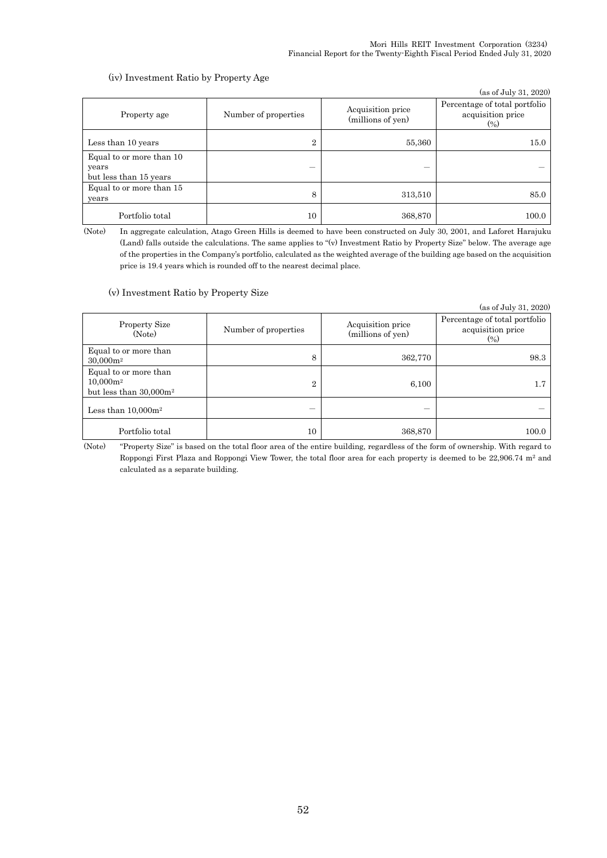### (iv) Investment Ratio by Property Age

|                                                             |                                                                |         | (as of July 31, 2020)                                                            |
|-------------------------------------------------------------|----------------------------------------------------------------|---------|----------------------------------------------------------------------------------|
| Property age                                                | Acquisition price<br>Number of properties<br>(millions of yen) |         | Percentage of total portfolio<br>acquisition price<br>$\left(\frac{0}{0}\right)$ |
| Less than 10 years                                          | $\overline{2}$                                                 | 55,360  | 15.0                                                                             |
| Equal to or more than 10<br>years<br>but less than 15 years |                                                                |         |                                                                                  |
| Equal to or more than 15<br>years                           | 8                                                              | 313,510 | 85.0                                                                             |
| Portfolio total                                             | 10                                                             | 368,870 | 100.0                                                                            |

(Note) In aggregate calculation, Atago Green Hills is deemed to have been constructed on July 30, 2001, and Laforet Harajuku (Land) falls outside the calculations. The same applies to "(v) Investment Ratio by Property Size" below. The average age of the properties in the Company's portfolio, calculated as the weighted average of the building age based on the acquisition price is 19.4 years which is rounded off to the nearest decimal place.

#### (v) Investment Ratio by Property Size

|                                                                   |                                                                |         | (as of July 31, 2020)                                       |
|-------------------------------------------------------------------|----------------------------------------------------------------|---------|-------------------------------------------------------------|
| <b>Property Size</b><br>(Note)                                    | Acquisition price<br>Number of properties<br>(millions of yen) |         | Percentage of total portfolio<br>acquisition price<br>(0/0) |
| Equal to or more than<br>$30,000m^2$                              | 8                                                              | 362,770 | 98.3                                                        |
| Equal to or more than<br>$10,000m^2$<br>but less than $30,000m^2$ | $\overline{2}$                                                 | 6,100   |                                                             |
| Less than $10,000m^2$                                             |                                                                |         |                                                             |
| Portfolio total                                                   | 10                                                             | 368,870 | 100.0                                                       |

(Note) "Property Size" is based on the total floor area of the entire building, regardless of the form of ownership. With regard to Roppongi First Plaza and Roppongi View Tower, the total floor area for each property is deemed to be 22,906.74 m<sup>2</sup> and calculated as a separate building.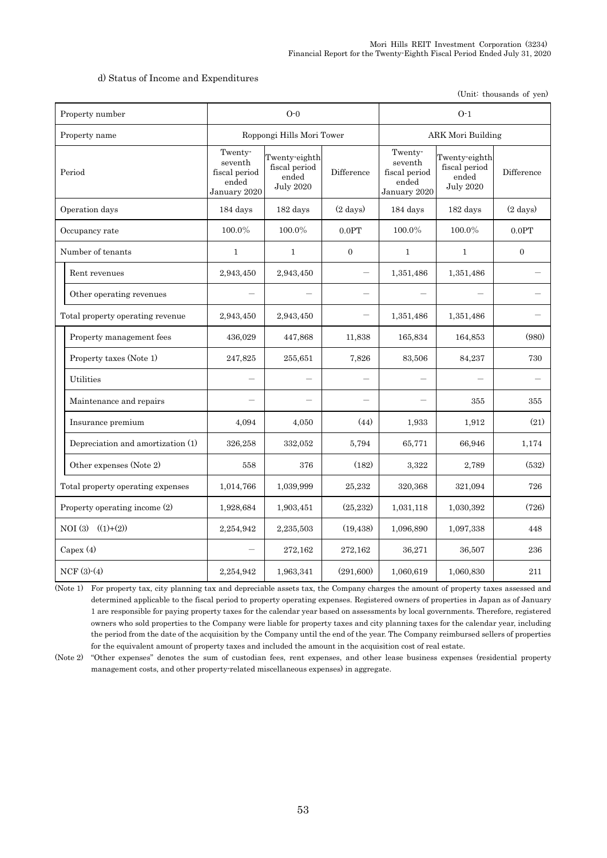### d) Status of Income and Expenditures

(Unit: thousands of yen)

| Property number                   |                                                              | $O-0$                                                       |                    |                                                              | $O-1$                                                       |                    |  |
|-----------------------------------|--------------------------------------------------------------|-------------------------------------------------------------|--------------------|--------------------------------------------------------------|-------------------------------------------------------------|--------------------|--|
| Property name                     | Roppongi Hills Mori Tower                                    |                                                             |                    | <b>ARK Mori Building</b>                                     |                                                             |                    |  |
| Period                            | Twenty-<br>seventh<br>fiscal period<br>ended<br>January 2020 | Twenty-eighth<br>fiscal period<br>ended<br><b>July 2020</b> | Difference         | Twenty-<br>seventh<br>fiscal period<br>ended<br>January 2020 | Twenty-eighth<br>fiscal period<br>ended<br><b>July 2020</b> | Difference         |  |
| Operation days                    | 184 days                                                     | 182 days                                                    | $(2 \text{ days})$ | 184 days                                                     | 182 days                                                    | $(2 \text{ days})$ |  |
| Occupancy rate                    | 100.0%                                                       | 100.0%                                                      | 0.0PT              | 100.0%                                                       | 100.0%                                                      | 0.0PT              |  |
| Number of tenants                 | $\mathbf{1}$                                                 | $\mathbf{1}$                                                | $\overline{0}$     | $\mathbf{1}$                                                 | $\mathbf{1}$                                                | $\boldsymbol{0}$   |  |
| Rent revenues                     | 2,943,450                                                    | 2,943,450                                                   |                    | 1,351,486                                                    | 1,351,486                                                   |                    |  |
| Other operating revenues          |                                                              |                                                             |                    |                                                              |                                                             |                    |  |
| Total property operating revenue  | 2,943,450                                                    | 2,943,450                                                   |                    | 1,351,486                                                    | 1,351,486                                                   |                    |  |
| Property management fees          | 436,029                                                      | 447,868                                                     | 11,838             | 165,834                                                      | 164,853                                                     | (980)              |  |
| Property taxes (Note 1)           | 247,825                                                      | 255,651                                                     | 7,826              | 83,506                                                       | 84,237                                                      | 730                |  |
| Utilities                         |                                                              |                                                             |                    |                                                              |                                                             |                    |  |
| Maintenance and repairs           |                                                              |                                                             |                    |                                                              | 355                                                         | 355                |  |
| Insurance premium                 | 4,094                                                        | 4,050                                                       | (44)               | 1,933                                                        | 1,912                                                       | (21)               |  |
| Depreciation and amortization (1) | 326,258                                                      | 332,052                                                     | 5,794              | 65,771                                                       | 66,946                                                      | 1,174              |  |
| Other expenses (Note 2)           | 558                                                          | 376                                                         | (182)              | 3,322                                                        | 2,789                                                       | (532)              |  |
| Total property operating expenses | 1,014,766                                                    | 1,039,999                                                   | 25,232             | 320,368                                                      | 321,094                                                     | 726                |  |
| Property operating income (2)     | 1,928,684                                                    | 1,903,451                                                   | (25, 232)          | 1,031,118                                                    | 1,030,392                                                   | (726)              |  |
| NOI (3) $((1)+(2))$               | 2,254,942                                                    | 2,235,503                                                   | (19, 438)          | 1,096,890                                                    | 1,097,338                                                   | 448                |  |
| Capex $(4)$                       |                                                              | 272,162                                                     | 272,162            | 36,271                                                       | 36,507                                                      | 236                |  |
| $NCF(3)-(4)$                      | 2,254,942                                                    | 1,963,341                                                   | (291,600)          | 1,060,619                                                    | 1,060,830                                                   | 211                |  |

(Note 1) For property tax, city planning tax and depreciable assets tax, the Company charges the amount of property taxes assessed and determined applicable to the fiscal period to property operating expenses. Registered owners of properties in Japan as of January 1 are responsible for paying property taxes for the calendar year based on assessments by local governments. Therefore, registered owners who sold properties to the Company were liable for property taxes and city planning taxes for the calendar year, including the period from the date of the acquisition by the Company until the end of the year. The Company reimbursed sellers of properties for the equivalent amount of property taxes and included the amount in the acquisition cost of real estate.

(Note 2) "Other expenses" denotes the sum of custodian fees, rent expenses, and other lease business expenses (residential property management costs, and other property-related miscellaneous expenses) in aggregate.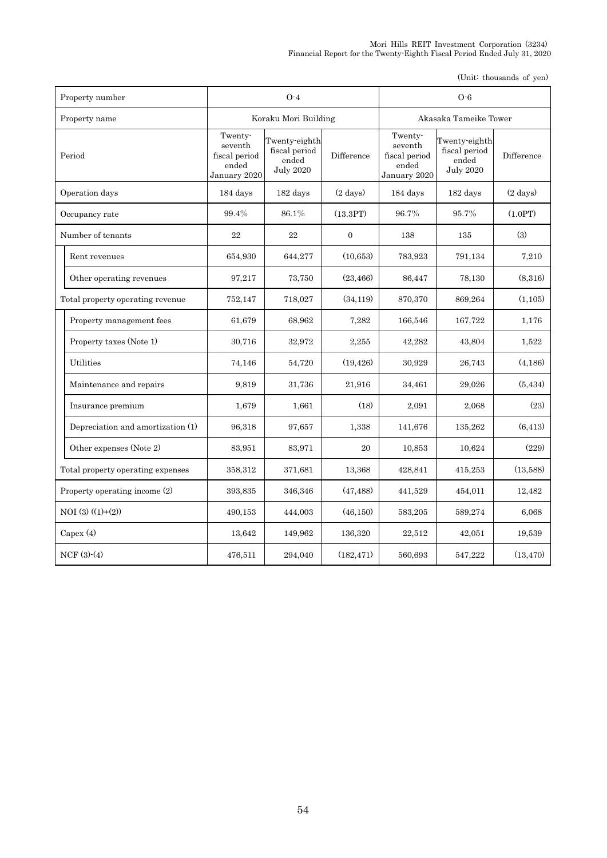| Property number                   | $O-4$                                                        |                                                             |                    | $O-6$                                                        |                                                             |                    |
|-----------------------------------|--------------------------------------------------------------|-------------------------------------------------------------|--------------------|--------------------------------------------------------------|-------------------------------------------------------------|--------------------|
| Property name                     | Koraku Mori Building                                         |                                                             |                    | Akasaka Tameike Tower                                        |                                                             |                    |
| Period                            | Twenty-<br>seventh<br>fiscal period<br>ended<br>January 2020 | Twenty-eighth<br>fiscal period<br>ended<br><b>July 2020</b> | Difference         | Twenty-<br>seventh<br>fiscal period<br>ended<br>January 2020 | Twenty-eighth<br>fiscal period<br>ended<br><b>July 2020</b> | Difference         |
| Operation days                    | 184 days                                                     | 182 days                                                    | $(2 \text{ days})$ | 184 days                                                     | 182 days                                                    | $(2 \text{ days})$ |
| Occupancy rate                    | 99.4%                                                        | 86.1%                                                       | (13.3PT)           | 96.7%                                                        | 95.7%                                                       | (1.0PT)            |
| Number of tenants                 | 22                                                           | 22                                                          | $\boldsymbol{0}$   | 138                                                          | 135                                                         | (3)                |
| Rent revenues                     | 654,930                                                      | 644,277                                                     | (10, 653)          | 783,923                                                      | 791,134                                                     | 7,210              |
| Other operating revenues          | 97,217                                                       | 73,750                                                      | (23, 466)          | 86,447                                                       | 78,130                                                      | (8,316)            |
| Total property operating revenue  | 752,147                                                      | 718,027                                                     | (34, 119)          | 870,370                                                      | 869,264                                                     | (1, 105)           |
| Property management fees          | 61,679                                                       | 68,962                                                      | 7,282              | 166,546                                                      | 167,722                                                     | 1,176              |
| Property taxes (Note 1)           | 30,716                                                       | 32,972                                                      | 2,255              | 42,282                                                       | 43,804                                                      | 1,522              |
| Utilities                         | 74,146                                                       | 54,720                                                      | (19, 426)          | 30,929                                                       | 26,743                                                      | (4,186)            |
| Maintenance and repairs           | 9,819                                                        | 31,736                                                      | 21,916             | 34,461                                                       | 29,026                                                      | (5, 434)           |
| Insurance premium                 | 1,679                                                        | 1,661                                                       | (18)               | 2,091                                                        | 2,068                                                       | (23)               |
| Depreciation and amortization (1) | 96,318                                                       | 97,657                                                      | 1,338              | 141,676                                                      | 135,262                                                     | (6, 413)           |
| Other expenses (Note 2)           | 83,951                                                       | 83,971                                                      | 20                 | 10,853                                                       | 10,624                                                      | (229)              |
| Total property operating expenses | 358,312                                                      | 371,681                                                     | 13,368             | 428,841                                                      | 415,253                                                     | (13,588)           |
| Property operating income (2)     | 393,835                                                      | 346,346                                                     | (47, 488)          | 441,529                                                      | 454,011                                                     | 12,482             |
| $NOI(3) ((1)+(2))$                | 490,153                                                      | 444,003                                                     | (46, 150)          | 583,205                                                      | 589,274                                                     | 6.068              |
| Capex $(4)$                       | 13,642                                                       | 149,962                                                     | 136,320            | 22,512                                                       | 42,051                                                      | 19,539             |
| $NCF(3)-(4)$                      | 476,511                                                      | 294,040                                                     | (182, 471)         | 560,693                                                      | 547,222                                                     | (13, 470)          |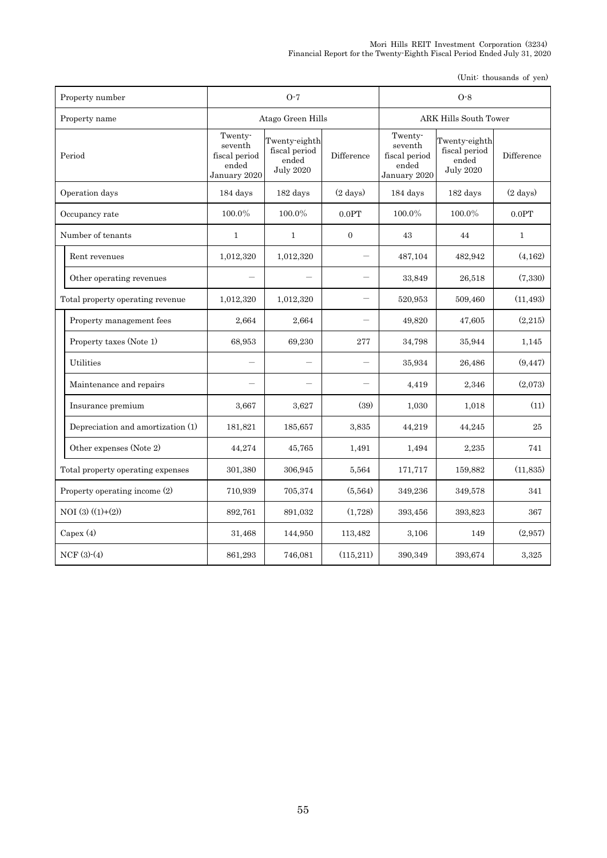| Property number                   | $O-7$                                                        |                                                             |                    | $O-8$                                                        |                                                             |                  |
|-----------------------------------|--------------------------------------------------------------|-------------------------------------------------------------|--------------------|--------------------------------------------------------------|-------------------------------------------------------------|------------------|
| Property name                     | Atago Green Hills                                            |                                                             |                    | ARK Hills South Tower                                        |                                                             |                  |
| Period                            | Twenty-<br>seventh<br>fiscal period<br>ended<br>January 2020 | Twenty-eighth<br>fiscal period<br>ended<br><b>July 2020</b> | Difference         | Twenty-<br>seventh<br>fiscal period<br>ended<br>January 2020 | Twenty-eighth<br>fiscal period<br>ended<br><b>July 2020</b> | Difference       |
| Operation days                    | 184 days                                                     | 182 days                                                    | $(2 \text{ days})$ | 184 days                                                     | $182~\rm{days}$                                             | $(2 \ days)$     |
| Occupancy rate                    | 100.0%                                                       | 100.0%                                                      | $0.0\mathrm{PT}$   | 100.0%                                                       | 100.0%                                                      | $0.0\mathrm{PT}$ |
| Number of tenants                 | $\mathbf{1}$                                                 | 1                                                           | $\boldsymbol{0}$   | 43                                                           | 44                                                          | $\mathbf{1}$     |
| Rent revenues                     | 1,012,320                                                    | 1,012,320                                                   |                    | 487,104                                                      | 482,942                                                     | (4, 162)         |
| Other operating revenues          |                                                              |                                                             |                    | 33,849                                                       | 26,518                                                      | (7,330)          |
| Total property operating revenue  | 1,012,320                                                    | 1,012,320                                                   |                    | 520,953                                                      | 509,460                                                     | (11, 493)        |
| Property management fees          | 2,664                                                        | 2,664                                                       |                    | 49,820                                                       | 47,605                                                      | (2,215)          |
| Property taxes (Note 1)           | 68,953                                                       | 69,230                                                      | 277                | 34,798                                                       | 35,944                                                      | 1,145            |
| Utilities                         |                                                              |                                                             |                    | 35,934                                                       | 26,486                                                      | (9, 447)         |
| Maintenance and repairs           |                                                              |                                                             |                    | 4,419                                                        | 2,346                                                       | (2.073)          |
| Insurance premium                 | 3,667                                                        | 3,627                                                       | (39)               | 1,030                                                        | 1,018                                                       | (11)             |
| Depreciation and amortization (1) | 181,821                                                      | 185,657                                                     | 3,835              | 44,219                                                       | 44,245                                                      | 25               |
| Other expenses (Note 2)           | 44,274                                                       | 45,765                                                      | 1,491              | 1,494                                                        | 2,235                                                       | 741              |
| Total property operating expenses | 301,380                                                      | 306,945                                                     | 5.564              | 171,717                                                      | 159,882                                                     | (11,835)         |
| Property operating income (2)     | 710,939                                                      | 705,374                                                     | (5, 564)           | 349,236                                                      | 349,578                                                     | 341              |
| $NOI(3)((1)+(2))$                 | 892,761                                                      | 891,032                                                     | (1,728)            | 393,456                                                      | 393,823                                                     | 367              |
| Capex $(4)$                       | 31,468                                                       | 144,950                                                     | 113,482            | 3,106                                                        | 149                                                         | (2.957)          |
| $NCF(3)-(4)$                      | 861,293                                                      | 746,081                                                     | (115, 211)         | 390,349                                                      | 393,674                                                     | 3,325            |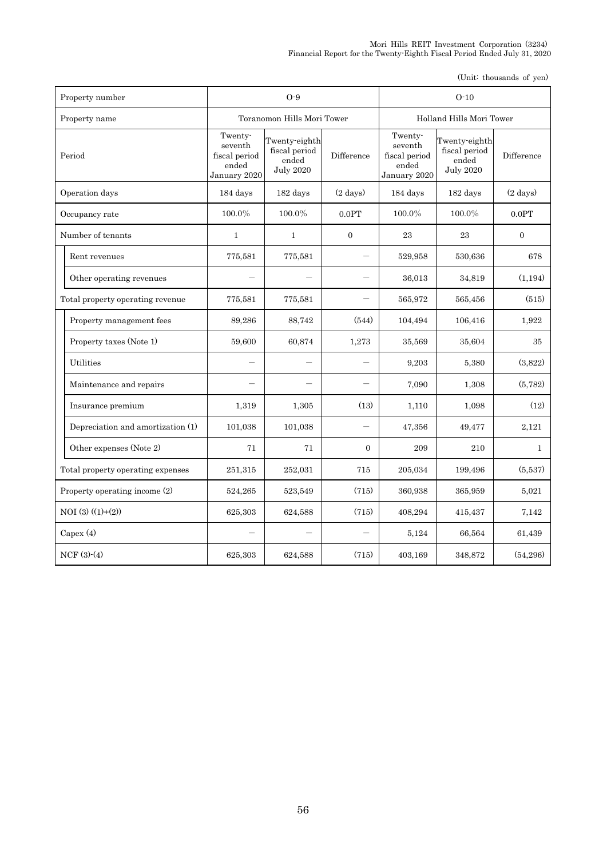| Property number                   | $O-9$                                                        |                                                             |                    | $O-10$                                                       |                                                             |                    |
|-----------------------------------|--------------------------------------------------------------|-------------------------------------------------------------|--------------------|--------------------------------------------------------------|-------------------------------------------------------------|--------------------|
| Property name                     | Toranomon Hills Mori Tower                                   |                                                             |                    | Holland Hills Mori Tower                                     |                                                             |                    |
| Period                            | Twenty-<br>seventh<br>fiscal period<br>ended<br>January 2020 | Twenty-eighth<br>fiscal period<br>ended<br><b>July 2020</b> | Difference         | Twenty-<br>seventh<br>fiscal period<br>ended<br>January 2020 | Twenty-eighth<br>fiscal period<br>ended<br><b>July 2020</b> | Difference         |
| Operation days                    | 184 days                                                     | 182 days                                                    | $(2 \text{ days})$ | 184 days                                                     | 182 days                                                    | $(2 \text{ days})$ |
| Occupancy rate                    | 100.0%                                                       | 100.0%                                                      | 0.0PT              | 100.0%                                                       | 100.0%                                                      | 0.0PT              |
| Number of tenants                 | $\mathbf{1}$                                                 | $\mathbf{1}$                                                | $\boldsymbol{0}$   | 23                                                           | 23                                                          | $\mathbf{0}$       |
| Rent revenues                     | 775,581                                                      | 775,581                                                     |                    | 529,958                                                      | 530,636                                                     | 678                |
| Other operating revenues          |                                                              | $\overline{\phantom{0}}$                                    |                    | 36,013                                                       | 34,819                                                      | (1, 194)           |
| Total property operating revenue  | 775,581                                                      | 775,581                                                     |                    | 565,972                                                      | 565,456                                                     | (515)              |
| Property management fees          | 89,286                                                       | 88,742                                                      | (544)              | 104,494                                                      | 106,416                                                     | 1.922              |
| Property taxes (Note 1)           | 59,600                                                       | 60,874                                                      | 1,273              | 35,569                                                       | 35,604                                                      | 35                 |
| Utilities                         |                                                              |                                                             |                    | 9,203                                                        | 5,380                                                       | (3,822)            |
| Maintenance and repairs           |                                                              |                                                             |                    | 7,090                                                        | 1,308                                                       | (5, 782)           |
| Insurance premium                 | 1,319                                                        | 1,305                                                       | (13)               | 1,110                                                        | 1,098                                                       | (12)               |
| Depreciation and amortization (1) | 101,038                                                      | 101,038                                                     |                    | 47,356                                                       | 49,477                                                      | 2,121              |
| Other expenses (Note 2)           | 71                                                           | 71                                                          | $\Omega$           | 209                                                          | 210                                                         | $\mathbf{1}$       |
| Total property operating expenses | 251,315                                                      | 252,031                                                     | 715                | 205,034                                                      | 199,496                                                     | (5,537)            |
| Property operating income (2)     | 524,265                                                      | 523,549                                                     | (715)              | 360,938                                                      | 365,959                                                     | 5.021              |
| $NOI(3) ((1)+(2))$                | 625,303                                                      | 624,588                                                     | (715)              | 408,294                                                      | 415,437                                                     | 7.142              |
| Capex $(4)$                       |                                                              |                                                             |                    | 5,124                                                        | 66,564                                                      | 61,439             |
| $NCF(3)-(4)$                      | 625,303                                                      | 624,588                                                     | (715)              | 403,169                                                      | 348,872                                                     | (54, 296)          |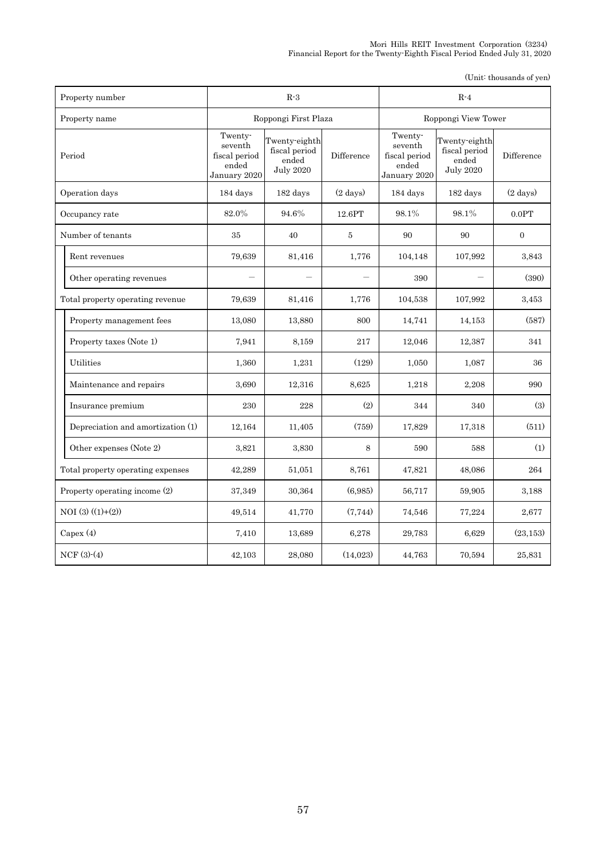| Property number                   | $R-3$                                                        |                                                             |                    | $R-4$                                                        |                                                             |                    |
|-----------------------------------|--------------------------------------------------------------|-------------------------------------------------------------|--------------------|--------------------------------------------------------------|-------------------------------------------------------------|--------------------|
| Property name                     | Roppongi First Plaza                                         |                                                             |                    | Roppongi View Tower                                          |                                                             |                    |
| Period                            | Twenty-<br>seventh<br>fiscal period<br>ended<br>January 2020 | Twenty-eighth<br>fiscal period<br>ended<br><b>July 2020</b> | Difference         | Twenty-<br>seventh<br>fiscal period<br>ended<br>January 2020 | Twenty-eighth<br>fiscal period<br>ended<br><b>July 2020</b> | Difference         |
| Operation days                    | 184 days                                                     | 182 days                                                    | $(2 \text{ days})$ | 184 days                                                     | 182 days                                                    | $(2 \text{ days})$ |
| Occupancy rate                    | 82.0%                                                        | 94.6%                                                       | 12.6PT             | 98.1%                                                        | 98.1%                                                       | 0.0PT              |
| Number of tenants                 | 35                                                           | 40                                                          | $\bf 5$            | 90                                                           | 90                                                          | $\boldsymbol{0}$   |
| Rent revenues                     | 79,639                                                       | 81,416                                                      | 1,776              | 104,148                                                      | 107,992                                                     | 3,843              |
| Other operating revenues          |                                                              |                                                             |                    | 390                                                          |                                                             | (390)              |
| Total property operating revenue  | 79,639                                                       | 81,416                                                      | 1,776              | 104,538                                                      | 107,992                                                     | 3,453              |
| Property management fees          | 13,080                                                       | 13,880                                                      | 800                | 14,741                                                       | 14,153                                                      | (587)              |
| Property taxes (Note 1)           | 7,941                                                        | 8,159                                                       | 217                | 12,046                                                       | 12,387                                                      | 341                |
| Utilities                         | 1,360                                                        | 1,231                                                       | (129)              | 1,050                                                        | 1,087                                                       | 36                 |
| Maintenance and repairs           | 3.690                                                        | 12,316                                                      | 8,625              | 1,218                                                        | 2,208                                                       | 990                |
| Insurance premium                 | 230                                                          | 228                                                         | (2)                | 344                                                          | 340                                                         | (3)                |
| Depreciation and amortization (1) | 12,164                                                       | 11,405                                                      | (759)              | 17,829                                                       | 17,318                                                      | (511)              |
| Other expenses (Note 2)           | 3,821                                                        | 3,830                                                       | 8                  | 590                                                          | 588                                                         | (1)                |
| Total property operating expenses | 42,289                                                       | 51,051                                                      | 8,761              | 47,821                                                       | 48,086                                                      | 264                |
| Property operating income (2)     | 37,349                                                       | 30,364                                                      | (6,985)            | 56,717                                                       | 59,905                                                      | 3,188              |
| $NOI(3)((1)+(2))$                 | 49,514                                                       | 41,770                                                      | (7,744)            | 74,546                                                       | 77,224                                                      | 2,677              |
| Capex $(4)$                       | 7,410                                                        | 13,689                                                      | 6,278              | 29,783                                                       | 6.629                                                       | (23, 153)          |
| $NCF(3)-(4)$                      | 42,103                                                       | 28,080                                                      | (14, 023)          | 44,763                                                       | 70,594                                                      | 25,831             |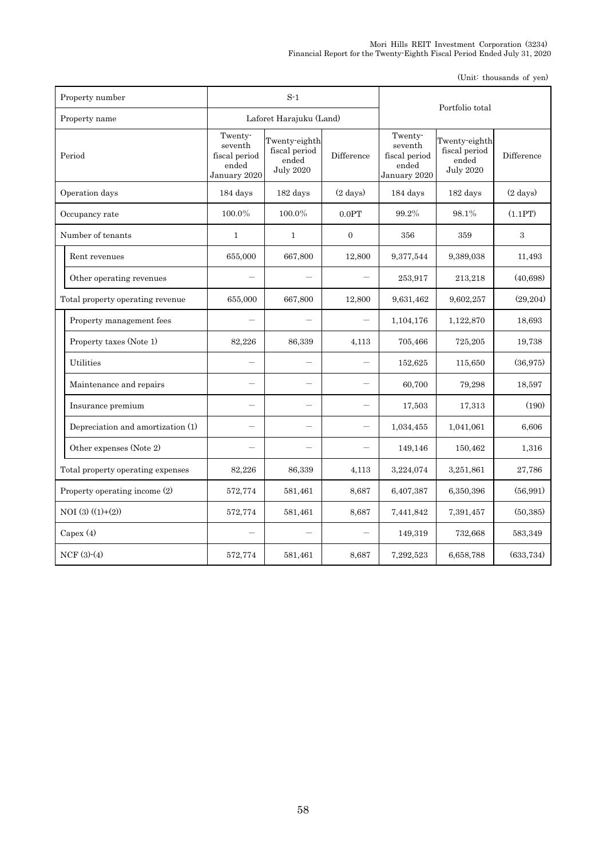| Property number                   |                                                              | $S-1$                                                       |                    |                                                              |                                                             |                    |
|-----------------------------------|--------------------------------------------------------------|-------------------------------------------------------------|--------------------|--------------------------------------------------------------|-------------------------------------------------------------|--------------------|
| Property name                     |                                                              | Laforet Harajuku (Land)                                     |                    | Portfolio total                                              |                                                             |                    |
| Period                            | Twenty-<br>seventh<br>fiscal period<br>ended<br>January 2020 | Twenty-eighth<br>fiscal period<br>ended<br><b>July 2020</b> | Difference         | Twenty-<br>seventh<br>fiscal period<br>ended<br>January 2020 | Twenty-eighth<br>fiscal period<br>ended<br><b>July 2020</b> | Difference         |
| Operation days                    | 184 days                                                     | 182 days                                                    | $(2 \text{ days})$ | 184 days                                                     | 182 days                                                    | $(2 \text{ days})$ |
| Occupancy rate                    | 100.0%                                                       | 100.0%                                                      | 0.0PT              | 99.2%                                                        | 98.1%                                                       | (1.1PT)            |
| Number of tenants                 | $\mathbf{1}$                                                 | 1                                                           | $\overline{0}$     | 356                                                          | 359                                                         | 3                  |
| Rent revenues                     | 655,000                                                      | 667,800                                                     | 12,800             | 9,377,544                                                    | 9,389,038                                                   | 11,493             |
| Other operating revenues          |                                                              |                                                             |                    | 253,917                                                      | 213,218                                                     | (40, 698)          |
| Total property operating revenue  | 655,000                                                      | 667,800                                                     | 12,800             | 9,631,462                                                    | 9,602,257                                                   | (29, 204)          |
| Property management fees          |                                                              |                                                             |                    | 1,104,176                                                    | 1,122,870                                                   | 18,693             |
| Property taxes (Note 1)           | 82,226                                                       | 86,339                                                      | 4,113              | 705,466                                                      | 725,205                                                     | 19,738             |
| Utilities                         |                                                              |                                                             |                    | 152,625                                                      | 115,650                                                     | (36,975)           |
| Maintenance and repairs           |                                                              |                                                             |                    | 60,700                                                       | 79,298                                                      | 18,597             |
| Insurance premium                 |                                                              | $\overline{\phantom{0}}$                                    |                    | 17,503                                                       | 17,313                                                      | (190)              |
| Depreciation and amortization (1) |                                                              |                                                             |                    | 1,034,455                                                    | 1,041,061                                                   | 6,606              |
| Other expenses (Note 2)           |                                                              |                                                             |                    | 149,146                                                      | 150,462                                                     | 1,316              |
| Total property operating expenses | 82,226                                                       | 86,339                                                      | 4,113              | 3,224,074                                                    | 3,251,861                                                   | 27,786             |
| Property operating income (2)     | 572,774                                                      | 581,461                                                     | 8,687              | 6,407,387                                                    | 6,350,396                                                   | (56, 991)          |
| $NOI(3)((1)+(2))$                 | 572,774                                                      | 581,461                                                     | 8,687              | 7,441,842                                                    | 7,391,457                                                   | (50, 385)          |
| Capex $(4)$                       |                                                              |                                                             |                    | 149,319                                                      | 732,668                                                     | 583,349            |
| $NCF(3)-(4)$                      | 572,774                                                      | 581,461                                                     | 8,687              | 7,292,523                                                    | 6,658,788                                                   | (633, 734)         |